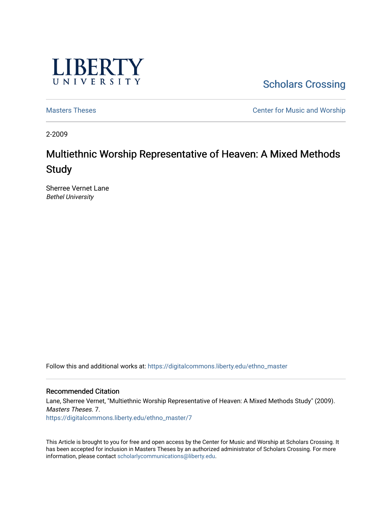

**Scholars Crossing** 

[Masters Theses](https://digitalcommons.liberty.edu/ethno_master) Center for Music and Worship

2-2009

# Multiethnic Worship Representative of Heaven: A Mixed Methods **Study**

Sherree Vernet Lane Bethel University

Follow this and additional works at: [https://digitalcommons.liberty.edu/ethno\\_master](https://digitalcommons.liberty.edu/ethno_master?utm_source=digitalcommons.liberty.edu%2Fethno_master%2F7&utm_medium=PDF&utm_campaign=PDFCoverPages)

#### Recommended Citation

Lane, Sherree Vernet, "Multiethnic Worship Representative of Heaven: A Mixed Methods Study" (2009). Masters Theses. 7. [https://digitalcommons.liberty.edu/ethno\\_master/7](https://digitalcommons.liberty.edu/ethno_master/7?utm_source=digitalcommons.liberty.edu%2Fethno_master%2F7&utm_medium=PDF&utm_campaign=PDFCoverPages) 

This Article is brought to you for free and open access by the Center for Music and Worship at Scholars Crossing. It has been accepted for inclusion in Masters Theses by an authorized administrator of Scholars Crossing. For more information, please contact [scholarlycommunications@liberty.edu](mailto:scholarlycommunications@liberty.edu).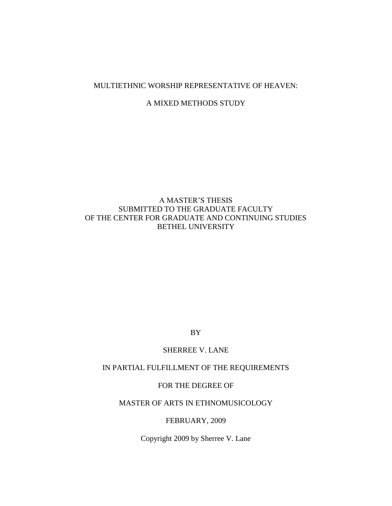# MULTIETHNIC WORSHIP REPRESENTATIVE OF HEAVEN:

## A MIXED METHODS STUDY

# A MASTER'S THESIS SUBMITTED TO THE GRADUATE FACULTY OF THE CENTER FOR GRADUATE AND CONTINUING STUDIES BETHEL UNIVERSITY

BY

#### SHERREE V. LANE

# IN PARTIAL FULFILLMENT OF THE REQUIREMENTS

## FOR THE DEGREE OF

# MASTER OF ARTS IN ETHNOMUSICOLOGY

#### FEBRUARY, 2009

Copyright 2009 by Sherree V. Lane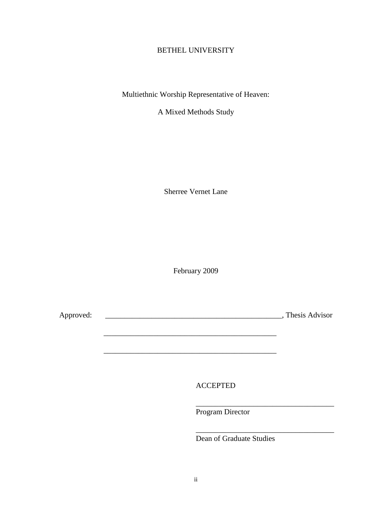# BETHEL UNIVERSITY

Multiethnic Worship Representative of Heaven:

A Mixed Methods Study

Sherree Vernet Lane

February 2009

Approved: \_\_\_\_\_\_\_\_\_\_\_\_\_\_\_\_\_\_\_\_\_\_\_\_\_\_\_\_\_\_\_\_\_\_\_\_\_\_\_\_\_\_\_\_\_\_, Thesis Advisor

\_\_\_\_\_\_\_\_\_\_\_\_\_\_\_\_\_\_\_\_\_\_\_\_\_\_\_\_\_\_\_\_\_\_\_\_\_\_\_\_\_\_\_\_\_

ACCEPTED

\_\_\_\_\_\_\_\_\_\_\_\_\_\_\_\_\_\_\_\_\_\_\_\_\_\_\_\_\_\_\_\_\_\_\_\_\_\_\_\_\_\_\_\_\_

Program Director

Dean of Graduate Studies

\_\_\_\_\_\_\_\_\_\_\_\_\_\_\_\_\_\_\_\_\_\_\_\_\_\_\_\_\_\_\_\_\_\_\_\_

\_\_\_\_\_\_\_\_\_\_\_\_\_\_\_\_\_\_\_\_\_\_\_\_\_\_\_\_\_\_\_\_\_\_\_\_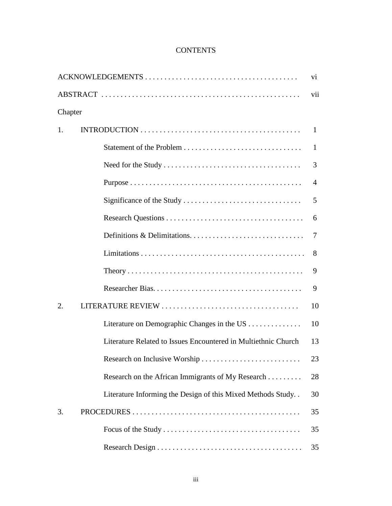# **CONTENTS**

|         |                                                                | V <sub>i</sub> |
|---------|----------------------------------------------------------------|----------------|
|         |                                                                | vii            |
| Chapter |                                                                |                |
| 1.      |                                                                | $\mathbf{1}$   |
|         |                                                                | 1              |
|         |                                                                | 3              |
|         |                                                                | 4              |
|         |                                                                | 5              |
|         |                                                                | 6              |
|         |                                                                | 7              |
|         |                                                                | 8              |
|         |                                                                | 9              |
|         |                                                                | 9              |
| 2.      |                                                                | 10             |
|         | Literature on Demographic Changes in the US                    | 10             |
|         | Literature Related to Issues Encountered in Multiethnic Church | 13             |
|         | Research on Inclusive Worship                                  | 23             |
|         | Research on the African Immigrants of My Research              | 28             |
|         | Literature Informing the Design of this Mixed Methods Study    | 30             |
| 3.      |                                                                | 35             |
|         |                                                                | 35             |
|         |                                                                | 35             |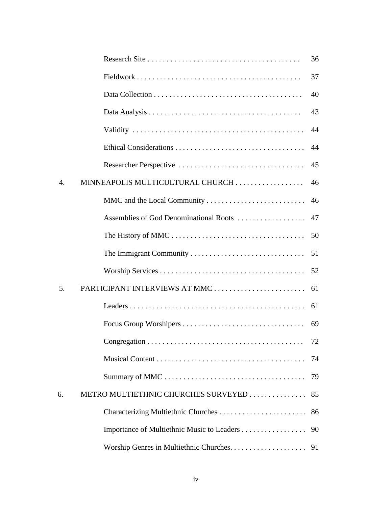|                |                                        | 36 |
|----------------|----------------------------------------|----|
|                |                                        | 37 |
|                |                                        | 40 |
|                |                                        | 43 |
|                |                                        | 44 |
|                |                                        | 44 |
|                |                                        | 45 |
| $\mathbf{4}$ . | MINNEAPOLIS MULTICULTURAL CHURCH       | 46 |
|                | MMC and the Local Community            | 46 |
|                | Assemblies of God Denominational Roots | 47 |
|                |                                        | 50 |
|                |                                        | 51 |
|                |                                        | 52 |
| 5.             | PARTICIPANT INTERVIEWS AT MMC          | 61 |
|                |                                        | 61 |
|                |                                        | 69 |
|                |                                        | 72 |
|                |                                        | 74 |
|                |                                        | 79 |
| 6.             | METRO MULTIETHNIC CHURCHES SURVEYED    | 85 |
|                |                                        | 86 |
|                |                                        | 90 |
|                |                                        | 91 |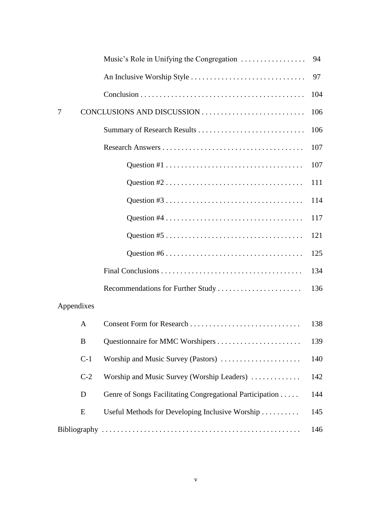|              | Music's Role in Unifying the Congregation                | 94  |
|--------------|----------------------------------------------------------|-----|
|              |                                                          | 97  |
|              |                                                          | 104 |
| 7            | CONCLUSIONS AND DISCUSSION                               | 106 |
|              |                                                          | 106 |
|              |                                                          | 107 |
|              |                                                          | 107 |
|              |                                                          | 111 |
|              |                                                          | 114 |
|              |                                                          | 117 |
|              |                                                          | 121 |
|              |                                                          | 125 |
|              |                                                          | 134 |
|              |                                                          | 136 |
| Appendixes   |                                                          |     |
| $\mathbf{A}$ |                                                          | 138 |
| B            | Questionnaire for MMC Worshipers                         | 139 |
| $C-1$        | Worship and Music Survey (Pastors)                       | 140 |
| $C-2$        | Worship and Music Survey (Worship Leaders)               | 142 |
| D            | Genre of Songs Facilitating Congregational Participation | 144 |
| E            | Useful Methods for Developing Inclusive Worship          | 145 |
|              |                                                          | 146 |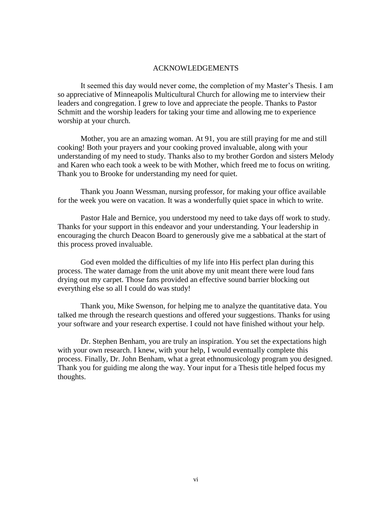#### ACKNOWLEDGEMENTS

It seemed this day would never come, the completion of my Master's Thesis. I am so appreciative of Minneapolis Multicultural Church for allowing me to interview their leaders and congregation. I grew to love and appreciate the people. Thanks to Pastor Schmitt and the worship leaders for taking your time and allowing me to experience worship at your church.

Mother, you are an amazing woman. At 91, you are still praying for me and still cooking! Both your prayers and your cooking proved invaluable, along with your understanding of my need to study. Thanks also to my brother Gordon and sisters Melody and Karen who each took a week to be with Mother, which freed me to focus on writing. Thank you to Brooke for understanding my need for quiet.

Thank you Joann Wessman, nursing professor, for making your office available for the week you were on vacation. It was a wonderfully quiet space in which to write.

Pastor Hale and Bernice, you understood my need to take days off work to study. Thanks for your support in this endeavor and your understanding. Your leadership in encouraging the church Deacon Board to generously give me a sabbatical at the start of this process proved invaluable.

God even molded the difficulties of my life into His perfect plan during this process. The water damage from the unit above my unit meant there were loud fans drying out my carpet. Those fans provided an effective sound barrier blocking out everything else so all I could do was study!

Thank you, Mike Swenson, for helping me to analyze the quantitative data. You talked me through the research questions and offered your suggestions. Thanks for using your software and your research expertise. I could not have finished without your help.

Dr. Stephen Benham, you are truly an inspiration. You set the expectations high with your own research. I knew, with your help, I would eventually complete this process. Finally, Dr. John Benham, what a great ethnomusicology program you designed. Thank you for guiding me along the way. Your input for a Thesis title helped focus my thoughts.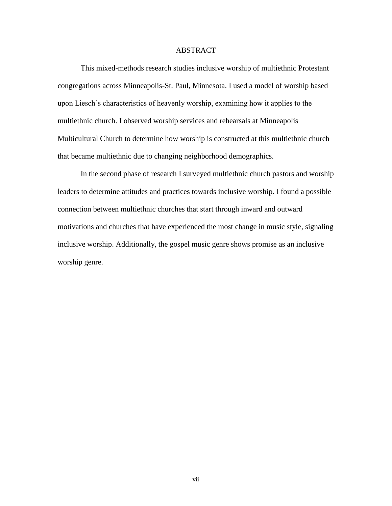#### ABSTRACT

This mixed-methods research studies inclusive worship of multiethnic Protestant congregations across Minneapolis-St. Paul, Minnesota. I used a model of worship based upon Liesch's characteristics of heavenly worship, examining how it applies to the multiethnic church. I observed worship services and rehearsals at Minneapolis Multicultural Church to determine how worship is constructed at this multiethnic church that became multiethnic due to changing neighborhood demographics.

In the second phase of research I surveyed multiethnic church pastors and worship leaders to determine attitudes and practices towards inclusive worship. I found a possible connection between multiethnic churches that start through inward and outward motivations and churches that have experienced the most change in music style, signaling inclusive worship. Additionally, the gospel music genre shows promise as an inclusive worship genre.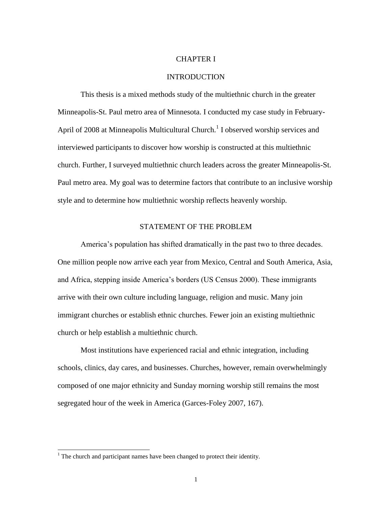#### CHAPTER I

#### INTRODUCTION

This thesis is a mixed methods study of the multiethnic church in the greater Minneapolis-St. Paul metro area of Minnesota. I conducted my case study in February-April of 2008 at Minneapolis Multicultural Church.<sup>1</sup> I observed worship services and interviewed participants to discover how worship is constructed at this multiethnic church. Further, I surveyed multiethnic church leaders across the greater Minneapolis-St. Paul metro area. My goal was to determine factors that contribute to an inclusive worship style and to determine how multiethnic worship reflects heavenly worship.

#### STATEMENT OF THE PROBLEM

America's population has shifted dramatically in the past two to three decades. One million people now arrive each year from Mexico, Central and South America, Asia, and Africa, stepping inside America's borders (US Census 2000). These immigrants arrive with their own culture including language, religion and music. Many join immigrant churches or establish ethnic churches. Fewer join an existing multiethnic church or help establish a multiethnic church.

Most institutions have experienced racial and ethnic integration, including schools, clinics, day cares, and businesses. Churches, however, remain overwhelmingly composed of one major ethnicity and Sunday morning worship still remains the most segregated hour of the week in America (Garces-Foley 2007, 167).

 $\overline{\phantom{a}}$ 

 $1$  The church and participant names have been changed to protect their identity.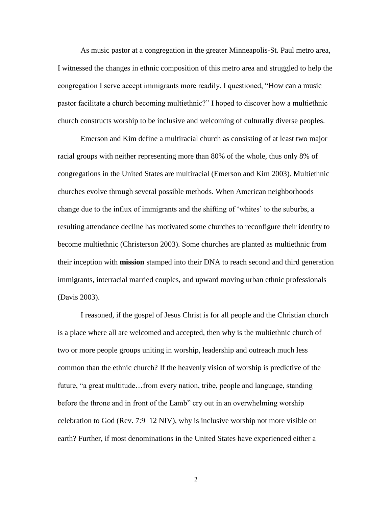As music pastor at a congregation in the greater Minneapolis-St. Paul metro area, I witnessed the changes in ethnic composition of this metro area and struggled to help the congregation I serve accept immigrants more readily. I questioned, "How can a music pastor facilitate a church becoming multiethnic?" I hoped to discover how a multiethnic church constructs worship to be inclusive and welcoming of culturally diverse peoples.

Emerson and Kim define a multiracial church as consisting of at least two major racial groups with neither representing more than 80% of the whole, thus only 8% of congregations in the United States are multiracial (Emerson and Kim 2003). Multiethnic churches evolve through several possible methods. When American neighborhoods change due to the influx of immigrants and the shifting of 'whites' to the suburbs, a resulting attendance decline has motivated some churches to reconfigure their identity to become multiethnic (Christerson 2003). Some churches are planted as multiethnic from their inception with **mission** stamped into their DNA to reach second and third generation immigrants, interracial married couples, and upward moving urban ethnic professionals (Davis 2003).

I reasoned, if the gospel of Jesus Christ is for all people and the Christian church is a place where all are welcomed and accepted, then why is the multiethnic church of two or more people groups uniting in worship, leadership and outreach much less common than the ethnic church? If the heavenly vision of worship is predictive of the future, "a great multitude...from every nation, tribe, people and language, standing before the throne and in front of the Lamb" cry out in an overwhelming worship celebration to God (Rev. 7:9–12 NIV), why is inclusive worship not more visible on earth? Further, if most denominations in the United States have experienced either a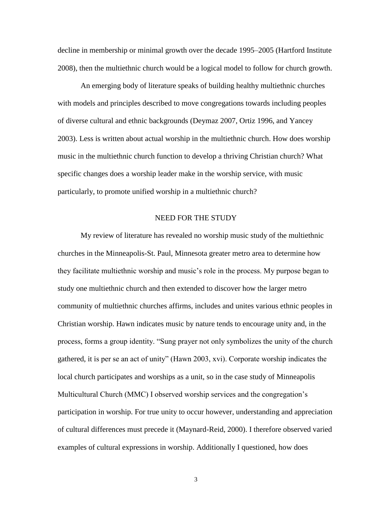decline in membership or minimal growth over the decade 1995–2005 (Hartford Institute 2008), then the multiethnic church would be a logical model to follow for church growth.

An emerging body of literature speaks of building healthy multiethnic churches with models and principles described to move congregations towards including peoples of diverse cultural and ethnic backgrounds (Deymaz 2007, Ortiz 1996, and Yancey 2003). Less is written about actual worship in the multiethnic church. How does worship music in the multiethnic church function to develop a thriving Christian church? What specific changes does a worship leader make in the worship service, with music particularly, to promote unified worship in a multiethnic church?

## NEED FOR THE STUDY

My review of literature has revealed no worship music study of the multiethnic churches in the Minneapolis-St. Paul, Minnesota greater metro area to determine how they facilitate multiethnic worship and music's role in the process. My purpose began to study one multiethnic church and then extended to discover how the larger metro community of multiethnic churches affirms, includes and unites various ethnic peoples in Christian worship. Hawn indicates music by nature tends to encourage unity and, in the process, forms a group identity. "Sung prayer not only symbolizes the unity of the church gathered, it is per se an act of unity" (Hawn 2003, xvi). Corporate worship indicates the local church participates and worships as a unit, so in the case study of Minneapolis Multicultural Church (MMC) I observed worship services and the congregation's participation in worship. For true unity to occur however, understanding and appreciation of cultural differences must precede it (Maynard-Reid, 2000). I therefore observed varied examples of cultural expressions in worship. Additionally I questioned, how does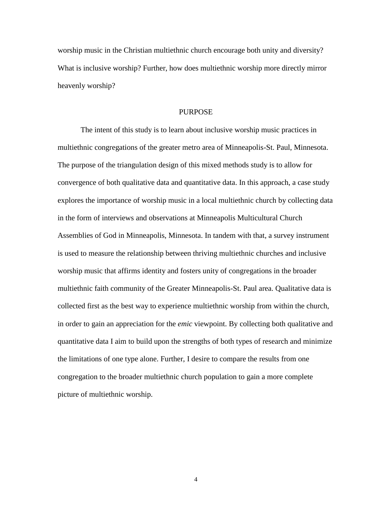worship music in the Christian multiethnic church encourage both unity and diversity? What is inclusive worship? Further, how does multiethnic worship more directly mirror heavenly worship?

#### PURPOSE

The intent of this study is to learn about inclusive worship music practices in multiethnic congregations of the greater metro area of Minneapolis-St. Paul, Minnesota. The purpose of the triangulation design of this mixed methods study is to allow for convergence of both qualitative data and quantitative data. In this approach, a case study explores the importance of worship music in a local multiethnic church by collecting data in the form of interviews and observations at Minneapolis Multicultural Church Assemblies of God in Minneapolis, Minnesota. In tandem with that, a survey instrument is used to measure the relationship between thriving multiethnic churches and inclusive worship music that affirms identity and fosters unity of congregations in the broader multiethnic faith community of the Greater Minneapolis-St. Paul area. Qualitative data is collected first as the best way to experience multiethnic worship from within the church, in order to gain an appreciation for the *emic* viewpoint. By collecting both qualitative and quantitative data I aim to build upon the strengths of both types of research and minimize the limitations of one type alone. Further, I desire to compare the results from one congregation to the broader multiethnic church population to gain a more complete picture of multiethnic worship.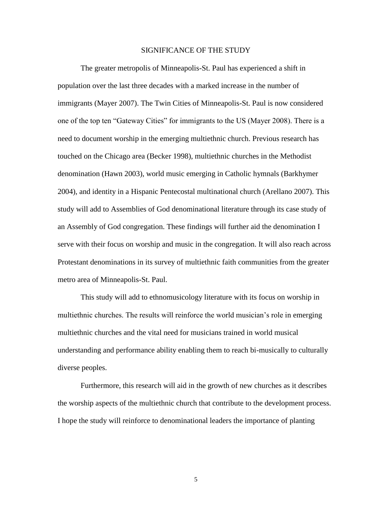#### SIGNIFICANCE OF THE STUDY

The greater metropolis of Minneapolis-St. Paul has experienced a shift in population over the last three decades with a marked increase in the number of immigrants (Mayer 2007). The Twin Cities of Minneapolis-St. Paul is now considered one of the top ten "Gateway Cities" for immigrants to the US (Mayer 2008). There is a need to document worship in the emerging multiethnic church. Previous research has touched on the Chicago area (Becker 1998), multiethnic churches in the Methodist denomination (Hawn 2003), world music emerging in Catholic hymnals (Barkhymer 2004), and identity in a Hispanic Pentecostal multinational church (Arellano 2007). This study will add to Assemblies of God denominational literature through its case study of an Assembly of God congregation. These findings will further aid the denomination I serve with their focus on worship and music in the congregation. It will also reach across Protestant denominations in its survey of multiethnic faith communities from the greater metro area of Minneapolis-St. Paul.

This study will add to ethnomusicology literature with its focus on worship in multiethnic churches. The results will reinforce the world musician's role in emerging multiethnic churches and the vital need for musicians trained in world musical understanding and performance ability enabling them to reach bi-musically to culturally diverse peoples.

Furthermore, this research will aid in the growth of new churches as it describes the worship aspects of the multiethnic church that contribute to the development process. I hope the study will reinforce to denominational leaders the importance of planting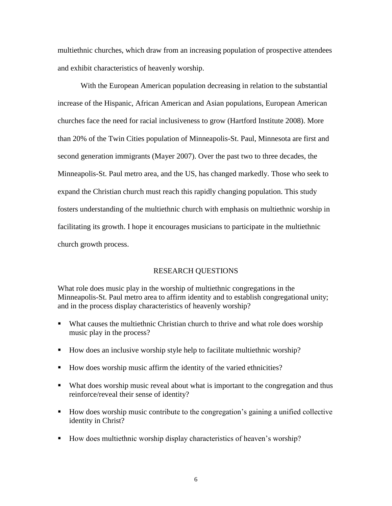multiethnic churches, which draw from an increasing population of prospective attendees and exhibit characteristics of heavenly worship.

With the European American population decreasing in relation to the substantial increase of the Hispanic, African American and Asian populations, European American churches face the need for racial inclusiveness to grow (Hartford Institute 2008). More than 20% of the Twin Cities population of Minneapolis-St. Paul, Minnesota are first and second generation immigrants (Mayer 2007). Over the past two to three decades, the Minneapolis-St. Paul metro area, and the US, has changed markedly. Those who seek to expand the Christian church must reach this rapidly changing population. This study fosters understanding of the multiethnic church with emphasis on multiethnic worship in facilitating its growth. I hope it encourages musicians to participate in the multiethnic church growth process.

# RESEARCH QUESTIONS

What role does music play in the worship of multiethnic congregations in the Minneapolis-St. Paul metro area to affirm identity and to establish congregational unity; and in the process display characteristics of heavenly worship?

- What causes the multiethnic Christian church to thrive and what role does worship music play in the process?
- How does an inclusive worship style help to facilitate multiethnic worship?
- How does worship music affirm the identity of the varied ethnicities?
- What does worship music reveal about what is important to the congregation and thus reinforce/reveal their sense of identity?
- How does worship music contribute to the congregation's gaining a unified collective identity in Christ?
- How does multiethnic worship display characteristics of heaven's worship?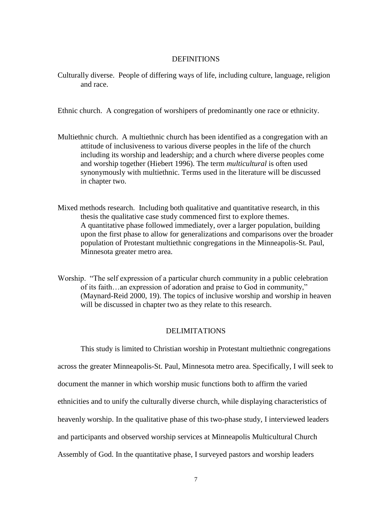#### DEFINITIONS

Culturally diverse. People of differing ways of life, including culture, language, religion and race.

Ethnic church. A congregation of worshipers of predominantly one race or ethnicity.

- Multiethnic church. A multiethnic church has been identified as a congregation with an attitude of inclusiveness to various diverse peoples in the life of the church including its worship and leadership; and a church where diverse peoples come and worship together (Hiebert 1996). The term *multicultural* is often used synonymously with multiethnic. Terms used in the literature will be discussed in chapter two.
- Mixed methods research. Including both qualitative and quantitative research, in this thesis the qualitative case study commenced first to explore themes. A quantitative phase followed immediately, over a larger population, building upon the first phase to allow for generalizations and comparisons over the broader population of Protestant multiethnic congregations in the Minneapolis-St. Paul, Minnesota greater metro area.
- Worship. "The self expression of a particular church community in a public celebration of its faith…an expression of adoration and praise to God in community," (Maynard-Reid 2000, 19). The topics of inclusive worship and worship in heaven will be discussed in chapter two as they relate to this research.

#### DELIMITATIONS

This study is limited to Christian worship in Protestant multiethnic congregations across the greater Minneapolis-St. Paul, Minnesota metro area. Specifically, I will seek to document the manner in which worship music functions both to affirm the varied ethnicities and to unify the culturally diverse church, while displaying characteristics of heavenly worship. In the qualitative phase of this two-phase study, I interviewed leaders and participants and observed worship services at Minneapolis Multicultural Church Assembly of God. In the quantitative phase, I surveyed pastors and worship leaders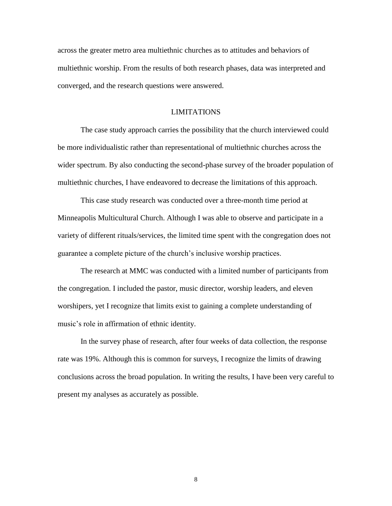across the greater metro area multiethnic churches as to attitudes and behaviors of multiethnic worship. From the results of both research phases, data was interpreted and converged, and the research questions were answered.

#### LIMITATIONS

The case study approach carries the possibility that the church interviewed could be more individualistic rather than representational of multiethnic churches across the wider spectrum. By also conducting the second-phase survey of the broader population of multiethnic churches, I have endeavored to decrease the limitations of this approach.

This case study research was conducted over a three-month time period at Minneapolis Multicultural Church. Although I was able to observe and participate in a variety of different rituals/services, the limited time spent with the congregation does not guarantee a complete picture of the church's inclusive worship practices.

The research at MMC was conducted with a limited number of participants from the congregation. I included the pastor, music director, worship leaders, and eleven worshipers, yet I recognize that limits exist to gaining a complete understanding of music's role in affirmation of ethnic identity.

In the survey phase of research, after four weeks of data collection, the response rate was 19%. Although this is common for surveys, I recognize the limits of drawing conclusions across the broad population. In writing the results, I have been very careful to present my analyses as accurately as possible.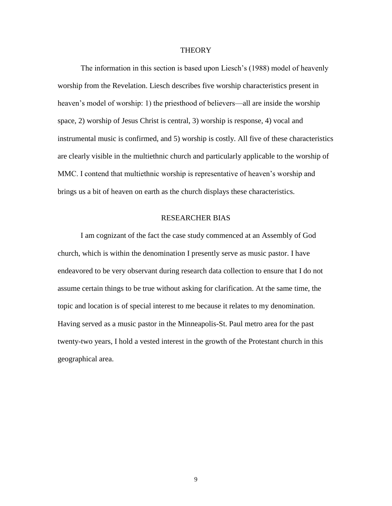#### **THEORY**

The information in this section is based upon Liesch's (1988) model of heavenly worship from the Revelation. Liesch describes five worship characteristics present in heaven's model of worship: 1) the priesthood of believers—all are inside the worship space, 2) worship of Jesus Christ is central, 3) worship is response, 4) vocal and instrumental music is confirmed, and 5) worship is costly. All five of these characteristics are clearly visible in the multiethnic church and particularly applicable to the worship of MMC. I contend that multiethnic worship is representative of heaven's worship and brings us a bit of heaven on earth as the church displays these characteristics.

## RESEARCHER BIAS

I am cognizant of the fact the case study commenced at an Assembly of God church, which is within the denomination I presently serve as music pastor. I have endeavored to be very observant during research data collection to ensure that I do not assume certain things to be true without asking for clarification. At the same time, the topic and location is of special interest to me because it relates to my denomination. Having served as a music pastor in the Minneapolis-St. Paul metro area for the past twenty-two years, I hold a vested interest in the growth of the Protestant church in this geographical area.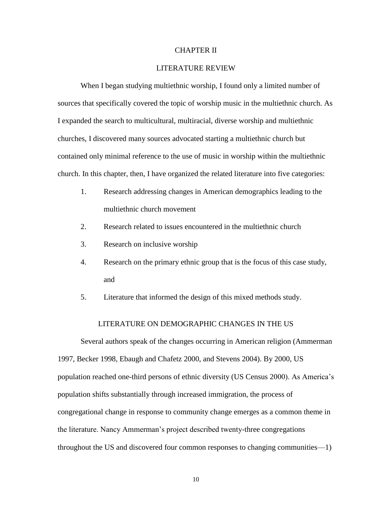#### CHAPTER II

## LITERATURE REVIEW

When I began studying multiethnic worship, I found only a limited number of sources that specifically covered the topic of worship music in the multiethnic church. As I expanded the search to multicultural, multiracial, diverse worship and multiethnic churches, I discovered many sources advocated starting a multiethnic church but contained only minimal reference to the use of music in worship within the multiethnic church. In this chapter, then, I have organized the related literature into five categories:

- 1. Research addressing changes in American demographics leading to the multiethnic church movement
- 2. Research related to issues encountered in the multiethnic church
- 3. Research on inclusive worship
- 4. Research on the primary ethnic group that is the focus of this case study, and
- 5. Literature that informed the design of this mixed methods study.

## LITERATURE ON DEMOGRAPHIC CHANGES IN THE US

Several authors speak of the changes occurring in American religion (Ammerman 1997, Becker 1998, Ebaugh and Chafetz 2000, and Stevens 2004). By 2000, US population reached one-third persons of ethnic diversity (US Census 2000). As America's population shifts substantially through increased immigration, the process of congregational change in response to community change emerges as a common theme in the literature. Nancy Ammerman's project described twenty-three congregations throughout the US and discovered four common responses to changing communities—1)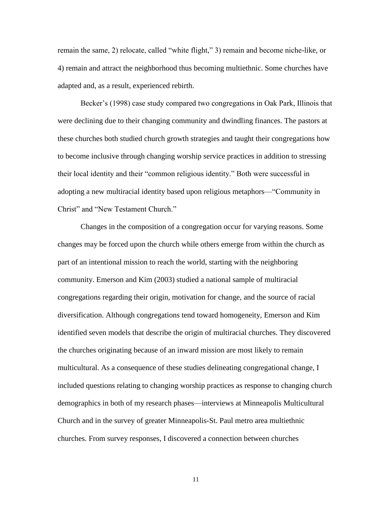remain the same, 2) relocate, called "white flight," 3) remain and become niche-like, or 4) remain and attract the neighborhood thus becoming multiethnic. Some churches have adapted and, as a result, experienced rebirth.

Becker's (1998) case study compared two congregations in Oak Park, Illinois that were declining due to their changing community and dwindling finances. The pastors at these churches both studied church growth strategies and taught their congregations how to become inclusive through changing worship service practices in addition to stressing their local identity and their "common religious identity." Both were successful in adopting a new multiracial identity based upon religious metaphors— "Community in Christ" and "New Testament Church."

Changes in the composition of a congregation occur for varying reasons. Some changes may be forced upon the church while others emerge from within the church as part of an intentional mission to reach the world, starting with the neighboring community. Emerson and Kim (2003) studied a national sample of multiracial congregations regarding their origin, motivation for change, and the source of racial diversification. Although congregations tend toward homogeneity, Emerson and Kim identified seven models that describe the origin of multiracial churches. They discovered the churches originating because of an inward mission are most likely to remain multicultural. As a consequence of these studies delineating congregational change, I included questions relating to changing worship practices as response to changing church demographics in both of my research phases—interviews at Minneapolis Multicultural Church and in the survey of greater Minneapolis-St. Paul metro area multiethnic churches. From survey responses, I discovered a connection between churches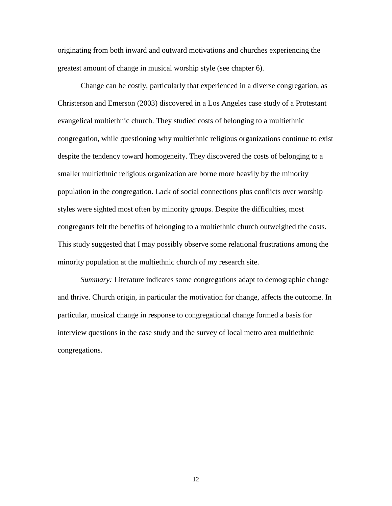originating from both inward and outward motivations and churches experiencing the greatest amount of change in musical worship style (see chapter 6).

Change can be costly, particularly that experienced in a diverse congregation, as Christerson and Emerson (2003) discovered in a Los Angeles case study of a Protestant evangelical multiethnic church. They studied costs of belonging to a multiethnic congregation, while questioning why multiethnic religious organizations continue to exist despite the tendency toward homogeneity. They discovered the costs of belonging to a smaller multiethnic religious organization are borne more heavily by the minority population in the congregation. Lack of social connections plus conflicts over worship styles were sighted most often by minority groups. Despite the difficulties, most congregants felt the benefits of belonging to a multiethnic church outweighed the costs. This study suggested that I may possibly observe some relational frustrations among the minority population at the multiethnic church of my research site.

*Summary:* Literature indicates some congregations adapt to demographic change and thrive. Church origin, in particular the motivation for change, affects the outcome. In particular, musical change in response to congregational change formed a basis for interview questions in the case study and the survey of local metro area multiethnic congregations.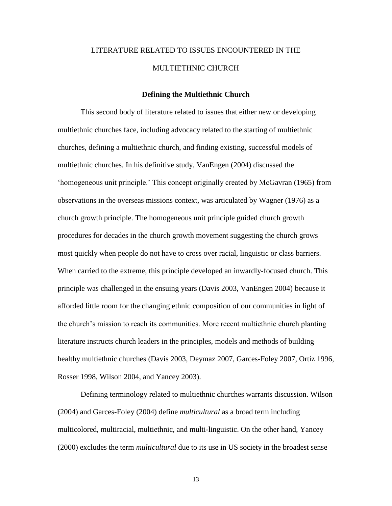# LITERATURE RELATED TO ISSUES ENCOUNTERED IN THE MULTIETHNIC CHURCH

#### **Defining the Multiethnic Church**

This second body of literature related to issues that either new or developing multiethnic churches face, including advocacy related to the starting of multiethnic churches, defining a multiethnic church, and finding existing, successful models of multiethnic churches. In his definitive study, VanEngen (2004) discussed the ‗homogeneous unit principle.' This concept originally created by McGavran (1965) from observations in the overseas missions context, was articulated by Wagner (1976) as a church growth principle. The homogeneous unit principle guided church growth procedures for decades in the church growth movement suggesting the church grows most quickly when people do not have to cross over racial, linguistic or class barriers. When carried to the extreme, this principle developed an inwardly-focused church. This principle was challenged in the ensuing years (Davis 2003, VanEngen 2004) because it afforded little room for the changing ethnic composition of our communities in light of the church's mission to reach its communities. More recent multiethnic church planting literature instructs church leaders in the principles, models and methods of building healthy multiethnic churches (Davis 2003, Deymaz 2007, Garces-Foley 2007, Ortiz 1996, Rosser 1998, Wilson 2004, and Yancey 2003).

Defining terminology related to multiethnic churches warrants discussion. Wilson (2004) and Garces-Foley (2004) define *multicultural* as a broad term including multicolored, multiracial, multiethnic, and multi-linguistic. On the other hand, Yancey (2000) excludes the term *multicultural* due to its use in US society in the broadest sense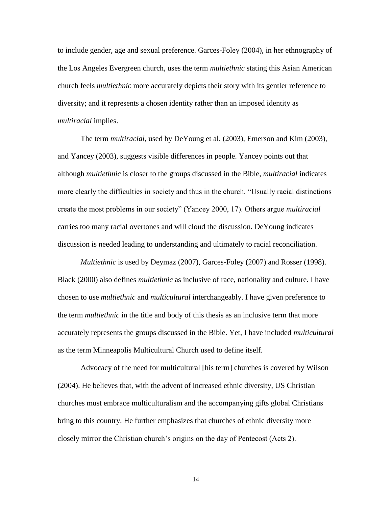to include gender, age and sexual preference. Garces-Foley (2004), in her ethnography of the Los Angeles Evergreen church, uses the term *multiethnic* stating this Asian American church feels *multiethnic* more accurately depicts their story with its gentler reference to diversity; and it represents a chosen identity rather than an imposed identity as *multiracial* implies.

The term *multiracial*, used by DeYoung et al. (2003), Emerson and Kim (2003), and Yancey (2003), suggests visible differences in people. Yancey points out that although *multiethnic* is closer to the groups discussed in the Bible, *multiracial* indicates more clearly the difficulties in society and thus in the church. "Usually racial distinctions create the most problems in our society" (Yancey 2000, 17). Others argue *multiracial* carries too many racial overtones and will cloud the discussion. DeYoung indicates discussion is needed leading to understanding and ultimately to racial reconciliation.

*Multiethnic* is used by Deymaz (2007), Garces-Foley (2007) and Rosser (1998). Black (2000) also defines *multiethnic* as inclusive of race, nationality and culture. I have chosen to use *multiethnic* and *multicultural* interchangeably. I have given preference to the term *multiethnic* in the title and body of this thesis as an inclusive term that more accurately represents the groups discussed in the Bible. Yet, I have included *multicultural* as the term Minneapolis Multicultural Church used to define itself.

Advocacy of the need for multicultural [his term] churches is covered by Wilson (2004). He believes that, with the advent of increased ethnic diversity, US Christian churches must embrace multiculturalism and the accompanying gifts global Christians bring to this country. He further emphasizes that churches of ethnic diversity more closely mirror the Christian church's origins on the day of Pentecost (Acts 2).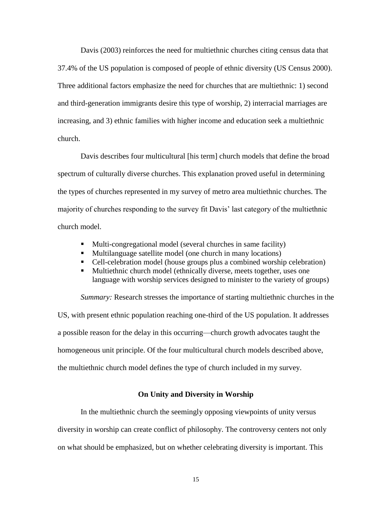Davis (2003) reinforces the need for multiethnic churches citing census data that 37.4% of the US population is composed of people of ethnic diversity (US Census 2000). Three additional factors emphasize the need for churches that are multiethnic: 1) second and third-generation immigrants desire this type of worship, 2) interracial marriages are increasing, and 3) ethnic families with higher income and education seek a multiethnic church.

Davis describes four multicultural [his term] church models that define the broad spectrum of culturally diverse churches. This explanation proved useful in determining the types of churches represented in my survey of metro area multiethnic churches. The majority of churches responding to the survey fit Davis' last category of the multiethnic church model.

- Multi-congregational model (several churches in same facility)
- Multilanguage satellite model (one church in many locations)
- Cell-celebration model (house groups plus a combined worship celebration)
- Multiethnic church model (ethnically diverse, meets together, uses one language with worship services designed to minister to the variety of groups)

*Summary:* Research stresses the importance of starting multiethnic churches in the US, with present ethnic population reaching one-third of the US population. It addresses a possible reason for the delay in this occurring—church growth advocates taught the homogeneous unit principle. Of the four multicultural church models described above, the multiethnic church model defines the type of church included in my survey.

#### **On Unity and Diversity in Worship**

In the multiethnic church the seemingly opposing viewpoints of unity versus diversity in worship can create conflict of philosophy. The controversy centers not only on what should be emphasized, but on whether celebrating diversity is important. This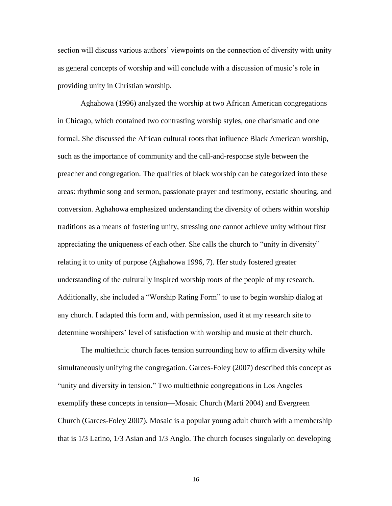section will discuss various authors' viewpoints on the connection of diversity with unity as general concepts of worship and will conclude with a discussion of music's role in providing unity in Christian worship.

Aghahowa (1996) analyzed the worship at two African American congregations in Chicago, which contained two contrasting worship styles, one charismatic and one formal. She discussed the African cultural roots that influence Black American worship, such as the importance of community and the call-and-response style between the preacher and congregation. The qualities of black worship can be categorized into these areas: rhythmic song and sermon, passionate prayer and testimony, ecstatic shouting, and conversion. Aghahowa emphasized understanding the diversity of others within worship traditions as a means of fostering unity, stressing one cannot achieve unity without first appreciating the uniqueness of each other. She calls the church to "unity in diversity" relating it to unity of purpose (Aghahowa 1996, 7). Her study fostered greater understanding of the culturally inspired worship roots of the people of my research. Additionally, she included a "Worship Rating Form" to use to begin worship dialog at any church. I adapted this form and, with permission, used it at my research site to determine worshipers' level of satisfaction with worship and music at their church.

The multiethnic church faces tension surrounding how to affirm diversity while simultaneously unifying the congregation. Garces-Foley (2007) described this concept as "unity and diversity in tension." Two multiethnic congregations in Los Angeles exemplify these concepts in tension—Mosaic Church (Marti 2004) and Evergreen Church (Garces-Foley 2007). Mosaic is a popular young adult church with a membership that is 1/3 Latino, 1/3 Asian and 1/3 Anglo. The church focuses singularly on developing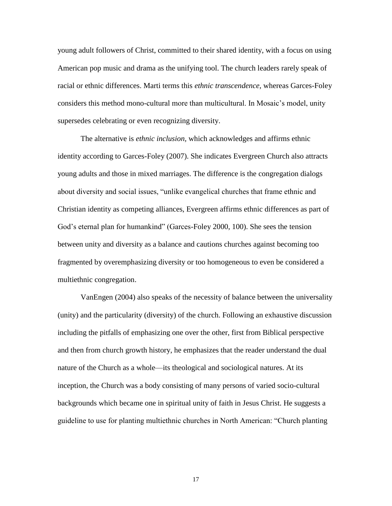young adult followers of Christ, committed to their shared identity, with a focus on using American pop music and drama as the unifying tool. The church leaders rarely speak of racial or ethnic differences. Marti terms this *ethnic transcendence,* whereas Garces-Foley considers this method mono-cultural more than multicultural. In Mosaic's model, unity supersedes celebrating or even recognizing diversity.

The alternative is *ethnic inclusion,* which acknowledges and affirms ethnic identity according to Garces-Foley (2007). She indicates Evergreen Church also attracts young adults and those in mixed marriages. The difference is the congregation dialogs about diversity and social issues, "unlike evangelical churches that frame ethnic and Christian identity as competing alliances, Evergreen affirms ethnic differences as part of God's eternal plan for humankind" (Garces-Foley 2000, 100). She sees the tension between unity and diversity as a balance and cautions churches against becoming too fragmented by overemphasizing diversity or too homogeneous to even be considered a multiethnic congregation.

VanEngen (2004) also speaks of the necessity of balance between the universality (unity) and the particularity (diversity) of the church. Following an exhaustive discussion including the pitfalls of emphasizing one over the other, first from Biblical perspective and then from church growth history, he emphasizes that the reader understand the dual nature of the Church as a whole—its theological and sociological natures. At its inception, the Church was a body consisting of many persons of varied socio-cultural backgrounds which became one in spiritual unity of faith in Jesus Christ. He suggests a guideline to use for planting multiethnic churches in North American: "Church planting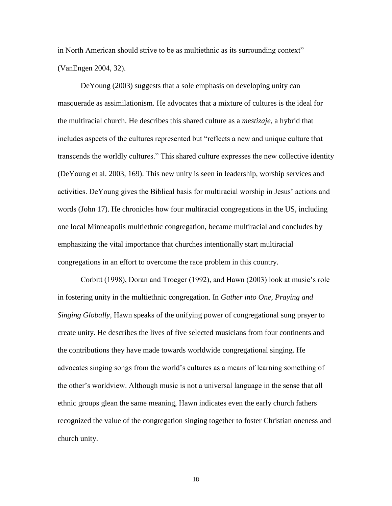in North American should strive to be as multiethnic as its surrounding context" (VanEngen 2004, 32).

DeYoung (2003) suggests that a sole emphasis on developing unity can masquerade as assimilationism. He advocates that a mixture of cultures is the ideal for the multiracial church. He describes this shared culture as a *mestizaje,* a hybrid that includes aspects of the cultures represented but "reflects a new and unique culture that transcends the worldly cultures." This shared culture expresses the new collective identity (DeYoung et al. 2003, 169). This new unity is seen in leadership, worship services and activities. DeYoung gives the Biblical basis for multiracial worship in Jesus' actions and words (John 17). He chronicles how four multiracial congregations in the US, including one local Minneapolis multiethnic congregation, became multiracial and concludes by emphasizing the vital importance that churches intentionally start multiracial congregations in an effort to overcome the race problem in this country.

Corbitt (1998), Doran and Troeger (1992), and Hawn (2003) look at music's role in fostering unity in the multiethnic congregation. In *Gather into One, Praying and Singing Globally*, Hawn speaks of the unifying power of congregational sung prayer to create unity. He describes the lives of five selected musicians from four continents and the contributions they have made towards worldwide congregational singing. He advocates singing songs from the world's cultures as a means of learning something of the other's worldview. Although music is not a universal language in the sense that all ethnic groups glean the same meaning, Hawn indicates even the early church fathers recognized the value of the congregation singing together to foster Christian oneness and church unity.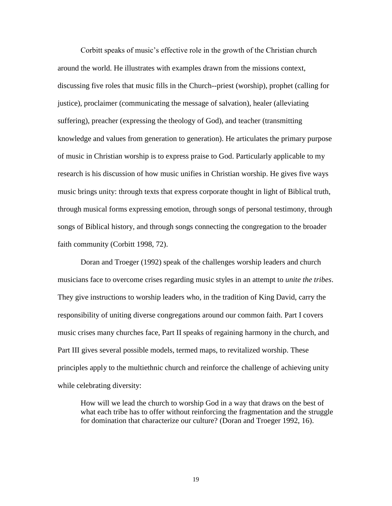Corbitt speaks of music's effective role in the growth of the Christian church around the world. He illustrates with examples drawn from the missions context, discussing five roles that music fills in the Church--priest (worship), prophet (calling for justice), proclaimer (communicating the message of salvation), healer (alleviating suffering), preacher (expressing the theology of God), and teacher (transmitting knowledge and values from generation to generation). He articulates the primary purpose of music in Christian worship is to express praise to God. Particularly applicable to my research is his discussion of how music unifies in Christian worship. He gives five ways music brings unity: through texts that express corporate thought in light of Biblical truth, through musical forms expressing emotion, through songs of personal testimony, through songs of Biblical history, and through songs connecting the congregation to the broader faith community (Corbitt 1998, 72).

Doran and Troeger (1992) speak of the challenges worship leaders and church musicians face to overcome crises regarding music styles in an attempt to *unite the tribes*. They give instructions to worship leaders who, in the tradition of King David, carry the responsibility of uniting diverse congregations around our common faith. Part I covers music crises many churches face, Part II speaks of regaining harmony in the church, and Part III gives several possible models, termed maps, to revitalized worship. These principles apply to the multiethnic church and reinforce the challenge of achieving unity while celebrating diversity:

How will we lead the church to worship God in a way that draws on the best of what each tribe has to offer without reinforcing the fragmentation and the struggle for domination that characterize our culture? (Doran and Troeger 1992, 16).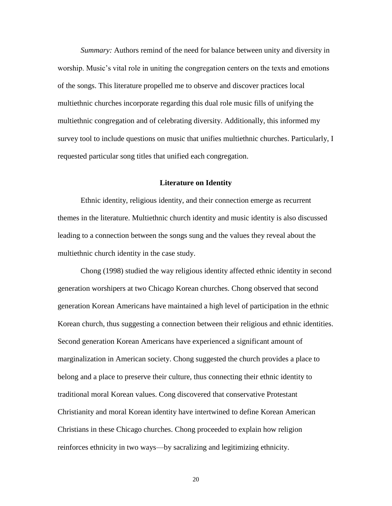*Summary:* Authors remind of the need for balance between unity and diversity in worship. Music's vital role in uniting the congregation centers on the texts and emotions of the songs. This literature propelled me to observe and discover practices local multiethnic churches incorporate regarding this dual role music fills of unifying the multiethnic congregation and of celebrating diversity. Additionally, this informed my survey tool to include questions on music that unifies multiethnic churches. Particularly, I requested particular song titles that unified each congregation.

#### **Literature on Identity**

Ethnic identity, religious identity, and their connection emerge as recurrent themes in the literature. Multiethnic church identity and music identity is also discussed leading to a connection between the songs sung and the values they reveal about the multiethnic church identity in the case study.

Chong (1998) studied the way religious identity affected ethnic identity in second generation worshipers at two Chicago Korean churches. Chong observed that second generation Korean Americans have maintained a high level of participation in the ethnic Korean church, thus suggesting a connection between their religious and ethnic identities. Second generation Korean Americans have experienced a significant amount of marginalization in American society. Chong suggested the church provides a place to belong and a place to preserve their culture, thus connecting their ethnic identity to traditional moral Korean values. Cong discovered that conservative Protestant Christianity and moral Korean identity have intertwined to define Korean American Christians in these Chicago churches. Chong proceeded to explain how religion reinforces ethnicity in two ways—by sacralizing and legitimizing ethnicity.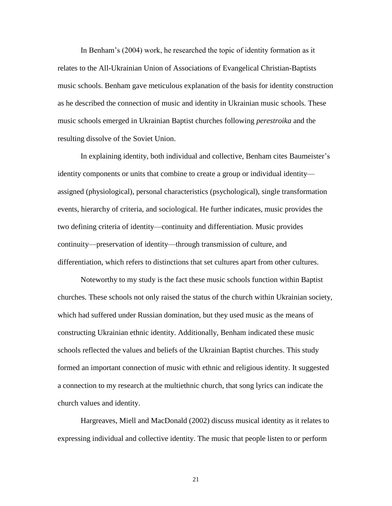In Benham's (2004) work, he researched the topic of identity formation as it relates to the All-Ukrainian Union of Associations of Evangelical Christian-Baptists music schools. Benham gave meticulous explanation of the basis for identity construction as he described the connection of music and identity in Ukrainian music schools. These music schools emerged in Ukrainian Baptist churches following *perestroika* and the resulting dissolve of the Soviet Union.

In explaining identity, both individual and collective, Benham cites Baumeister's identity components or units that combine to create a group or individual identity assigned (physiological), personal characteristics (psychological), single transformation events, hierarchy of criteria, and sociological. He further indicates, music provides the two defining criteria of identity—continuity and differentiation. Music provides continuity—preservation of identity—through transmission of culture, and differentiation, which refers to distinctions that set cultures apart from other cultures.

Noteworthy to my study is the fact these music schools function within Baptist churches. These schools not only raised the status of the church within Ukrainian society, which had suffered under Russian domination, but they used music as the means of constructing Ukrainian ethnic identity. Additionally, Benham indicated these music schools reflected the values and beliefs of the Ukrainian Baptist churches. This study formed an important connection of music with ethnic and religious identity. It suggested a connection to my research at the multiethnic church, that song lyrics can indicate the church values and identity.

Hargreaves, Miell and MacDonald (2002) discuss musical identity as it relates to expressing individual and collective identity. The music that people listen to or perform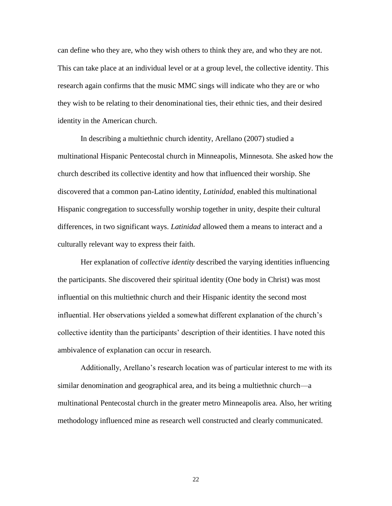can define who they are, who they wish others to think they are, and who they are not. This can take place at an individual level or at a group level, the collective identity. This research again confirms that the music MMC sings will indicate who they are or who they wish to be relating to their denominational ties, their ethnic ties, and their desired identity in the American church.

In describing a multiethnic church identity, Arellano (2007) studied a multinational Hispanic Pentecostal church in Minneapolis, Minnesota. She asked how the church described its collective identity and how that influenced their worship. She discovered that a common pan-Latino identity*, Latinidad*, enabled this multinational Hispanic congregation to successfully worship together in unity, despite their cultural differences, in two significant ways. *Latinidad* allowed them a means to interact and a culturally relevant way to express their faith.

Her explanation of *collective identity* described the varying identities influencing the participants. She discovered their spiritual identity (One body in Christ) was most influential on this multiethnic church and their Hispanic identity the second most influential. Her observations yielded a somewhat different explanation of the church's collective identity than the participants' description of their identities. I have noted this ambivalence of explanation can occur in research.

Additionally, Arellano's research location was of particular interest to me with its similar denomination and geographical area, and its being a multiethnic church—a multinational Pentecostal church in the greater metro Minneapolis area. Also, her writing methodology influenced mine as research well constructed and clearly communicated.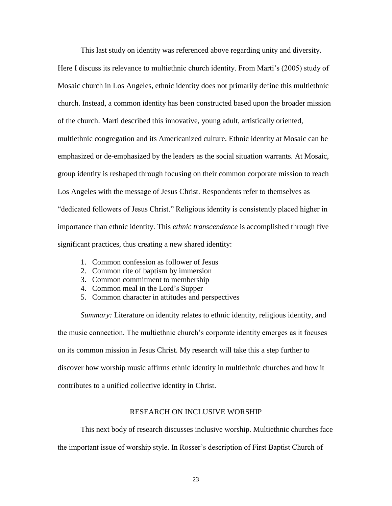This last study on identity was referenced above regarding unity and diversity.

Here I discuss its relevance to multiethnic church identity. From Marti's (2005) study of Mosaic church in Los Angeles, ethnic identity does not primarily define this multiethnic church. Instead, a common identity has been constructed based upon the broader mission of the church. Marti described this innovative, young adult, artistically oriented, multiethnic congregation and its Americanized culture. Ethnic identity at Mosaic can be emphasized or de-emphasized by the leaders as the social situation warrants. At Mosaic, group identity is reshaped through focusing on their common corporate mission to reach Los Angeles with the message of Jesus Christ. Respondents refer to themselves as "dedicated followers of Jesus Christ." Religious identity is consistently placed higher in importance than ethnic identity. This *ethnic transcendence* is accomplished through five significant practices, thus creating a new shared identity:

- 1. Common confession as follower of Jesus
- 2. Common rite of baptism by immersion
- 3. Common commitment to membership
- 4. Common meal in the Lord's Supper
- 5. Common character in attitudes and perspectives

*Summary:* Literature on identity relates to ethnic identity, religious identity, and the music connection. The multiethnic church's corporate identity emerges as it focuses on its common mission in Jesus Christ. My research will take this a step further to discover how worship music affirms ethnic identity in multiethnic churches and how it contributes to a unified collective identity in Christ.

#### RESEARCH ON INCLUSIVE WORSHIP

This next body of research discusses inclusive worship. Multiethnic churches face the important issue of worship style. In Rosser's description of First Baptist Church of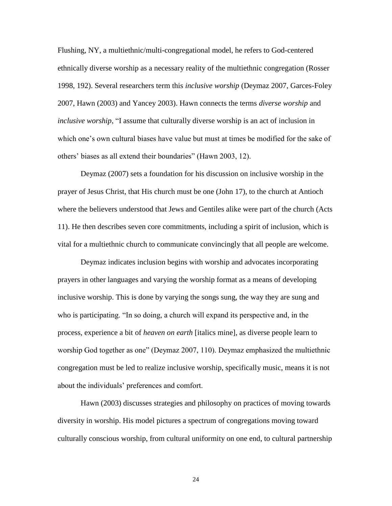Flushing, NY, a multiethnic/multi-congregational model, he refers to God-centered ethnically diverse worship as a necessary reality of the multiethnic congregation (Rosser 1998, 192). Several researchers term this *inclusive worship* (Deymaz 2007, Garces-Foley 2007, Hawn (2003) and Yancey 2003). Hawn connects the terms *diverse worship* and *inclusive worship*, "I assume that culturally diverse worship is an act of inclusion in which one's own cultural biases have value but must at times be modified for the sake of others' biases as all extend their boundaries" (Hawn 2003, 12).

Deymaz (2007) sets a foundation for his discussion on inclusive worship in the prayer of Jesus Christ, that His church must be one (John 17), to the church at Antioch where the believers understood that Jews and Gentiles alike were part of the church (Acts 11). He then describes seven core commitments, including a spirit of inclusion, which is vital for a multiethnic church to communicate convincingly that all people are welcome.

Deymaz indicates inclusion begins with worship and advocates incorporating prayers in other languages and varying the worship format as a means of developing inclusive worship. This is done by varying the songs sung, the way they are sung and who is participating. "In so doing, a church will expand its perspective and, in the process, experience a bit of *heaven on earth* [italics mine], as diverse people learn to worship God together as one" (Deymaz 2007, 110). Deymaz emphasized the multiethnic congregation must be led to realize inclusive worship, specifically music, means it is not about the individuals' preferences and comfort.

Hawn (2003) discusses strategies and philosophy on practices of moving towards diversity in worship. His model pictures a spectrum of congregations moving toward culturally conscious worship, from cultural uniformity on one end, to cultural partnership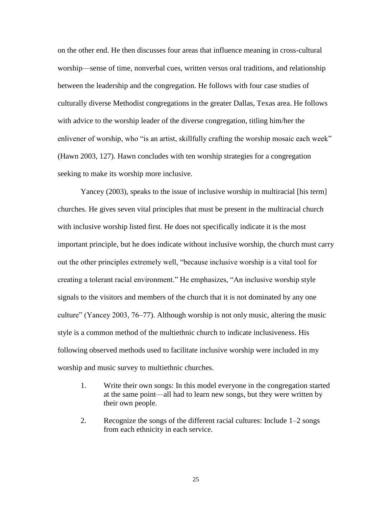on the other end. He then discusses four areas that influence meaning in cross-cultural worship—sense of time, nonverbal cues, written versus oral traditions, and relationship between the leadership and the congregation. He follows with four case studies of culturally diverse Methodist congregations in the greater Dallas, Texas area. He follows with advice to the worship leader of the diverse congregation, titling him/her the enlivener of worship, who "is an artist, skillfully crafting the worship mosaic each week" (Hawn 2003, 127). Hawn concludes with ten worship strategies for a congregation seeking to make its worship more inclusive.

Yancey (2003), speaks to the issue of inclusive worship in multiracial [his term] churches. He gives seven vital principles that must be present in the multiracial church with inclusive worship listed first. He does not specifically indicate it is the most important principle, but he does indicate without inclusive worship, the church must carry out the other principles extremely well, "because inclusive worship is a vital tool for creating a tolerant racial environment." He emphasizes, "An inclusive worship style signals to the visitors and members of the church that it is not dominated by any one culture" (Yancey 2003,  $76-77$ ). Although worship is not only music, altering the music style is a common method of the multiethnic church to indicate inclusiveness. His following observed methods used to facilitate inclusive worship were included in my worship and music survey to multiethnic churches.

- 1. Write their own songs: In this model everyone in the congregation started at the same point—all had to learn new songs, but they were written by their own people.
- 2. Recognize the songs of the different racial cultures: Include 1–2 songs from each ethnicity in each service.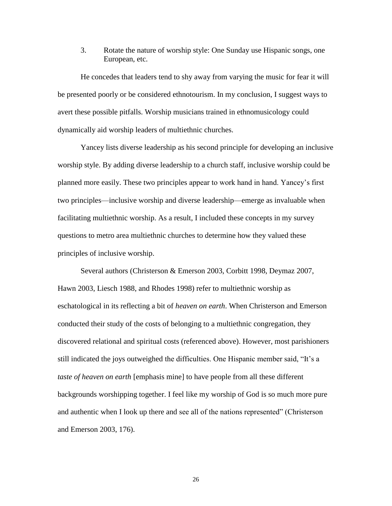3. Rotate the nature of worship style: One Sunday use Hispanic songs, one European, etc.

He concedes that leaders tend to shy away from varying the music for fear it will be presented poorly or be considered ethnotourism. In my conclusion, I suggest ways to avert these possible pitfalls. Worship musicians trained in ethnomusicology could dynamically aid worship leaders of multiethnic churches.

Yancey lists diverse leadership as his second principle for developing an inclusive worship style. By adding diverse leadership to a church staff, inclusive worship could be planned more easily. These two principles appear to work hand in hand. Yancey's first two principles—inclusive worship and diverse leadership—emerge as invaluable when facilitating multiethnic worship. As a result, I included these concepts in my survey questions to metro area multiethnic churches to determine how they valued these principles of inclusive worship.

Several authors (Christerson & Emerson 2003, Corbitt 1998, Deymaz 2007, Hawn 2003, Liesch 1988, and Rhodes 1998) refer to multiethnic worship as eschatological in its reflecting a bit of *heaven on earth*. When Christerson and Emerson conducted their study of the costs of belonging to a multiethnic congregation, they discovered relational and spiritual costs (referenced above). However, most parishioners still indicated the joys outweighed the difficulties. One Hispanic member said, "It's a *taste of heaven on earth* [emphasis mine] to have people from all these different backgrounds worshipping together. I feel like my worship of God is so much more pure and authentic when I look up there and see all of the nations represented" (Christerson and Emerson 2003, 176).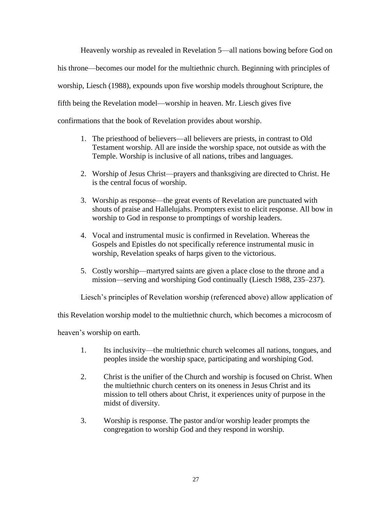Heavenly worship as revealed in Revelation 5—all nations bowing before God on his throne—becomes our model for the multiethnic church. Beginning with principles of worship, Liesch (1988), expounds upon five worship models throughout Scripture, the fifth being the Revelation model—worship in heaven. Mr. Liesch gives five confirmations that the book of Revelation provides about worship.

- 1. The priesthood of believers—all believers are priests, in contrast to Old Testament worship. All are inside the worship space, not outside as with the Temple. Worship is inclusive of all nations, tribes and languages.
- 2. Worship of Jesus Christ—prayers and thanksgiving are directed to Christ. He is the central focus of worship.
- 3. Worship as response—the great events of Revelation are punctuated with shouts of praise and Hallelujahs. Prompters exist to elicit response. All bow in worship to God in response to promptings of worship leaders.
- 4. Vocal and instrumental music is confirmed in Revelation. Whereas the Gospels and Epistles do not specifically reference instrumental music in worship, Revelation speaks of harps given to the victorious.
- 5. Costly worship—martyred saints are given a place close to the throne and a mission—serving and worshiping God continually (Liesch 1988, 235–237).

Liesch's principles of Revelation worship (referenced above) allow application of

this Revelation worship model to the multiethnic church, which becomes a microcosm of

heaven's worship on earth.

- 1. Its inclusivity—the multiethnic church welcomes all nations, tongues, and peoples inside the worship space, participating and worshiping God.
- 2. Christ is the unifier of the Church and worship is focused on Christ. When the multiethnic church centers on its oneness in Jesus Christ and its mission to tell others about Christ, it experiences unity of purpose in the midst of diversity.
- 3. Worship is response. The pastor and/or worship leader prompts the congregation to worship God and they respond in worship.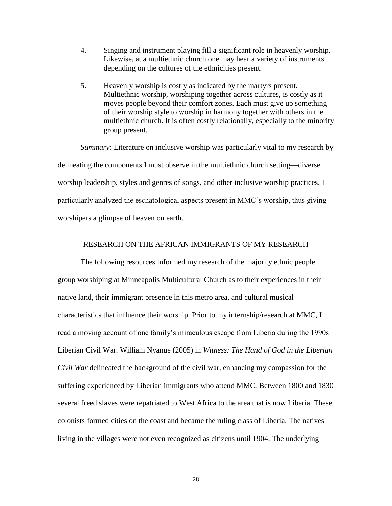- 4. Singing and instrument playing fill a significant role in heavenly worship. Likewise, at a multiethnic church one may hear a variety of instruments depending on the cultures of the ethnicities present.
- 5. Heavenly worship is costly as indicated by the martyrs present. Multiethnic worship, worshiping together across cultures, is costly as it moves people beyond their comfort zones. Each must give up something of their worship style to worship in harmony together with others in the multiethnic church. It is often costly relationally, especially to the minority group present.

*Summary*: Literature on inclusive worship was particularly vital to my research by delineating the components I must observe in the multiethnic church setting—diverse worship leadership, styles and genres of songs, and other inclusive worship practices. I particularly analyzed the eschatological aspects present in MMC's worship, thus giving worshipers a glimpse of heaven on earth.

# RESEARCH ON THE AFRICAN IMMIGRANTS OF MY RESEARCH

The following resources informed my research of the majority ethnic people group worshiping at Minneapolis Multicultural Church as to their experiences in their native land, their immigrant presence in this metro area, and cultural musical characteristics that influence their worship. Prior to my internship/research at MMC, I read a moving account of one family's miraculous escape from Liberia during the 1990s Liberian Civil War. William Nyanue (2005) in *Witness: The Hand of God in the Liberian Civil War* delineated the background of the civil war, enhancing my compassion for the suffering experienced by Liberian immigrants who attend MMC. Between 1800 and 1830 several freed slaves were repatriated to West Africa to the area that is now Liberia. These colonists formed cities on the coast and became the ruling class of Liberia. The natives living in the villages were not even recognized as citizens until 1904. The underlying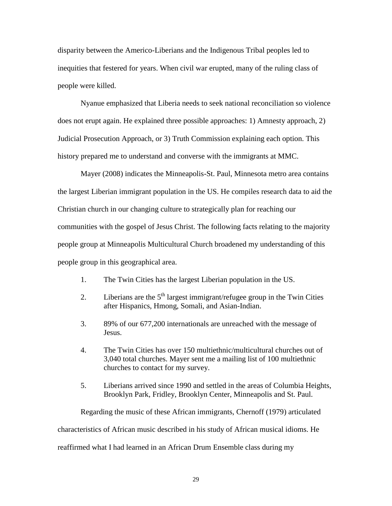disparity between the Americo-Liberians and the Indigenous Tribal peoples led to inequities that festered for years. When civil war erupted, many of the ruling class of people were killed.

Nyanue emphasized that Liberia needs to seek national reconciliation so violence does not erupt again. He explained three possible approaches: 1) Amnesty approach, 2) Judicial Prosecution Approach, or 3) Truth Commission explaining each option. This history prepared me to understand and converse with the immigrants at MMC.

Mayer (2008) indicates the Minneapolis-St. Paul, Minnesota metro area contains the largest Liberian immigrant population in the US. He compiles research data to aid the Christian church in our changing culture to strategically plan for reaching our communities with the gospel of Jesus Christ. The following facts relating to the majority people group at Minneapolis Multicultural Church broadened my understanding of this people group in this geographical area.

- 1. The Twin Cities has the largest Liberian population in the US.
- 2. Liberians are the  $5<sup>th</sup>$  largest immigrant/refugee group in the Twin Cities after Hispanics, Hmong, Somali, and Asian-Indian.
- 3. 89% of our 677,200 internationals are unreached with the message of Jesus.
- 4. The Twin Cities has over 150 multiethnic/multicultural churches out of 3,040 total churches. Mayer sent me a mailing list of 100 multiethnic churches to contact for my survey.
- 5. Liberians arrived since 1990 and settled in the areas of Columbia Heights, Brooklyn Park, Fridley, Brooklyn Center, Minneapolis and St. Paul.

Regarding the music of these African immigrants, Chernoff (1979) articulated characteristics of African music described in his study of African musical idioms. He reaffirmed what I had learned in an African Drum Ensemble class during my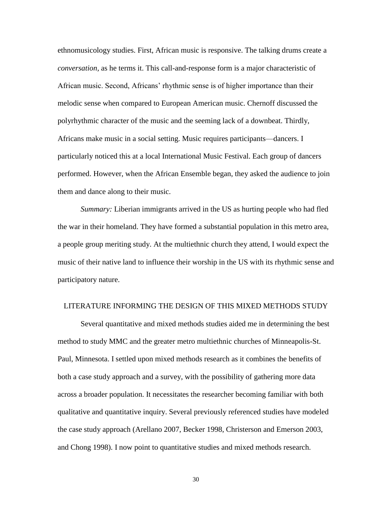ethnomusicology studies. First, African music is responsive. The talking drums create a *conversation,* as he terms it. This call-and-response form is a major characteristic of African music. Second, Africans' rhythmic sense is of higher importance than their melodic sense when compared to European American music. Chernoff discussed the polyrhythmic character of the music and the seeming lack of a downbeat. Thirdly, Africans make music in a social setting. Music requires participants—dancers. I particularly noticed this at a local International Music Festival. Each group of dancers performed. However, when the African Ensemble began, they asked the audience to join them and dance along to their music.

*Summary:* Liberian immigrants arrived in the US as hurting people who had fled the war in their homeland. They have formed a substantial population in this metro area, a people group meriting study. At the multiethnic church they attend, I would expect the music of their native land to influence their worship in the US with its rhythmic sense and participatory nature.

# LITERATURE INFORMING THE DESIGN OF THIS MIXED METHODS STUDY

Several quantitative and mixed methods studies aided me in determining the best method to study MMC and the greater metro multiethnic churches of Minneapolis-St. Paul, Minnesota. I settled upon mixed methods research as it combines the benefits of both a case study approach and a survey, with the possibility of gathering more data across a broader population. It necessitates the researcher becoming familiar with both qualitative and quantitative inquiry. Several previously referenced studies have modeled the case study approach (Arellano 2007, Becker 1998, Christerson and Emerson 2003, and Chong 1998). I now point to quantitative studies and mixed methods research.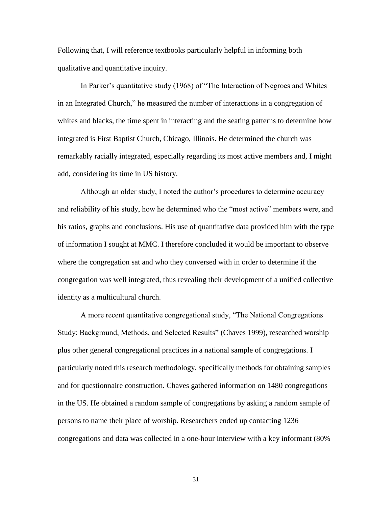Following that, I will reference textbooks particularly helpful in informing both qualitative and quantitative inquiry.

In Parker's quantitative study (1968) of "The Interaction of Negroes and Whites in an Integrated Church," he measured the number of interactions in a congregation of whites and blacks, the time spent in interacting and the seating patterns to determine how integrated is First Baptist Church, Chicago, Illinois. He determined the church was remarkably racially integrated, especially regarding its most active members and, I might add, considering its time in US history.

Although an older study, I noted the author's procedures to determine accuracy and reliability of his study, how he determined who the "most active" members were, and his ratios, graphs and conclusions. His use of quantitative data provided him with the type of information I sought at MMC. I therefore concluded it would be important to observe where the congregation sat and who they conversed with in order to determine if the congregation was well integrated, thus revealing their development of a unified collective identity as a multicultural church.

A more recent quantitative congregational study, "The National Congregations" Study: Background, Methods, and Selected Results" (Chaves 1999), researched worship plus other general congregational practices in a national sample of congregations. I particularly noted this research methodology, specifically methods for obtaining samples and for questionnaire construction. Chaves gathered information on 1480 congregations in the US. He obtained a random sample of congregations by asking a random sample of persons to name their place of worship. Researchers ended up contacting 1236 congregations and data was collected in a one-hour interview with a key informant (80%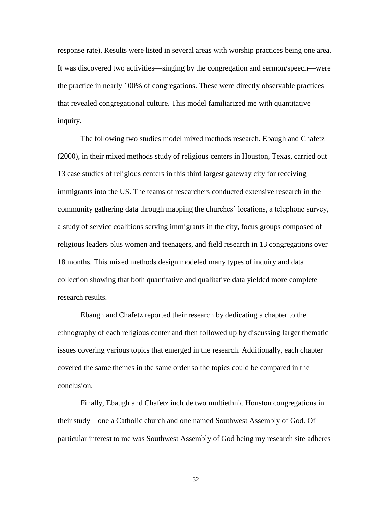response rate). Results were listed in several areas with worship practices being one area. It was discovered two activities—singing by the congregation and sermon/speech—were the practice in nearly 100% of congregations. These were directly observable practices that revealed congregational culture. This model familiarized me with quantitative inquiry.

The following two studies model mixed methods research. Ebaugh and Chafetz (2000), in their mixed methods study of religious centers in Houston, Texas, carried out 13 case studies of religious centers in this third largest gateway city for receiving immigrants into the US. The teams of researchers conducted extensive research in the community gathering data through mapping the churches' locations, a telephone survey, a study of service coalitions serving immigrants in the city, focus groups composed of religious leaders plus women and teenagers, and field research in 13 congregations over 18 months. This mixed methods design modeled many types of inquiry and data collection showing that both quantitative and qualitative data yielded more complete research results.

Ebaugh and Chafetz reported their research by dedicating a chapter to the ethnography of each religious center and then followed up by discussing larger thematic issues covering various topics that emerged in the research. Additionally, each chapter covered the same themes in the same order so the topics could be compared in the conclusion.

Finally, Ebaugh and Chafetz include two multiethnic Houston congregations in their study—one a Catholic church and one named Southwest Assembly of God. Of particular interest to me was Southwest Assembly of God being my research site adheres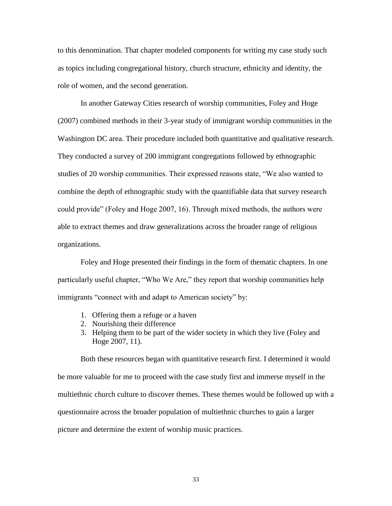to this denomination. That chapter modeled components for writing my case study such as topics including congregational history, church structure, ethnicity and identity, the role of women, and the second generation.

In another Gateway Cities research of worship communities, Foley and Hoge (2007) combined methods in their 3-year study of immigrant worship communities in the Washington DC area. Their procedure included both quantitative and qualitative research. They conducted a survey of 200 immigrant congregations followed by ethnographic studies of 20 worship communities. Their expressed reasons state, "We also wanted to combine the depth of ethnographic study with the quantifiable data that survey research could provide" (Foley and Hoge 2007, 16). Through mixed methods, the authors were able to extract themes and draw generalizations across the broader range of religious organizations.

Foley and Hoge presented their findings in the form of thematic chapters. In one particularly useful chapter, "Who We Are," they report that worship communities help immigrants "connect with and adapt to American society" by:

- 1. Offering them a refuge or a haven
- 2. Nourishing their difference
- 3. Helping them to be part of the wider society in which they live (Foley and Hoge 2007, 11).

Both these resources began with quantitative research first. I determined it would be more valuable for me to proceed with the case study first and immerse myself in the multiethnic church culture to discover themes. These themes would be followed up with a questionnaire across the broader population of multiethnic churches to gain a larger picture and determine the extent of worship music practices.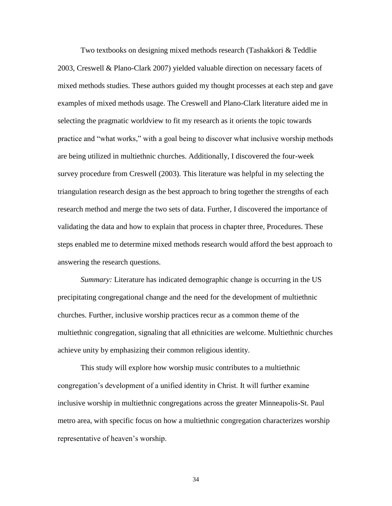Two textbooks on designing mixed methods research (Tashakkori & Teddlie 2003, Creswell & Plano-Clark 2007) yielded valuable direction on necessary facets of mixed methods studies. These authors guided my thought processes at each step and gave examples of mixed methods usage. The Creswell and Plano-Clark literature aided me in selecting the pragmatic worldview to fit my research as it orients the topic towards practice and "what works," with a goal being to discover what inclusive worship methods are being utilized in multiethnic churches. Additionally, I discovered the four-week survey procedure from Creswell (2003). This literature was helpful in my selecting the triangulation research design as the best approach to bring together the strengths of each research method and merge the two sets of data. Further, I discovered the importance of validating the data and how to explain that process in chapter three, Procedures. These steps enabled me to determine mixed methods research would afford the best approach to answering the research questions.

*Summary:* Literature has indicated demographic change is occurring in the US precipitating congregational change and the need for the development of multiethnic churches. Further, inclusive worship practices recur as a common theme of the multiethnic congregation, signaling that all ethnicities are welcome. Multiethnic churches achieve unity by emphasizing their common religious identity.

This study will explore how worship music contributes to a multiethnic congregation's development of a unified identity in Christ. It will further examine inclusive worship in multiethnic congregations across the greater Minneapolis-St. Paul metro area, with specific focus on how a multiethnic congregation characterizes worship representative of heaven's worship.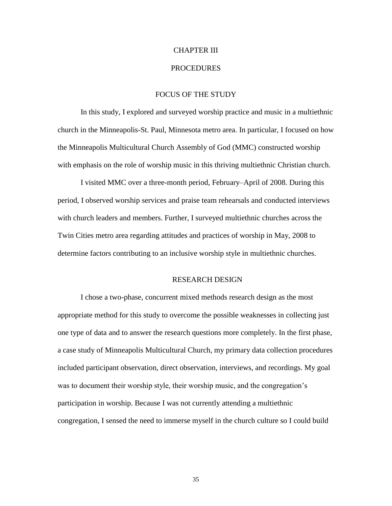## CHAPTER III

## **PROCEDURES**

# FOCUS OF THE STUDY

In this study, I explored and surveyed worship practice and music in a multiethnic church in the Minneapolis-St. Paul, Minnesota metro area. In particular, I focused on how the Minneapolis Multicultural Church Assembly of God (MMC) constructed worship with emphasis on the role of worship music in this thriving multiethnic Christian church.

I visited MMC over a three-month period, February–April of 2008. During this period, I observed worship services and praise team rehearsals and conducted interviews with church leaders and members. Further, I surveyed multiethnic churches across the Twin Cities metro area regarding attitudes and practices of worship in May, 2008 to determine factors contributing to an inclusive worship style in multiethnic churches.

#### RESEARCH DESIGN

I chose a two-phase, concurrent mixed methods research design as the most appropriate method for this study to overcome the possible weaknesses in collecting just one type of data and to answer the research questions more completely. In the first phase, a case study of Minneapolis Multicultural Church, my primary data collection procedures included participant observation, direct observation, interviews, and recordings. My goal was to document their worship style, their worship music, and the congregation's participation in worship. Because I was not currently attending a multiethnic congregation, I sensed the need to immerse myself in the church culture so I could build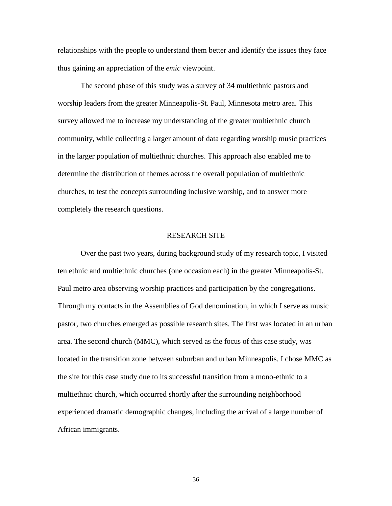relationships with the people to understand them better and identify the issues they face thus gaining an appreciation of the *emic* viewpoint.

The second phase of this study was a survey of 34 multiethnic pastors and worship leaders from the greater Minneapolis-St. Paul, Minnesota metro area. This survey allowed me to increase my understanding of the greater multiethnic church community, while collecting a larger amount of data regarding worship music practices in the larger population of multiethnic churches. This approach also enabled me to determine the distribution of themes across the overall population of multiethnic churches, to test the concepts surrounding inclusive worship, and to answer more completely the research questions.

# RESEARCH SITE

Over the past two years, during background study of my research topic, I visited ten ethnic and multiethnic churches (one occasion each) in the greater Minneapolis-St. Paul metro area observing worship practices and participation by the congregations. Through my contacts in the Assemblies of God denomination, in which I serve as music pastor, two churches emerged as possible research sites. The first was located in an urban area. The second church (MMC), which served as the focus of this case study, was located in the transition zone between suburban and urban Minneapolis. I chose MMC as the site for this case study due to its successful transition from a mono-ethnic to a multiethnic church, which occurred shortly after the surrounding neighborhood experienced dramatic demographic changes, including the arrival of a large number of African immigrants.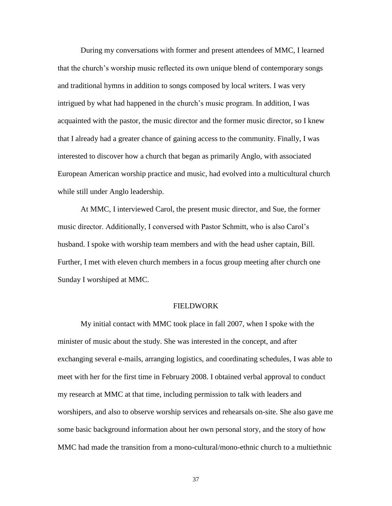During my conversations with former and present attendees of MMC, I learned that the church's worship music reflected its own unique blend of contemporary songs and traditional hymns in addition to songs composed by local writers. I was very intrigued by what had happened in the church's music program. In addition, I was acquainted with the pastor, the music director and the former music director, so I knew that I already had a greater chance of gaining access to the community. Finally, I was interested to discover how a church that began as primarily Anglo, with associated European American worship practice and music, had evolved into a multicultural church while still under Anglo leadership.

At MMC, I interviewed Carol, the present music director, and Sue, the former music director. Additionally, I conversed with Pastor Schmitt, who is also Carol's husband. I spoke with worship team members and with the head usher captain, Bill. Further, I met with eleven church members in a focus group meeting after church one Sunday I worshiped at MMC.

# FIELDWORK

My initial contact with MMC took place in fall 2007, when I spoke with the minister of music about the study. She was interested in the concept, and after exchanging several e-mails, arranging logistics, and coordinating schedules, I was able to meet with her for the first time in February 2008. I obtained verbal approval to conduct my research at MMC at that time, including permission to talk with leaders and worshipers, and also to observe worship services and rehearsals on-site. She also gave me some basic background information about her own personal story, and the story of how MMC had made the transition from a mono-cultural/mono-ethnic church to a multiethnic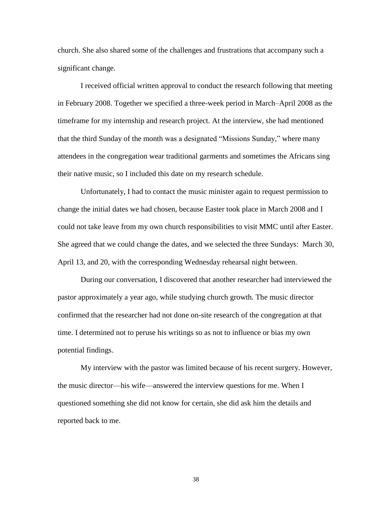church. She also shared some of the challenges and frustrations that accompany such a significant change.

I received official written approval to conduct the research following that meeting in February 2008. Together we specified a three-week period in March–April 2008 as the timeframe for my internship and research project. At the interview, she had mentioned that the third Sunday of the month was a designated "Missions Sunday," where many attendees in the congregation wear traditional garments and sometimes the Africans sing their native music, so I included this date on my research schedule.

Unfortunately, I had to contact the music minister again to request permission to change the initial dates we had chosen, because Easter took place in March 2008 and I could not take leave from my own church responsibilities to visit MMC until after Easter. She agreed that we could change the dates, and we selected the three Sundays: March 30, April 13, and 20, with the corresponding Wednesday rehearsal night between.

During our conversation, I discovered that another researcher had interviewed the pastor approximately a year ago, while studying church growth. The music director confirmed that the researcher had not done on-site research of the congregation at that time. I determined not to peruse his writings so as not to influence or bias my own potential findings.

My interview with the pastor was limited because of his recent surgery. However, the music director—his wife—answered the interview questions for me. When I questioned something she did not know for certain, she did ask him the details and reported back to me.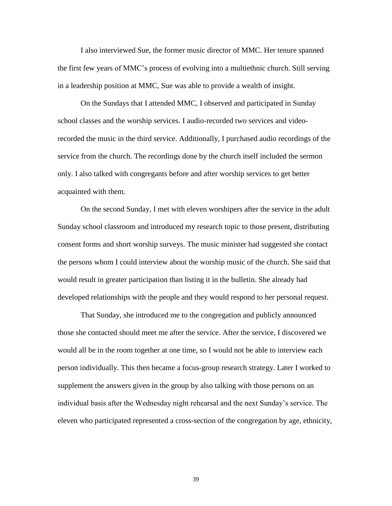I also interviewed Sue, the former music director of MMC. Her tenure spanned the first few years of MMC's process of evolving into a multiethnic church. Still serving in a leadership position at MMC, Sue was able to provide a wealth of insight.

On the Sundays that I attended MMC, I observed and participated in Sunday school classes and the worship services. I audio-recorded two services and videorecorded the music in the third service. Additionally, I purchased audio recordings of the service from the church. The recordings done by the church itself included the sermon only. I also talked with congregants before and after worship services to get better acquainted with them.

On the second Sunday, I met with eleven worshipers after the service in the adult Sunday school classroom and introduced my research topic to those present, distributing consent forms and short worship surveys. The music minister had suggested she contact the persons whom I could interview about the worship music of the church. She said that would result in greater participation than listing it in the bulletin. She already had developed relationships with the people and they would respond to her personal request.

That Sunday, she introduced me to the congregation and publicly announced those she contacted should meet me after the service. After the service, I discovered we would all be in the room together at one time, so I would not be able to interview each person individually. This then became a focus-group research strategy. Later I worked to supplement the answers given in the group by also talking with those persons on an individual basis after the Wednesday night rehearsal and the next Sunday's service. The eleven who participated represented a cross-section of the congregation by age, ethnicity,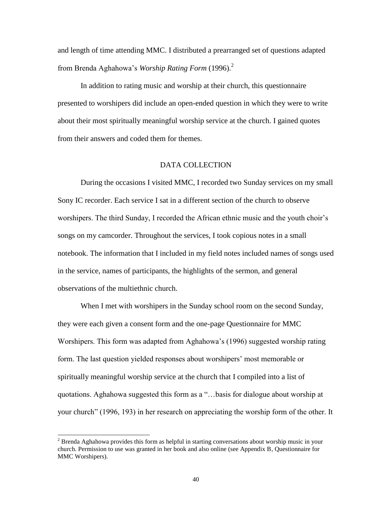and length of time attending MMC. I distributed a prearranged set of questions adapted from Brenda Aghahowa's *Worship Rating Form* (1996).<sup>2</sup>

In addition to rating music and worship at their church, this questionnaire presented to worshipers did include an open-ended question in which they were to write about their most spiritually meaningful worship service at the church. I gained quotes from their answers and coded them for themes.

# DATA COLLECTION

During the occasions I visited MMC, I recorded two Sunday services on my small Sony IC recorder. Each service I sat in a different section of the church to observe worshipers. The third Sunday, I recorded the African ethnic music and the youth choir's songs on my camcorder. Throughout the services, I took copious notes in a small notebook. The information that I included in my field notes included names of songs used in the service, names of participants, the highlights of the sermon, and general observations of the multiethnic church.

When I met with worshipers in the Sunday school room on the second Sunday, they were each given a consent form and the one-page Questionnaire for MMC Worshipers. This form was adapted from Aghahowa's (1996) suggested worship rating form. The last question yielded responses about worshipers' most memorable or spiritually meaningful worship service at the church that I compiled into a list of quotations. Aghahowa suggested this form as a "...basis for dialogue about worship at your church" (1996, 193) in her research on appreciating the worship form of the other. It

l

 $2^{2}$  Brenda Aghahowa provides this form as helpful in starting conversations about worship music in your church. Permission to use was granted in her book and also online (see Appendix B, Questionnaire for MMC Worshipers).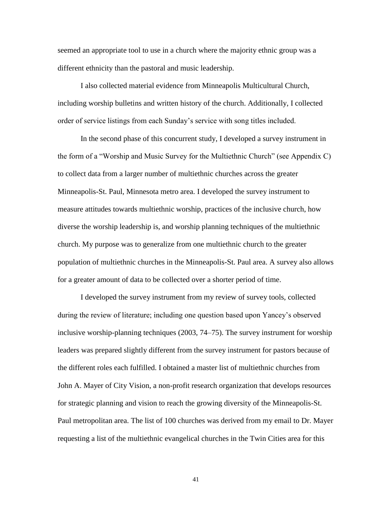seemed an appropriate tool to use in a church where the majority ethnic group was a different ethnicity than the pastoral and music leadership.

I also collected material evidence from Minneapolis Multicultural Church, including worship bulletins and written history of the church. Additionally, I collected order of service listings from each Sunday's service with song titles included.

In the second phase of this concurrent study, I developed a survey instrument in the form of a "Worship and Music Survey for the Multiethnic Church" (see Appendix C) to collect data from a larger number of multiethnic churches across the greater Minneapolis-St. Paul, Minnesota metro area. I developed the survey instrument to measure attitudes towards multiethnic worship, practices of the inclusive church, how diverse the worship leadership is, and worship planning techniques of the multiethnic church. My purpose was to generalize from one multiethnic church to the greater population of multiethnic churches in the Minneapolis-St. Paul area. A survey also allows for a greater amount of data to be collected over a shorter period of time.

I developed the survey instrument from my review of survey tools, collected during the review of literature; including one question based upon Yancey's observed inclusive worship-planning techniques (2003, 74–75). The survey instrument for worship leaders was prepared slightly different from the survey instrument for pastors because of the different roles each fulfilled. I obtained a master list of multiethnic churches from John A. Mayer of City Vision, a non-profit research organization that develops resources for strategic planning and vision to reach the growing diversity of the Minneapolis-St. Paul metropolitan area. The list of 100 churches was derived from my email to Dr. Mayer requesting a list of the multiethnic evangelical churches in the Twin Cities area for this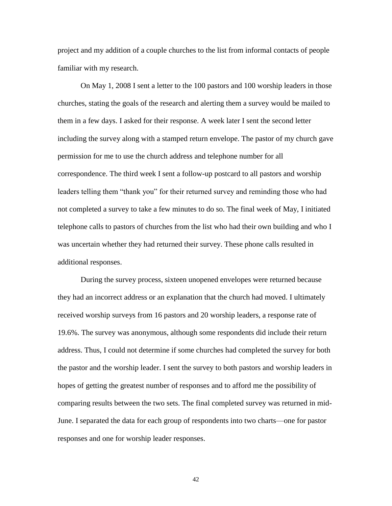project and my addition of a couple churches to the list from informal contacts of people familiar with my research.

On May 1, 2008 I sent a letter to the 100 pastors and 100 worship leaders in those churches, stating the goals of the research and alerting them a survey would be mailed to them in a few days. I asked for their response. A week later I sent the second letter including the survey along with a stamped return envelope. The pastor of my church gave permission for me to use the church address and telephone number for all correspondence. The third week I sent a follow-up postcard to all pastors and worship leaders telling them "thank you" for their returned survey and reminding those who had not completed a survey to take a few minutes to do so. The final week of May, I initiated telephone calls to pastors of churches from the list who had their own building and who I was uncertain whether they had returned their survey. These phone calls resulted in additional responses.

During the survey process, sixteen unopened envelopes were returned because they had an incorrect address or an explanation that the church had moved. I ultimately received worship surveys from 16 pastors and 20 worship leaders, a response rate of 19.6%. The survey was anonymous, although some respondents did include their return address. Thus, I could not determine if some churches had completed the survey for both the pastor and the worship leader. I sent the survey to both pastors and worship leaders in hopes of getting the greatest number of responses and to afford me the possibility of comparing results between the two sets. The final completed survey was returned in mid-June. I separated the data for each group of respondents into two charts—one for pastor responses and one for worship leader responses.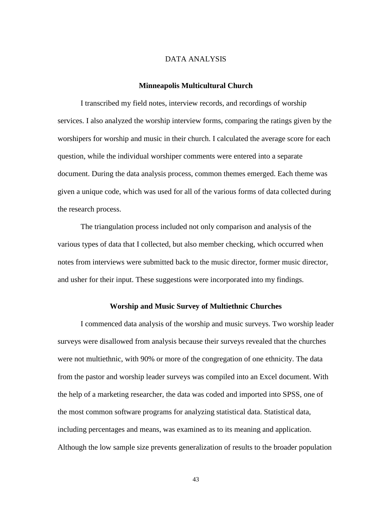## DATA ANALYSIS

## **Minneapolis Multicultural Church**

I transcribed my field notes, interview records, and recordings of worship services. I also analyzed the worship interview forms, comparing the ratings given by the worshipers for worship and music in their church. I calculated the average score for each question, while the individual worshiper comments were entered into a separate document. During the data analysis process, common themes emerged. Each theme was given a unique code, which was used for all of the various forms of data collected during the research process.

The triangulation process included not only comparison and analysis of the various types of data that I collected, but also member checking, which occurred when notes from interviews were submitted back to the music director, former music director, and usher for their input. These suggestions were incorporated into my findings.

## **Worship and Music Survey of Multiethnic Churches**

I commenced data analysis of the worship and music surveys. Two worship leader surveys were disallowed from analysis because their surveys revealed that the churches were not multiethnic, with 90% or more of the congregation of one ethnicity. The data from the pastor and worship leader surveys was compiled into an Excel document. With the help of a marketing researcher, the data was coded and imported into SPSS, one of the most common software programs for analyzing statistical data. Statistical data, including percentages and means, was examined as to its meaning and application. Although the low sample size prevents generalization of results to the broader population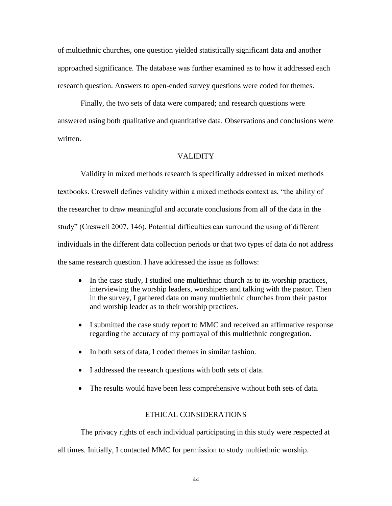of multiethnic churches, one question yielded statistically significant data and another approached significance. The database was further examined as to how it addressed each research question. Answers to open-ended survey questions were coded for themes.

Finally, the two sets of data were compared; and research questions were answered using both qualitative and quantitative data. Observations and conclusions were written.

# VALIDITY

Validity in mixed methods research is specifically addressed in mixed methods textbooks. Creswell defines validity within a mixed methods context as, "the ability of the researcher to draw meaningful and accurate conclusions from all of the data in the study‖ (Creswell 2007, 146). Potential difficulties can surround the using of different individuals in the different data collection periods or that two types of data do not address the same research question. I have addressed the issue as follows:

- In the case study, I studied one multiethnic church as to its worship practices, interviewing the worship leaders, worshipers and talking with the pastor. Then in the survey, I gathered data on many multiethnic churches from their pastor and worship leader as to their worship practices.
- I submitted the case study report to MMC and received an affirmative response regarding the accuracy of my portrayal of this multiethnic congregation.
- In both sets of data, I coded themes in similar fashion.
- I addressed the research questions with both sets of data.
- The results would have been less comprehensive without both sets of data.

# ETHICAL CONSIDERATIONS

The privacy rights of each individual participating in this study were respected at

all times. Initially, I contacted MMC for permission to study multiethnic worship.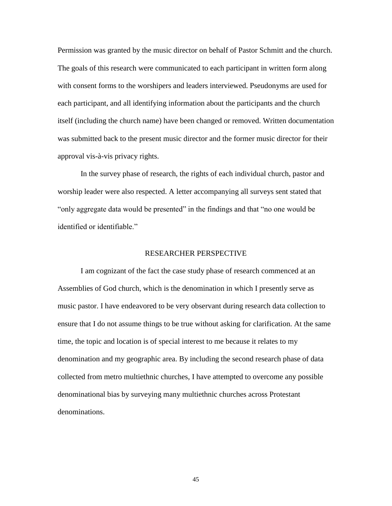Permission was granted by the music director on behalf of Pastor Schmitt and the church. The goals of this research were communicated to each participant in written form along with consent forms to the worshipers and leaders interviewed. Pseudonyms are used for each participant, and all identifying information about the participants and the church itself (including the church name) have been changed or removed. Written documentation was submitted back to the present music director and the former music director for their approval vis-à-vis privacy rights.

In the survey phase of research, the rights of each individual church, pastor and worship leader were also respected. A letter accompanying all surveys sent stated that "only aggregate data would be presented" in the findings and that "no one would be identified or identifiable."

#### RESEARCHER PERSPECTIVE

I am cognizant of the fact the case study phase of research commenced at an Assemblies of God church, which is the denomination in which I presently serve as music pastor. I have endeavored to be very observant during research data collection to ensure that I do not assume things to be true without asking for clarification. At the same time, the topic and location is of special interest to me because it relates to my denomination and my geographic area. By including the second research phase of data collected from metro multiethnic churches, I have attempted to overcome any possible denominational bias by surveying many multiethnic churches across Protestant denominations.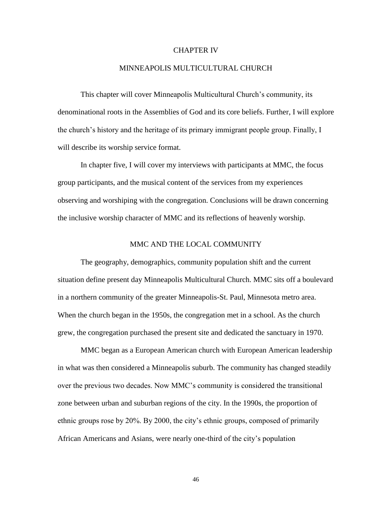#### CHAPTER IV

## MINNEAPOLIS MULTICULTURAL CHURCH

This chapter will cover Minneapolis Multicultural Church's community, its denominational roots in the Assemblies of God and its core beliefs. Further, I will explore the church's history and the heritage of its primary immigrant people group. Finally, I will describe its worship service format.

In chapter five, I will cover my interviews with participants at MMC, the focus group participants, and the musical content of the services from my experiences observing and worshiping with the congregation. Conclusions will be drawn concerning the inclusive worship character of MMC and its reflections of heavenly worship.

## MMC AND THE LOCAL COMMUNITY

The geography, demographics, community population shift and the current situation define present day Minneapolis Multicultural Church. MMC sits off a boulevard in a northern community of the greater Minneapolis-St. Paul, Minnesota metro area. When the church began in the 1950s, the congregation met in a school. As the church grew, the congregation purchased the present site and dedicated the sanctuary in 1970.

MMC began as a European American church with European American leadership in what was then considered a Minneapolis suburb. The community has changed steadily over the previous two decades. Now MMC's community is considered the transitional zone between urban and suburban regions of the city. In the 1990s, the proportion of ethnic groups rose by 20%. By 2000, the city's ethnic groups, composed of primarily African Americans and Asians, were nearly one-third of the city's population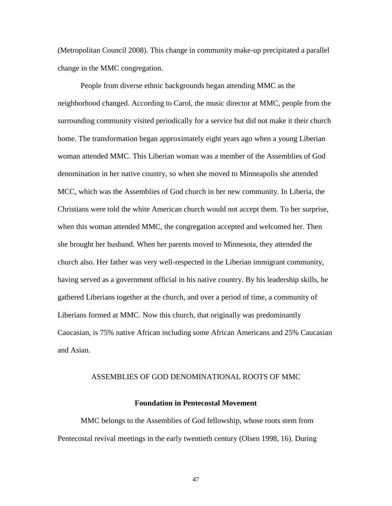(Metropolitan Council 2008). This change in community make-up precipitated a parallel change in the MMC congregation.

People from diverse ethnic backgrounds began attending MMC as the neighborhood changed. According to Carol, the music director at MMC, people from the surrounding community visited periodically for a service but did not make it their church home. The transformation began approximately eight years ago when a young Liberian woman attended MMC. This Liberian woman was a member of the Assemblies of God denomination in her native country, so when she moved to Minneapolis she attended MCC, which was the Assemblies of God church in her new community. In Liberia, the Christians were told the white American church would not accept them. To her surprise, when this woman attended MMC, the congregation accepted and welcomed her. Then she brought her husband. When her parents moved to Minnesota, they attended the church also. Her father was very well-respected in the Liberian immigrant community, having served as a government official in his native country. By his leadership skills, he gathered Liberians together at the church, and over a period of time, a community of Liberians formed at MMC. Now this church, that originally was predominantly Caucasian, is 75% native African including some African Americans and 25% Caucasian and Asian.

#### ASSEMBLIES OF GOD DENOMINATIONAL ROOTS OF MMC

#### **Foundation in Pentecostal Movement**

MMC belongs to the Assemblies of God fellowship, whose roots stem from Pentecostal revival meetings in the early twentieth century (Olsen 1998, 16). During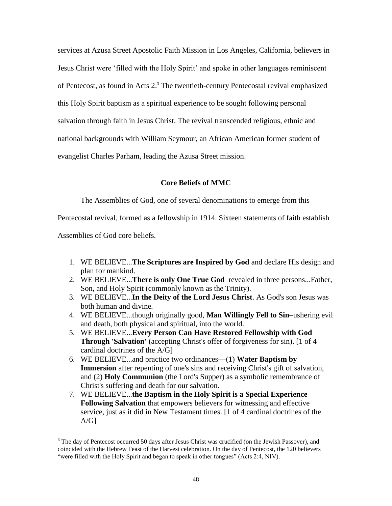services at Azusa Street Apostolic Faith Mission in Los Angeles, California, believers in Jesus Christ were ‗filled with the Holy Spirit' and spoke in other languages reminiscent of Pentecost, as found in Acts 2.<sup>3</sup> The twentieth-century Pentecostal revival emphasized this Holy Spirit baptism as a spiritual experience to be sought following personal salvation through faith in Jesus Christ. The revival transcended religious, ethnic and national backgrounds with William Seymour, an African American former student of evangelist Charles Parham, leading the Azusa Street mission.

# **Core Beliefs of MMC**

The Assemblies of God, one of several denominations to emerge from this

Pentecostal revival, formed as a fellowship in 1914. Sixteen statements of faith establish

Assemblies of God core beliefs.

l

- 1. WE BELIEVE...**The Scriptures are Inspired by God** and declare His design and plan for mankind.
- 2. WE BELIEVE...**There is only One True God**–revealed in three persons...Father, Son, and Holy Spirit (commonly known as the Trinity).
- 3. WE BELIEVE...**In the Deity of the Lord Jesus Christ**. As God's son Jesus was both human and divine*.*
- 4. WE BELIEVE...though originally good, **Man Willingly Fell to Sin**–ushering evil and death, both physical and spiritual, into the world.
- 5. WE BELIEVE...**Every Person Can Have Restored Fellowship with God Through 'Salvation'** (accepting Christ's offer of forgiveness for sin). [1 of 4 cardinal doctrines of the A/G]
- 6. WE BELIEVE...and practice two ordinances—(1) **Water Baptism by Immersion** after repenting of one's sins and receiving Christ's gift of salvation, and (2) **Holy Communion** (the Lord's Supper) as a symbolic remembrance of Christ's suffering and death for our salvation.
- 7. WE BELIEVE...**the Baptism in the Holy Spirit is a Special Experience Following Salvation** that empowers believers for witnessing and effective service, just as it did in New Testament times. [1 of 4 cardinal doctrines of the  $A/G$ ]

 $3$  The day of Pentecost occurred 50 days after Jesus Christ was crucified (on the Jewish Passover), and coincided with the Hebrew Feast of the Harvest celebration. On the day of Pentecost, the 120 believers "were filled with the Holy Spirit and began to speak in other tongues" (Acts 2:4, NIV).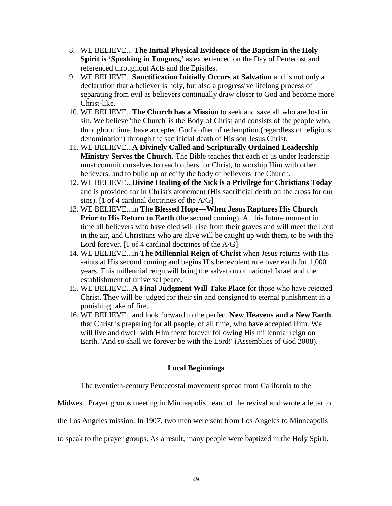- 8. WE BELIEVE... **The Initial Physical Evidence of the Baptism in the Holy Spirit is 'Speaking in Tongues,'** as experienced on the Day of Pentecost and referenced throughout Acts and the Epistles.
- 9. WE BELIEVE...**Sanctification Initially Occurs at Salvation** and is not only a declaration that a believer is holy, but also a progressive lifelong process of separating from evil as believers continually draw closer to God and become more Christ-like.
- 10. WE BELIEVE...**The Church has a Mission** to seek and save all who are lost in sin*.* We believe 'the Church' is the Body of Christ and consists of the people who, throughout time, have accepted God's offer of redemption (regardless of religious denomination) through the sacrificial death of His son Jesus Christ.
- 11. WE BELIEVE...**A Divinely Called and Scripturally Ordained Leadership Ministry Serves the Church**. The Bible teaches that each of us under leadership must commit ourselves to reach others for Christ, to worship Him with other believers, and to build up or edify the body of believers–the Church.
- 12. WE BELIEVE...**Divine Healing of the Sick is a Privilege for Christians Today** and is provided for in Christ's atonement (His sacrificial death on the cross for our sins). [1 of 4 cardinal doctrines of the A/G]
- 13. WE BELIEVE...in **The Blessed Hope—When Jesus Raptures His Church Prior to His Return to Earth** (the second coming). At this future moment in time all believers who have died will rise from their graves and will meet the Lord in the air, and Christians who are alive will be caught up with them, to be with the Lord forever. [1 of 4 cardinal doctrines of the A/G]
- 14. WE BELIEVE...in **The Millennial Reign of Christ** when Jesus returns with His saints at His second coming and begins His benevolent rule over earth for 1,000 years. This millennial reign will bring the salvation of national Israel and the establishment of universal peace.
- 15. WE BELIEVE...**A Final Judgment Will Take Place** for those who have rejected Christ. They will be judged for their sin and consigned to eternal punishment in a punishing lake of fire.
- 16. WE BELIEVE...and look forward to the perfect **New Heavens and a New Earth** that Christ is preparing for all people, of all time, who have accepted Him. We will live and dwell with Him there forever following His millennial reign on Earth. 'And so shall we forever be with the Lord!' (Assemblies of God 2008).

# **Local Beginnings**

The twentieth-century Pentecostal movement spread from California to the

Midwest. Prayer groups meeting in Minneapolis heard of the revival and wrote a letter to

the Los Angeles mission. In 1907, two men were sent from Los Angeles to Minneapolis

to speak to the prayer groups. As a result, many people were baptized in the Holy Spirit.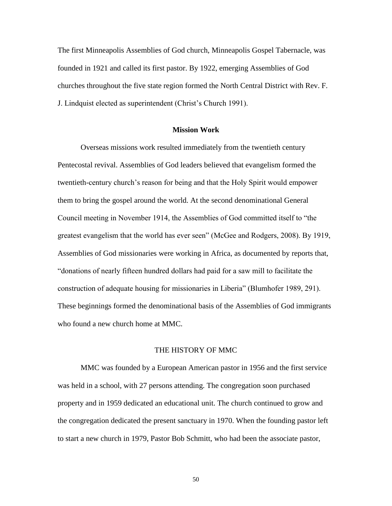The first Minneapolis Assemblies of God church, Minneapolis Gospel Tabernacle, was founded in 1921 and called its first pastor. By 1922, emerging Assemblies of God churches throughout the five state region formed the North Central District with Rev. F. J. Lindquist elected as superintendent (Christ's Church 1991).

#### **Mission Work**

Overseas missions work resulted immediately from the twentieth century Pentecostal revival. Assemblies of God leaders believed that evangelism formed the twentieth-century church's reason for being and that the Holy Spirit would empower them to bring the gospel around the world. At the second denominational General Council meeting in November 1914, the Assemblies of God committed itself to "the greatest evangelism that the world has ever seen" (McGee and Rodgers, 2008). By 1919, Assemblies of God missionaries were working in Africa, as documented by reports that, ―donations of nearly fifteen hundred dollars had paid for a saw mill to facilitate the construction of adequate housing for missionaries in Liberia‖ (Blumhofer 1989, 291). These beginnings formed the denominational basis of the Assemblies of God immigrants who found a new church home at MMC.

## THE HISTORY OF MMC

MMC was founded by a European American pastor in 1956 and the first service was held in a school, with 27 persons attending. The congregation soon purchased property and in 1959 dedicated an educational unit. The church continued to grow and the congregation dedicated the present sanctuary in 1970. When the founding pastor left to start a new church in 1979, Pastor Bob Schmitt, who had been the associate pastor,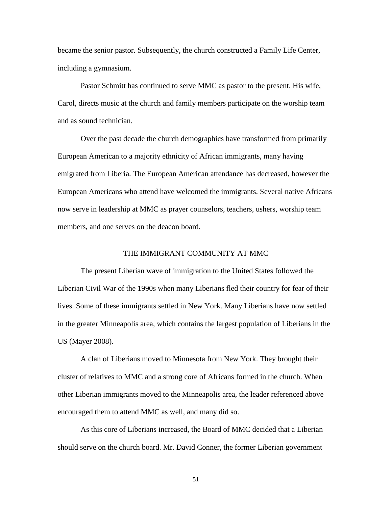became the senior pastor. Subsequently, the church constructed a Family Life Center, including a gymnasium.

Pastor Schmitt has continued to serve MMC as pastor to the present. His wife, Carol, directs music at the church and family members participate on the worship team and as sound technician.

Over the past decade the church demographics have transformed from primarily European American to a majority ethnicity of African immigrants, many having emigrated from Liberia. The European American attendance has decreased, however the European Americans who attend have welcomed the immigrants. Several native Africans now serve in leadership at MMC as prayer counselors, teachers, ushers, worship team members, and one serves on the deacon board.

# THE IMMIGRANT COMMUNITY AT MMC

The present Liberian wave of immigration to the United States followed the Liberian Civil War of the 1990s when many Liberians fled their country for fear of their lives. Some of these immigrants settled in New York. Many Liberians have now settled in the greater Minneapolis area, which contains the largest population of Liberians in the US (Mayer 2008).

A clan of Liberians moved to Minnesota from New York. They brought their cluster of relatives to MMC and a strong core of Africans formed in the church. When other Liberian immigrants moved to the Minneapolis area, the leader referenced above encouraged them to attend MMC as well, and many did so.

As this core of Liberians increased, the Board of MMC decided that a Liberian should serve on the church board. Mr. David Conner, the former Liberian government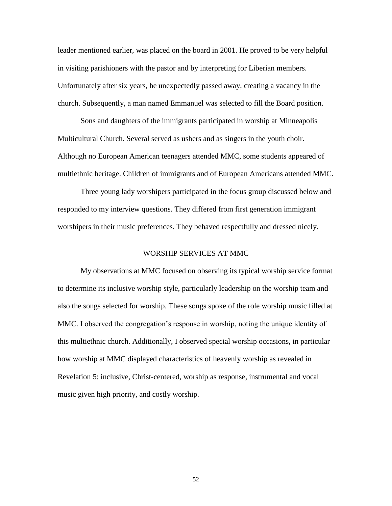leader mentioned earlier, was placed on the board in 2001. He proved to be very helpful in visiting parishioners with the pastor and by interpreting for Liberian members. Unfortunately after six years, he unexpectedly passed away, creating a vacancy in the church. Subsequently, a man named Emmanuel was selected to fill the Board position.

Sons and daughters of the immigrants participated in worship at Minneapolis Multicultural Church. Several served as ushers and as singers in the youth choir. Although no European American teenagers attended MMC, some students appeared of multiethnic heritage. Children of immigrants and of European Americans attended MMC.

Three young lady worshipers participated in the focus group discussed below and responded to my interview questions. They differed from first generation immigrant worshipers in their music preferences. They behaved respectfully and dressed nicely.

# WORSHIP SERVICES AT MMC

My observations at MMC focused on observing its typical worship service format to determine its inclusive worship style, particularly leadership on the worship team and also the songs selected for worship. These songs spoke of the role worship music filled at MMC. I observed the congregation's response in worship, noting the unique identity of this multiethnic church. Additionally, I observed special worship occasions, in particular how worship at MMC displayed characteristics of heavenly worship as revealed in Revelation 5: inclusive, Christ-centered, worship as response, instrumental and vocal music given high priority, and costly worship.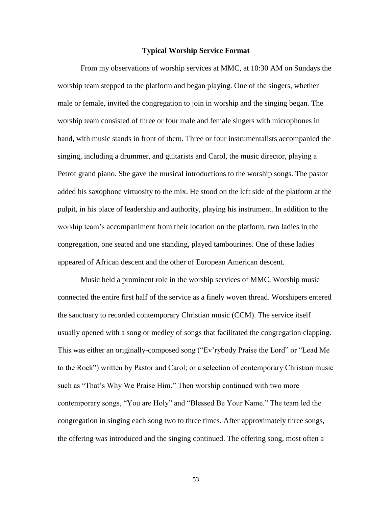## **Typical Worship Service Format**

From my observations of worship services at MMC, at 10:30 AM on Sundays the worship team stepped to the platform and began playing. One of the singers, whether male or female, invited the congregation to join in worship and the singing began. The worship team consisted of three or four male and female singers with microphones in hand, with music stands in front of them. Three or four instrumentalists accompanied the singing, including a drummer, and guitarists and Carol, the music director, playing a Petrof grand piano. She gave the musical introductions to the worship songs. The pastor added his saxophone virtuosity to the mix. He stood on the left side of the platform at the pulpit, in his place of leadership and authority, playing his instrument. In addition to the worship team's accompaniment from their location on the platform, two ladies in the congregation, one seated and one standing, played tambourines. One of these ladies appeared of African descent and the other of European American descent.

Music held a prominent role in the worship services of MMC. Worship music connected the entire first half of the service as a finely woven thread. Worshipers entered the sanctuary to recorded contemporary Christian music (CCM). The service itself usually opened with a song or medley of songs that facilitated the congregation clapping. This was either an originally-composed song ("Ev'rybody Praise the Lord" or "Lead Me to the Rock‖) written by Pastor and Carol; or a selection of contemporary Christian music such as "That's Why We Praise Him." Then worship continued with two more contemporary songs, "You are Holy" and "Blessed Be Your Name." The team led the congregation in singing each song two to three times. After approximately three songs, the offering was introduced and the singing continued. The offering song, most often a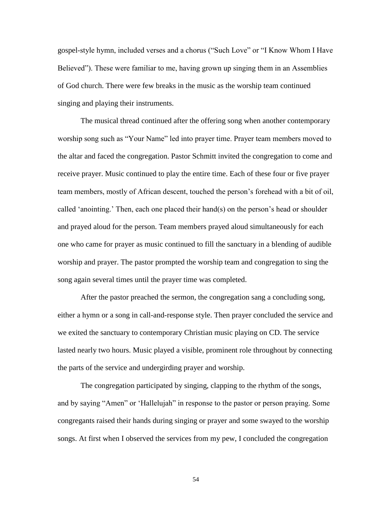gospel-style hymn, included verses and a chorus ("Such Love" or "I Know Whom I Have Believed"). These were familiar to me, having grown up singing them in an Assemblies of God church. There were few breaks in the music as the worship team continued singing and playing their instruments.

The musical thread continued after the offering song when another contemporary worship song such as "Your Name" led into prayer time. Prayer team members moved to the altar and faced the congregation. Pastor Schmitt invited the congregation to come and receive prayer. Music continued to play the entire time. Each of these four or five prayer team members, mostly of African descent, touched the person's forehead with a bit of oil, called 'anointing.' Then, each one placed their hand(s) on the person's head or shoulder and prayed aloud for the person. Team members prayed aloud simultaneously for each one who came for prayer as music continued to fill the sanctuary in a blending of audible worship and prayer. The pastor prompted the worship team and congregation to sing the song again several times until the prayer time was completed.

After the pastor preached the sermon, the congregation sang a concluding song, either a hymn or a song in call-and-response style. Then prayer concluded the service and we exited the sanctuary to contemporary Christian music playing on CD. The service lasted nearly two hours. Music played a visible, prominent role throughout by connecting the parts of the service and undergirding prayer and worship.

The congregation participated by singing, clapping to the rhythm of the songs, and by saying "Amen" or 'Hallelujah" in response to the pastor or person praying. Some congregants raised their hands during singing or prayer and some swayed to the worship songs. At first when I observed the services from my pew, I concluded the congregation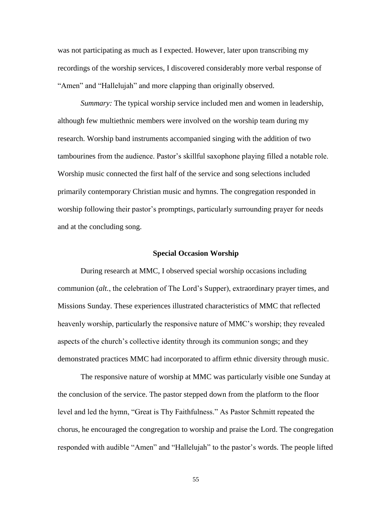was not participating as much as I expected. However, later upon transcribing my recordings of the worship services, I discovered considerably more verbal response of "Amen" and "Hallelujah" and more clapping than originally observed.

*Summary:* The typical worship service included men and women in leadership, although few multiethnic members were involved on the worship team during my research. Worship band instruments accompanied singing with the addition of two tambourines from the audience. Pastor's skillful saxophone playing filled a notable role. Worship music connected the first half of the service and song selections included primarily contemporary Christian music and hymns. The congregation responded in worship following their pastor's promptings, particularly surrounding prayer for needs and at the concluding song.

#### **Special Occasion Worship**

During research at MMC, I observed special worship occasions including communion (*alt.*, the celebration of The Lord's Supper), extraordinary prayer times, and Missions Sunday. These experiences illustrated characteristics of MMC that reflected heavenly worship, particularly the responsive nature of MMC's worship; they revealed aspects of the church's collective identity through its communion songs; and they demonstrated practices MMC had incorporated to affirm ethnic diversity through music.

The responsive nature of worship at MMC was particularly visible one Sunday at the conclusion of the service. The pastor stepped down from the platform to the floor level and led the hymn, "Great is Thy Faithfulness." As Pastor Schmitt repeated the chorus, he encouraged the congregation to worship and praise the Lord. The congregation responded with audible "Amen" and "Hallelujah" to the pastor's words. The people lifted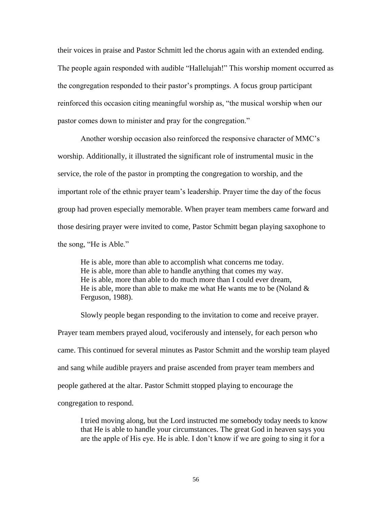their voices in praise and Pastor Schmitt led the chorus again with an extended ending. The people again responded with audible "Hallelujah!" This worship moment occurred as the congregation responded to their pastor's promptings. A focus group participant reinforced this occasion citing meaningful worship as, "the musical worship when our pastor comes down to minister and pray for the congregation."

Another worship occasion also reinforced the responsive character of MMC's worship. Additionally, it illustrated the significant role of instrumental music in the service, the role of the pastor in prompting the congregation to worship, and the important role of the ethnic prayer team's leadership. Prayer time the day of the focus group had proven especially memorable. When prayer team members came forward and those desiring prayer were invited to come, Pastor Schmitt began playing saxophone to the song, "He is Able."

He is able, more than able to accomplish what concerns me today. He is able, more than able to handle anything that comes my way. He is able, more than able to do much more than I could ever dream, He is able, more than able to make me what He wants me to be (Noland  $\&$ Ferguson, 1988).

Slowly people began responding to the invitation to come and receive prayer. Prayer team members prayed aloud, vociferously and intensely, for each person who came. This continued for several minutes as Pastor Schmitt and the worship team played and sang while audible prayers and praise ascended from prayer team members and people gathered at the altar. Pastor Schmitt stopped playing to encourage the congregation to respond.

I tried moving along, but the Lord instructed me somebody today needs to know that He is able to handle your circumstances. The great God in heaven says you are the apple of His eye. He is able. I don't know if we are going to sing it for a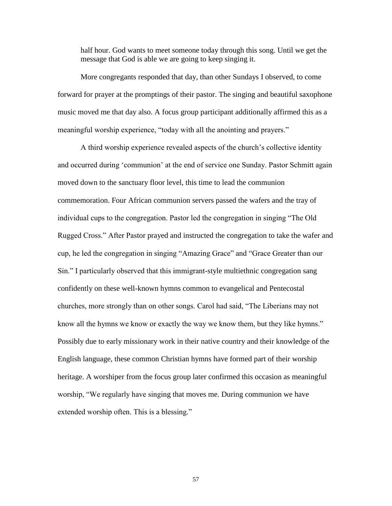half hour. God wants to meet someone today through this song. Until we get the message that God is able we are going to keep singing it.

More congregants responded that day, than other Sundays I observed, to come forward for prayer at the promptings of their pastor. The singing and beautiful saxophone music moved me that day also. A focus group participant additionally affirmed this as a meaningful worship experience, "today with all the anointing and prayers."

A third worship experience revealed aspects of the church's collective identity and occurred during 'communion' at the end of service one Sunday. Pastor Schmitt again moved down to the sanctuary floor level, this time to lead the communion commemoration. Four African communion servers passed the wafers and the tray of individual cups to the congregation. Pastor led the congregation in singing "The Old Rugged Cross.‖ After Pastor prayed and instructed the congregation to take the wafer and cup, he led the congregation in singing "Amazing Grace" and "Grace Greater than our Sin." I particularly observed that this immigrant-style multiethnic congregation sang confidently on these well-known hymns common to evangelical and Pentecostal churches, more strongly than on other songs. Carol had said, "The Liberians may not know all the hymns we know or exactly the way we know them, but they like hymns." Possibly due to early missionary work in their native country and their knowledge of the English language, these common Christian hymns have formed part of their worship heritage. A worshiper from the focus group later confirmed this occasion as meaningful worship, "We regularly have singing that moves me. During communion we have extended worship often. This is a blessing."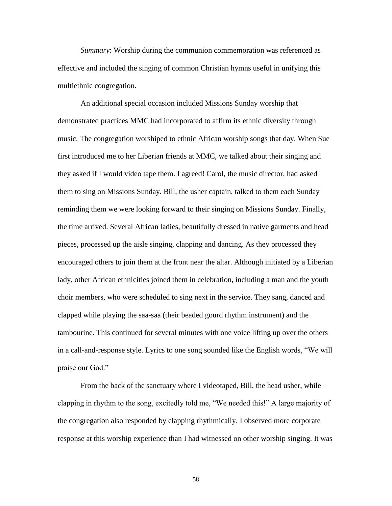*Summary*: Worship during the communion commemoration was referenced as effective and included the singing of common Christian hymns useful in unifying this multiethnic congregation.

An additional special occasion included Missions Sunday worship that demonstrated practices MMC had incorporated to affirm its ethnic diversity through music. The congregation worshiped to ethnic African worship songs that day. When Sue first introduced me to her Liberian friends at MMC, we talked about their singing and they asked if I would video tape them. I agreed! Carol, the music director, had asked them to sing on Missions Sunday. Bill, the usher captain, talked to them each Sunday reminding them we were looking forward to their singing on Missions Sunday. Finally, the time arrived. Several African ladies, beautifully dressed in native garments and head pieces, processed up the aisle singing, clapping and dancing. As they processed they encouraged others to join them at the front near the altar. Although initiated by a Liberian lady, other African ethnicities joined them in celebration, including a man and the youth choir members, who were scheduled to sing next in the service. They sang, danced and clapped while playing the saa-saa (their beaded gourd rhythm instrument) and the tambourine. This continued for several minutes with one voice lifting up over the others in a call-and-response style. Lyrics to one song sounded like the English words, "We will praise our God."

From the back of the sanctuary where I videotaped, Bill, the head usher, while clapping in rhythm to the song, excitedly told me, "We needed this!" A large majority of the congregation also responded by clapping rhythmically. I observed more corporate response at this worship experience than I had witnessed on other worship singing. It was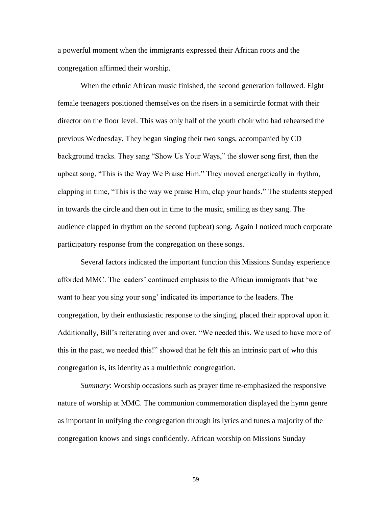a powerful moment when the immigrants expressed their African roots and the congregation affirmed their worship.

When the ethnic African music finished, the second generation followed. Eight female teenagers positioned themselves on the risers in a semicircle format with their director on the floor level. This was only half of the youth choir who had rehearsed the previous Wednesday. They began singing their two songs, accompanied by CD background tracks. They sang "Show Us Your Ways," the slower song first, then the upbeat song, "This is the Way We Praise Him." They moved energetically in rhythm, clapping in time, "This is the way we praise Him, clap your hands." The students stepped in towards the circle and then out in time to the music, smiling as they sang. The audience clapped in rhythm on the second (upbeat) song. Again I noticed much corporate participatory response from the congregation on these songs.

Several factors indicated the important function this Missions Sunday experience afforded MMC. The leaders' continued emphasis to the African immigrants that ‗we want to hear you sing your song' indicated its importance to the leaders. The congregation, by their enthusiastic response to the singing, placed their approval upon it. Additionally, Bill's reiterating over and over, "We needed this. We used to have more of this in the past, we needed this!" showed that he felt this an intrinsic part of who this congregation is, its identity as a multiethnic congregation.

*Summary*: Worship occasions such as prayer time re-emphasized the responsive nature of worship at MMC. The communion commemoration displayed the hymn genre as important in unifying the congregation through its lyrics and tunes a majority of the congregation knows and sings confidently. African worship on Missions Sunday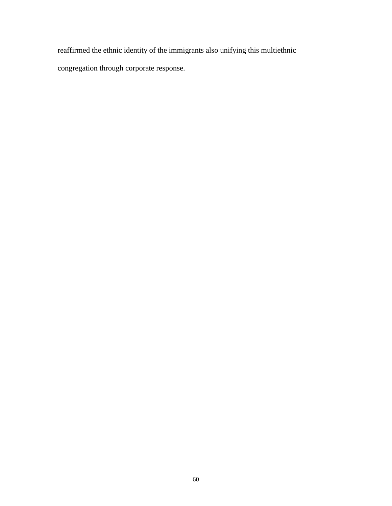reaffirmed the ethnic identity of the immigrants also unifying this multiethnic

congregation through corporate response.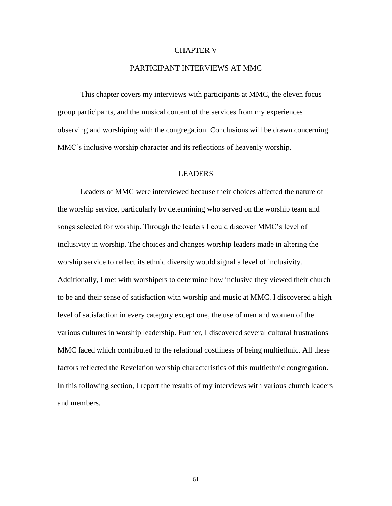## CHAPTER V

## PARTICIPANT INTERVIEWS AT MMC

This chapter covers my interviews with participants at MMC, the eleven focus group participants, and the musical content of the services from my experiences observing and worshiping with the congregation. Conclusions will be drawn concerning MMC's inclusive worship character and its reflections of heavenly worship.

## LEADERS

Leaders of MMC were interviewed because their choices affected the nature of the worship service, particularly by determining who served on the worship team and songs selected for worship. Through the leaders I could discover MMC's level of inclusivity in worship. The choices and changes worship leaders made in altering the worship service to reflect its ethnic diversity would signal a level of inclusivity. Additionally, I met with worshipers to determine how inclusive they viewed their church to be and their sense of satisfaction with worship and music at MMC. I discovered a high level of satisfaction in every category except one, the use of men and women of the various cultures in worship leadership. Further, I discovered several cultural frustrations MMC faced which contributed to the relational costliness of being multiethnic. All these factors reflected the Revelation worship characteristics of this multiethnic congregation. In this following section, I report the results of my interviews with various church leaders and members.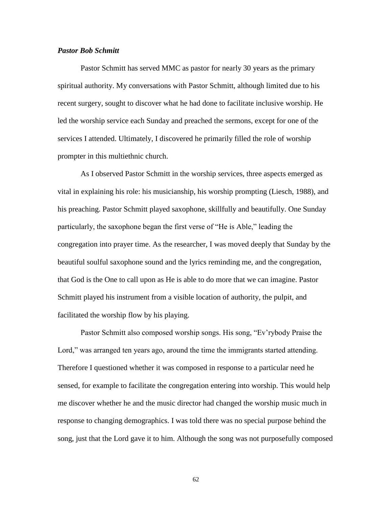# *Pastor Bob Schmitt*

Pastor Schmitt has served MMC as pastor for nearly 30 years as the primary spiritual authority. My conversations with Pastor Schmitt, although limited due to his recent surgery, sought to discover what he had done to facilitate inclusive worship. He led the worship service each Sunday and preached the sermons, except for one of the services I attended. Ultimately, I discovered he primarily filled the role of worship prompter in this multiethnic church.

As I observed Pastor Schmitt in the worship services, three aspects emerged as vital in explaining his role: his musicianship, his worship prompting (Liesch, 1988), and his preaching. Pastor Schmitt played saxophone, skillfully and beautifully. One Sunday particularly, the saxophone began the first verse of "He is Able," leading the congregation into prayer time. As the researcher, I was moved deeply that Sunday by the beautiful soulful saxophone sound and the lyrics reminding me, and the congregation, that God is the One to call upon as He is able to do more that we can imagine. Pastor Schmitt played his instrument from a visible location of authority, the pulpit, and facilitated the worship flow by his playing.

Pastor Schmitt also composed worship songs. His song, "Ev'rybody Praise the Lord," was arranged ten years ago, around the time the immigrants started attending. Therefore I questioned whether it was composed in response to a particular need he sensed, for example to facilitate the congregation entering into worship. This would help me discover whether he and the music director had changed the worship music much in response to changing demographics. I was told there was no special purpose behind the song, just that the Lord gave it to him. Although the song was not purposefully composed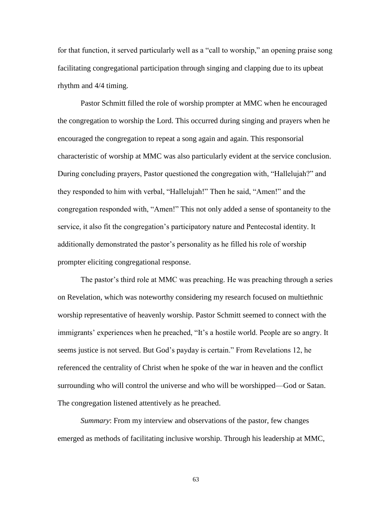for that function, it served particularly well as a "call to worship," an opening praise song facilitating congregational participation through singing and clapping due to its upbeat rhythm and 4/4 timing.

Pastor Schmitt filled the role of worship prompter at MMC when he encouraged the congregation to worship the Lord. This occurred during singing and prayers when he encouraged the congregation to repeat a song again and again. This responsorial characteristic of worship at MMC was also particularly evident at the service conclusion. During concluding prayers, Pastor questioned the congregation with, "Hallelujah?" and they responded to him with verbal, "Hallelujah!" Then he said, "Amen!" and the congregation responded with, "Amen!" This not only added a sense of spontaneity to the service, it also fit the congregation's participatory nature and Pentecostal identity. It additionally demonstrated the pastor's personality as he filled his role of worship prompter eliciting congregational response.

The pastor's third role at MMC was preaching. He was preaching through a series on Revelation, which was noteworthy considering my research focused on multiethnic worship representative of heavenly worship. Pastor Schmitt seemed to connect with the immigrants' experiences when he preached, "It's a hostile world. People are so angry. It seems justice is not served. But God's payday is certain." From Revelations 12, he referenced the centrality of Christ when he spoke of the war in heaven and the conflict surrounding who will control the universe and who will be worshipped—God or Satan. The congregation listened attentively as he preached.

*Summary*: From my interview and observations of the pastor, few changes emerged as methods of facilitating inclusive worship. Through his leadership at MMC,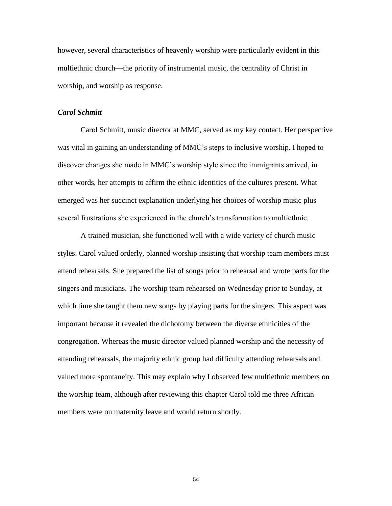however, several characteristics of heavenly worship were particularly evident in this multiethnic church—the priority of instrumental music, the centrality of Christ in worship, and worship as response.

# *Carol Schmitt*

Carol Schmitt, music director at MMC, served as my key contact. Her perspective was vital in gaining an understanding of MMC's steps to inclusive worship. I hoped to discover changes she made in MMC's worship style since the immigrants arrived, in other words, her attempts to affirm the ethnic identities of the cultures present. What emerged was her succinct explanation underlying her choices of worship music plus several frustrations she experienced in the church's transformation to multiethnic.

A trained musician, she functioned well with a wide variety of church music styles. Carol valued orderly, planned worship insisting that worship team members must attend rehearsals. She prepared the list of songs prior to rehearsal and wrote parts for the singers and musicians. The worship team rehearsed on Wednesday prior to Sunday, at which time she taught them new songs by playing parts for the singers. This aspect was important because it revealed the dichotomy between the diverse ethnicities of the congregation. Whereas the music director valued planned worship and the necessity of attending rehearsals, the majority ethnic group had difficulty attending rehearsals and valued more spontaneity. This may explain why I observed few multiethnic members on the worship team, although after reviewing this chapter Carol told me three African members were on maternity leave and would return shortly.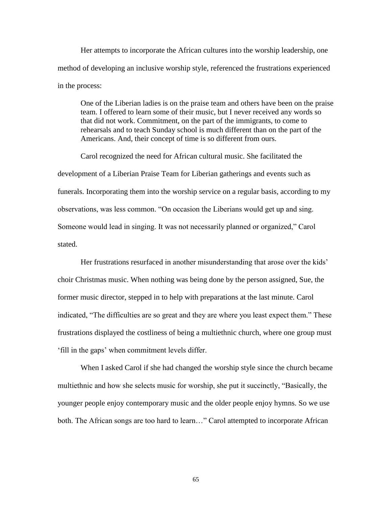Her attempts to incorporate the African cultures into the worship leadership, one method of developing an inclusive worship style, referenced the frustrations experienced in the process:

One of the Liberian ladies is on the praise team and others have been on the praise team. I offered to learn some of their music, but I never received any words so that did not work. Commitment, on the part of the immigrants, to come to rehearsals and to teach Sunday school is much different than on the part of the Americans. And, their concept of time is so different from ours.

Carol recognized the need for African cultural music. She facilitated the development of a Liberian Praise Team for Liberian gatherings and events such as funerals. Incorporating them into the worship service on a regular basis, according to my observations, was less common. "On occasion the Liberians would get up and sing. Someone would lead in singing. It was not necessarily planned or organized," Carol stated.

Her frustrations resurfaced in another misunderstanding that arose over the kids' choir Christmas music. When nothing was being done by the person assigned, Sue, the former music director, stepped in to help with preparations at the last minute. Carol indicated, "The difficulties are so great and they are where you least expect them." These frustrations displayed the costliness of being a multiethnic church, where one group must ‗fill in the gaps' when commitment levels differ.

When I asked Carol if she had changed the worship style since the church became multiethnic and how she selects music for worship, she put it succinctly, "Basically, the younger people enjoy contemporary music and the older people enjoy hymns. So we use both. The African songs are too hard to learn..." Carol attempted to incorporate African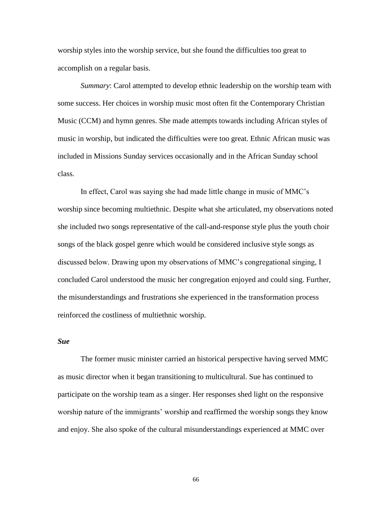worship styles into the worship service, but she found the difficulties too great to accomplish on a regular basis.

*Summary*: Carol attempted to develop ethnic leadership on the worship team with some success. Her choices in worship music most often fit the Contemporary Christian Music (CCM) and hymn genres. She made attempts towards including African styles of music in worship, but indicated the difficulties were too great. Ethnic African music was included in Missions Sunday services occasionally and in the African Sunday school class.

In effect, Carol was saying she had made little change in music of MMC's worship since becoming multiethnic. Despite what she articulated, my observations noted she included two songs representative of the call-and-response style plus the youth choir songs of the black gospel genre which would be considered inclusive style songs as discussed below. Drawing upon my observations of MMC's congregational singing, I concluded Carol understood the music her congregation enjoyed and could sing. Further, the misunderstandings and frustrations she experienced in the transformation process reinforced the costliness of multiethnic worship.

# *Sue*

The former music minister carried an historical perspective having served MMC as music director when it began transitioning to multicultural. Sue has continued to participate on the worship team as a singer. Her responses shed light on the responsive worship nature of the immigrants' worship and reaffirmed the worship songs they know and enjoy. She also spoke of the cultural misunderstandings experienced at MMC over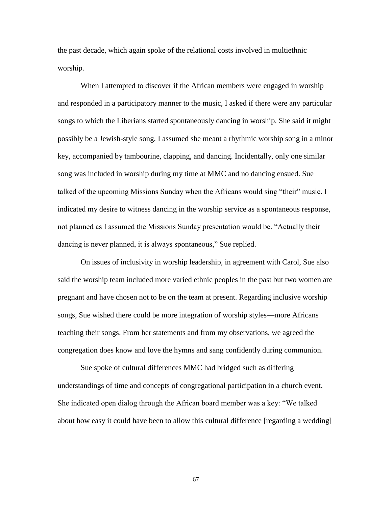the past decade, which again spoke of the relational costs involved in multiethnic worship.

When I attempted to discover if the African members were engaged in worship and responded in a participatory manner to the music, I asked if there were any particular songs to which the Liberians started spontaneously dancing in worship. She said it might possibly be a Jewish-style song. I assumed she meant a rhythmic worship song in a minor key, accompanied by tambourine, clapping, and dancing. Incidentally, only one similar song was included in worship during my time at MMC and no dancing ensued. Sue talked of the upcoming Missions Sunday when the Africans would sing "their" music. I indicated my desire to witness dancing in the worship service as a spontaneous response, not planned as I assumed the Missions Sunday presentation would be. "Actually their dancing is never planned, it is always spontaneous," Sue replied.

On issues of inclusivity in worship leadership, in agreement with Carol, Sue also said the worship team included more varied ethnic peoples in the past but two women are pregnant and have chosen not to be on the team at present. Regarding inclusive worship songs, Sue wished there could be more integration of worship styles—more Africans teaching their songs. From her statements and from my observations, we agreed the congregation does know and love the hymns and sang confidently during communion.

Sue spoke of cultural differences MMC had bridged such as differing understandings of time and concepts of congregational participation in a church event. She indicated open dialog through the African board member was a key: "We talked" about how easy it could have been to allow this cultural difference [regarding a wedding]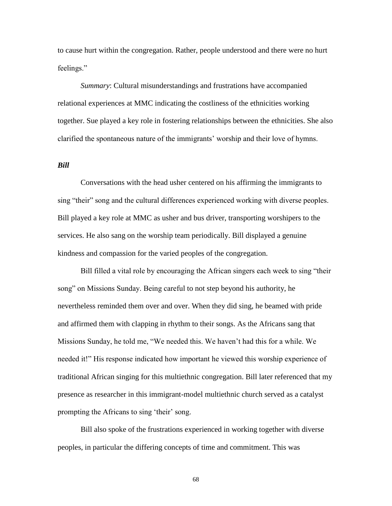to cause hurt within the congregation. Rather, people understood and there were no hurt feelings."

*Summary*: Cultural misunderstandings and frustrations have accompanied relational experiences at MMC indicating the costliness of the ethnicities working together. Sue played a key role in fostering relationships between the ethnicities. She also clarified the spontaneous nature of the immigrants' worship and their love of hymns.

# *Bill*

Conversations with the head usher centered on his affirming the immigrants to sing "their" song and the cultural differences experienced working with diverse peoples. Bill played a key role at MMC as usher and bus driver, transporting worshipers to the services. He also sang on the worship team periodically. Bill displayed a genuine kindness and compassion for the varied peoples of the congregation.

Bill filled a vital role by encouraging the African singers each week to sing "their song" on Missions Sunday. Being careful to not step beyond his authority, he nevertheless reminded them over and over. When they did sing, he beamed with pride and affirmed them with clapping in rhythm to their songs. As the Africans sang that Missions Sunday, he told me, "We needed this. We haven't had this for a while. We needed it!" His response indicated how important he viewed this worship experience of traditional African singing for this multiethnic congregation. Bill later referenced that my presence as researcher in this immigrant-model multiethnic church served as a catalyst prompting the Africans to sing 'their' song.

Bill also spoke of the frustrations experienced in working together with diverse peoples, in particular the differing concepts of time and commitment. This was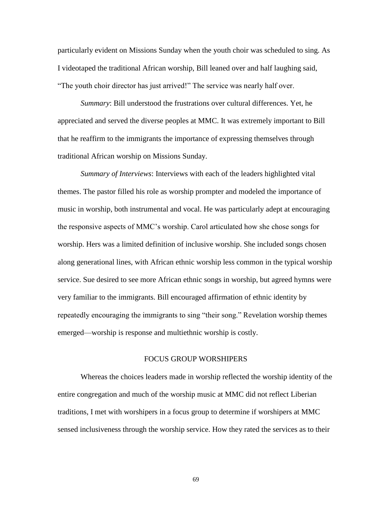particularly evident on Missions Sunday when the youth choir was scheduled to sing. As I videotaped the traditional African worship, Bill leaned over and half laughing said, "The youth choir director has just arrived!" The service was nearly half over.

*Summary*: Bill understood the frustrations over cultural differences. Yet, he appreciated and served the diverse peoples at MMC. It was extremely important to Bill that he reaffirm to the immigrants the importance of expressing themselves through traditional African worship on Missions Sunday.

*Summary of Interviews*: Interviews with each of the leaders highlighted vital themes. The pastor filled his role as worship prompter and modeled the importance of music in worship, both instrumental and vocal. He was particularly adept at encouraging the responsive aspects of MMC's worship. Carol articulated how she chose songs for worship. Hers was a limited definition of inclusive worship. She included songs chosen along generational lines, with African ethnic worship less common in the typical worship service. Sue desired to see more African ethnic songs in worship, but agreed hymns were very familiar to the immigrants. Bill encouraged affirmation of ethnic identity by repeatedly encouraging the immigrants to sing "their song." Revelation worship themes emerged—worship is response and multiethnic worship is costly.

#### FOCUS GROUP WORSHIPERS

Whereas the choices leaders made in worship reflected the worship identity of the entire congregation and much of the worship music at MMC did not reflect Liberian traditions, I met with worshipers in a focus group to determine if worshipers at MMC sensed inclusiveness through the worship service. How they rated the services as to their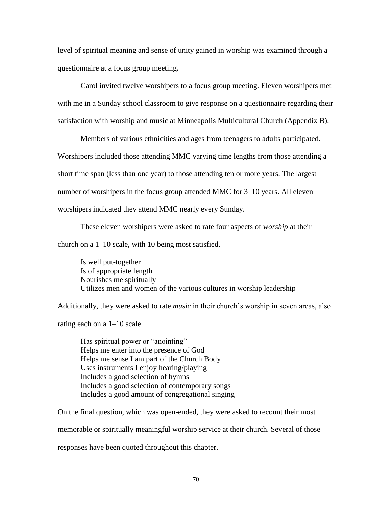level of spiritual meaning and sense of unity gained in worship was examined through a questionnaire at a focus group meeting.

Carol invited twelve worshipers to a focus group meeting. Eleven worshipers met with me in a Sunday school classroom to give response on a questionnaire regarding their satisfaction with worship and music at Minneapolis Multicultural Church (Appendix B).

Members of various ethnicities and ages from teenagers to adults participated. Worshipers included those attending MMC varying time lengths from those attending a short time span (less than one year) to those attending ten or more years. The largest

number of worshipers in the focus group attended MMC for 3–10 years. All eleven

worshipers indicated they attend MMC nearly every Sunday.

These eleven worshipers were asked to rate four aspects of *worship* at their

church on a 1–10 scale, with 10 being most satisfied.

Is well put-together Is of appropriate length Nourishes me spiritually Utilizes men and women of the various cultures in worship leadership

Additionally, they were asked to rate *music* in their church's worship in seven areas, also

rating each on a 1–10 scale.

Has spiritual power or "anointing" Helps me enter into the presence of God Helps me sense I am part of the Church Body Uses instruments I enjoy hearing/playing Includes a good selection of hymns Includes a good selection of contemporary songs Includes a good amount of congregational singing

On the final question, which was open-ended, they were asked to recount their most

memorable or spiritually meaningful worship service at their church. Several of those

responses have been quoted throughout this chapter.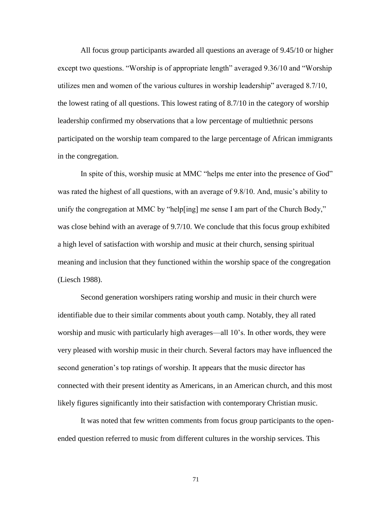All focus group participants awarded all questions an average of 9.45/10 or higher except two questions. "Worship is of appropriate length" averaged 9.36/10 and "Worship utilizes men and women of the various cultures in worship leadership" averaged  $8.7/10$ , the lowest rating of all questions. This lowest rating of 8.7/10 in the category of worship leadership confirmed my observations that a low percentage of multiethnic persons participated on the worship team compared to the large percentage of African immigrants in the congregation.

In spite of this, worship music at MMC "helps me enter into the presence of God" was rated the highest of all questions, with an average of 9.8/10. And, music's ability to unify the congregation at MMC by "help[ing] me sense I am part of the Church Body," was close behind with an average of 9.7/10. We conclude that this focus group exhibited a high level of satisfaction with worship and music at their church, sensing spiritual meaning and inclusion that they functioned within the worship space of the congregation (Liesch 1988).

Second generation worshipers rating worship and music in their church were identifiable due to their similar comments about youth camp. Notably, they all rated worship and music with particularly high averages—all 10's. In other words, they were very pleased with worship music in their church. Several factors may have influenced the second generation's top ratings of worship. It appears that the music director has connected with their present identity as Americans, in an American church, and this most likely figures significantly into their satisfaction with contemporary Christian music.

It was noted that few written comments from focus group participants to the openended question referred to music from different cultures in the worship services. This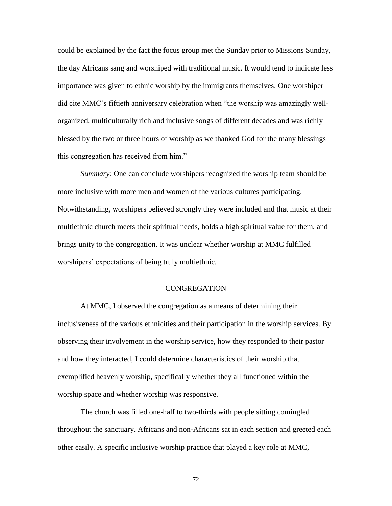could be explained by the fact the focus group met the Sunday prior to Missions Sunday, the day Africans sang and worshiped with traditional music. It would tend to indicate less importance was given to ethnic worship by the immigrants themselves. One worshiper did cite MMC's fiftieth anniversary celebration when "the worship was amazingly wellorganized, multiculturally rich and inclusive songs of different decades and was richly blessed by the two or three hours of worship as we thanked God for the many blessings this congregation has received from him."

*Summary*: One can conclude worshipers recognized the worship team should be more inclusive with more men and women of the various cultures participating. Notwithstanding, worshipers believed strongly they were included and that music at their multiethnic church meets their spiritual needs, holds a high spiritual value for them, and brings unity to the congregation. It was unclear whether worship at MMC fulfilled worshipers' expectations of being truly multiethnic.

#### **CONGREGATION**

At MMC, I observed the congregation as a means of determining their inclusiveness of the various ethnicities and their participation in the worship services. By observing their involvement in the worship service, how they responded to their pastor and how they interacted, I could determine characteristics of their worship that exemplified heavenly worship, specifically whether they all functioned within the worship space and whether worship was responsive.

The church was filled one-half to two-thirds with people sitting comingled throughout the sanctuary. Africans and non-Africans sat in each section and greeted each other easily. A specific inclusive worship practice that played a key role at MMC,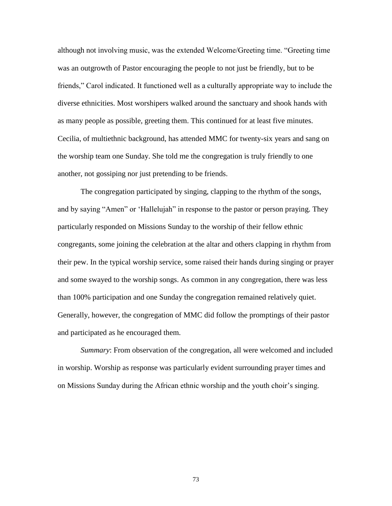although not involving music, was the extended Welcome/Greeting time. "Greeting time was an outgrowth of Pastor encouraging the people to not just be friendly, but to be friends," Carol indicated. It functioned well as a culturally appropriate way to include the diverse ethnicities. Most worshipers walked around the sanctuary and shook hands with as many people as possible, greeting them. This continued for at least five minutes. Cecilia, of multiethnic background, has attended MMC for twenty-six years and sang on the worship team one Sunday. She told me the congregation is truly friendly to one another, not gossiping nor just pretending to be friends.

The congregation participated by singing, clapping to the rhythm of the songs, and by saying "Amen" or 'Hallelujah" in response to the pastor or person praying. They particularly responded on Missions Sunday to the worship of their fellow ethnic congregants, some joining the celebration at the altar and others clapping in rhythm from their pew. In the typical worship service, some raised their hands during singing or prayer and some swayed to the worship songs. As common in any congregation, there was less than 100% participation and one Sunday the congregation remained relatively quiet. Generally, however, the congregation of MMC did follow the promptings of their pastor and participated as he encouraged them.

*Summary*: From observation of the congregation, all were welcomed and included in worship. Worship as response was particularly evident surrounding prayer times and on Missions Sunday during the African ethnic worship and the youth choir's singing.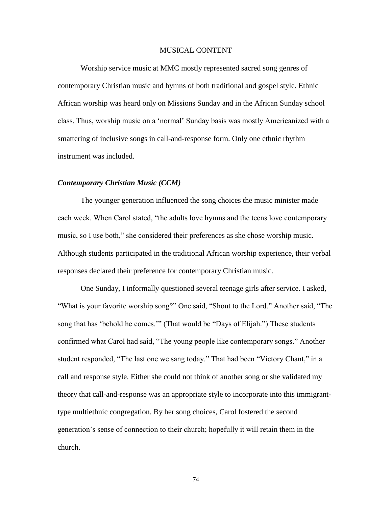#### MUSICAL CONTENT

Worship service music at MMC mostly represented sacred song genres of contemporary Christian music and hymns of both traditional and gospel style. Ethnic African worship was heard only on Missions Sunday and in the African Sunday school class. Thus, worship music on a 'normal' Sunday basis was mostly Americanized with a smattering of inclusive songs in call-and-response form. Only one ethnic rhythm instrument was included.

# *Contemporary Christian Music (CCM)*

The younger generation influenced the song choices the music minister made each week. When Carol stated, "the adults love hymns and the teens love contemporary music, so I use both," she considered their preferences as she chose worship music. Although students participated in the traditional African worship experience, their verbal responses declared their preference for contemporary Christian music.

One Sunday, I informally questioned several teenage girls after service. I asked, "What is your favorite worship song?" One said, "Shout to the Lord." Another said, "The song that has 'behold he comes.'" (That would be "Days of Elijah.") These students confirmed what Carol had said, "The young people like contemporary songs." Another student responded, "The last one we sang today." That had been "Victory Chant," in a call and response style. Either she could not think of another song or she validated my theory that call-and-response was an appropriate style to incorporate into this immigranttype multiethnic congregation. By her song choices, Carol fostered the second generation's sense of connection to their church; hopefully it will retain them in the church.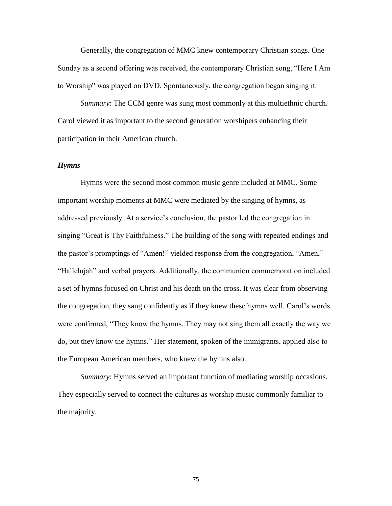Generally, the congregation of MMC knew contemporary Christian songs. One Sunday as a second offering was received, the contemporary Christian song, "Here I Am to Worship" was played on DVD. Spontaneously, the congregation began singing it.

*Summary*: The CCM genre was sung most commonly at this multiethnic church. Carol viewed it as important to the second generation worshipers enhancing their participation in their American church.

#### *Hymns*

Hymns were the second most common music genre included at MMC. Some important worship moments at MMC were mediated by the singing of hymns, as addressed previously. At a service's conclusion, the pastor led the congregation in singing "Great is Thy Faithfulness." The building of the song with repeated endings and the pastor's promptings of "Amen!" yielded response from the congregation, "Amen," "Hallelujah" and verbal prayers. Additionally, the communion commemoration included a set of hymns focused on Christ and his death on the cross. It was clear from observing the congregation, they sang confidently as if they knew these hymns well. Carol's words were confirmed, "They know the hymns. They may not sing them all exactly the way we do, but they know the hymns.‖ Her statement, spoken of the immigrants, applied also to the European American members, who knew the hymns also.

*Summary*: Hymns served an important function of mediating worship occasions. They especially served to connect the cultures as worship music commonly familiar to the majority.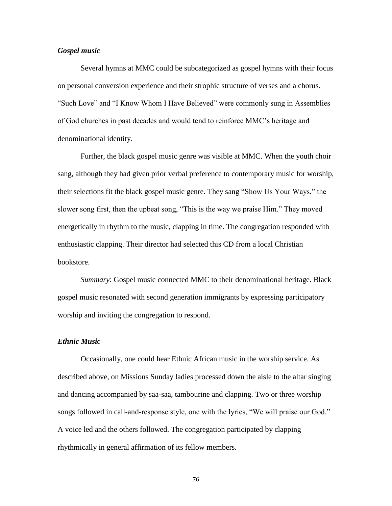# *Gospel music*

Several hymns at MMC could be subcategorized as gospel hymns with their focus on personal conversion experience and their strophic structure of verses and a chorus. "Such Love" and "I Know Whom I Have Believed" were commonly sung in Assemblies of God churches in past decades and would tend to reinforce MMC's heritage and denominational identity.

Further, the black gospel music genre was visible at MMC. When the youth choir sang, although they had given prior verbal preference to contemporary music for worship, their selections fit the black gospel music genre. They sang "Show Us Your Ways," the slower song first, then the upbeat song, "This is the way we praise Him." They moved energetically in rhythm to the music, clapping in time. The congregation responded with enthusiastic clapping. Their director had selected this CD from a local Christian bookstore.

*Summary*: Gospel music connected MMC to their denominational heritage. Black gospel music resonated with second generation immigrants by expressing participatory worship and inviting the congregation to respond.

# *Ethnic Music*

Occasionally, one could hear Ethnic African music in the worship service. As described above, on Missions Sunday ladies processed down the aisle to the altar singing and dancing accompanied by saa-saa, tambourine and clapping. Two or three worship songs followed in call-and-response style, one with the lyrics, "We will praise our God." A voice led and the others followed. The congregation participated by clapping rhythmically in general affirmation of its fellow members.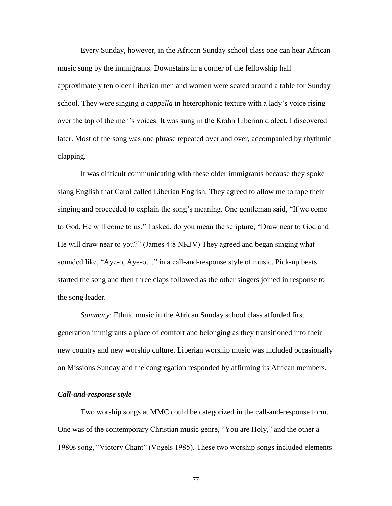Every Sunday, however, in the African Sunday school class one can hear African music sung by the immigrants. Downstairs in a corner of the fellowship hall approximately ten older Liberian men and women were seated around a table for Sunday school. They were singing *a cappella* in heterophonic texture with a lady's voice rising over the top of the men's voices. It was sung in the Krahn Liberian dialect, I discovered later. Most of the song was one phrase repeated over and over, accompanied by rhythmic clapping.

It was difficult communicating with these older immigrants because they spoke slang English that Carol called Liberian English. They agreed to allow me to tape their singing and proceeded to explain the song's meaning. One gentleman said, "If we come to God, He will come to us." I asked, do you mean the scripture, "Draw near to God and He will draw near to you?" (James 4:8 NKJV) They agreed and began singing what sounded like, "Aye-o, Aye-o..." in a call-and-response style of music. Pick-up beats started the song and then three claps followed as the other singers joined in response to the song leader.

*Summary*: Ethnic music in the African Sunday school class afforded first generation immigrants a place of comfort and belonging as they transitioned into their new country and new worship culture. Liberian worship music was included occasionally on Missions Sunday and the congregation responded by affirming its African members.

## *Call-and-response style*

Two worship songs at MMC could be categorized in the call-and-response form. One was of the contemporary Christian music genre, "You are Holy," and the other a 1980s song, "Victory Chant" (Vogels 1985). These two worship songs included elements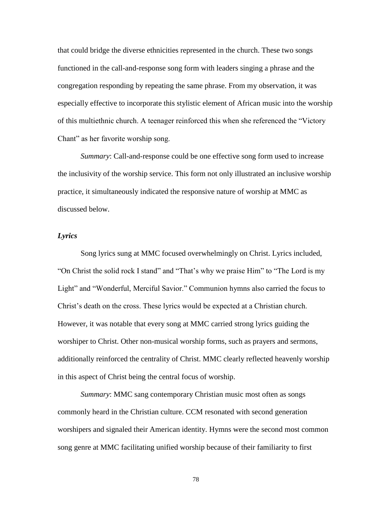that could bridge the diverse ethnicities represented in the church. These two songs functioned in the call-and-response song form with leaders singing a phrase and the congregation responding by repeating the same phrase. From my observation, it was especially effective to incorporate this stylistic element of African music into the worship of this multiethnic church. A teenager reinforced this when she referenced the ―Victory Chant" as her favorite worship song.

*Summary*: Call-and-response could be one effective song form used to increase the inclusivity of the worship service. This form not only illustrated an inclusive worship practice, it simultaneously indicated the responsive nature of worship at MMC as discussed below.

# *Lyrics*

Song lyrics sung at MMC focused overwhelmingly on Christ. Lyrics included, "On Christ the solid rock I stand" and "That's why we praise Him" to "The Lord is my Light" and "Wonderful, Merciful Savior." Communion hymns also carried the focus to Christ's death on the cross. These lyrics would be expected at a Christian church. However, it was notable that every song at MMC carried strong lyrics guiding the worshiper to Christ. Other non-musical worship forms, such as prayers and sermons, additionally reinforced the centrality of Christ. MMC clearly reflected heavenly worship in this aspect of Christ being the central focus of worship.

*Summary*: MMC sang contemporary Christian music most often as songs commonly heard in the Christian culture. CCM resonated with second generation worshipers and signaled their American identity. Hymns were the second most common song genre at MMC facilitating unified worship because of their familiarity to first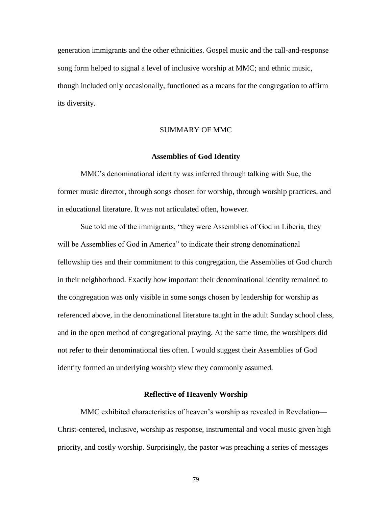generation immigrants and the other ethnicities. Gospel music and the call-and-response song form helped to signal a level of inclusive worship at MMC; and ethnic music, though included only occasionally, functioned as a means for the congregation to affirm its diversity.

# SUMMARY OF MMC

### **Assemblies of God Identity**

MMC's denominational identity was inferred through talking with Sue, the former music director, through songs chosen for worship, through worship practices, and in educational literature. It was not articulated often, however.

Sue told me of the immigrants, "they were Assemblies of God in Liberia, they will be Assemblies of God in America" to indicate their strong denominational fellowship ties and their commitment to this congregation, the Assemblies of God church in their neighborhood. Exactly how important their denominational identity remained to the congregation was only visible in some songs chosen by leadership for worship as referenced above, in the denominational literature taught in the adult Sunday school class, and in the open method of congregational praying. At the same time, the worshipers did not refer to their denominational ties often. I would suggest their Assemblies of God identity formed an underlying worship view they commonly assumed.

## **Reflective of Heavenly Worship**

MMC exhibited characteristics of heaven's worship as revealed in Revelation— Christ-centered, inclusive, worship as response, instrumental and vocal music given high priority, and costly worship. Surprisingly, the pastor was preaching a series of messages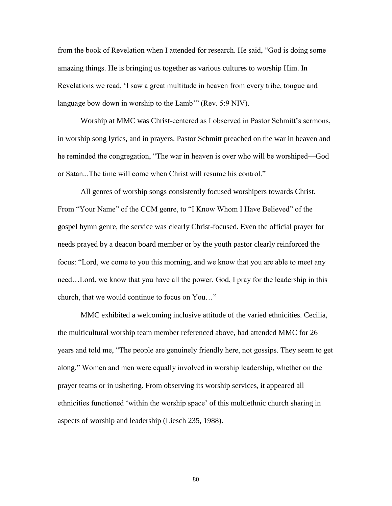from the book of Revelation when I attended for research. He said, "God is doing some amazing things. He is bringing us together as various cultures to worship Him. In Revelations we read, ‗I saw a great multitude in heaven from every tribe, tongue and language bow down in worship to the Lamb<sup>\*\*</sup> (Rev. 5:9 NIV).

Worship at MMC was Christ-centered as I observed in Pastor Schmitt's sermons, in worship song lyrics, and in prayers. Pastor Schmitt preached on the war in heaven and he reminded the congregation, "The war in heaven is over who will be worshiped—God or Satan...The time will come when Christ will resume his control."

All genres of worship songs consistently focused worshipers towards Christ. From "Your Name" of the CCM genre, to "I Know Whom I Have Believed" of the gospel hymn genre, the service was clearly Christ-focused. Even the official prayer for needs prayed by a deacon board member or by the youth pastor clearly reinforced the focus: "Lord, we come to you this morning, and we know that you are able to meet any need…Lord, we know that you have all the power. God, I pray for the leadership in this church, that we would continue to focus on You..."

MMC exhibited a welcoming inclusive attitude of the varied ethnicities. Cecilia, the multicultural worship team member referenced above, had attended MMC for 26 years and told me, "The people are genuinely friendly here, not gossips. They seem to get along.‖ Women and men were equally involved in worship leadership, whether on the prayer teams or in ushering. From observing its worship services, it appeared all ethnicities functioned ‗within the worship space' of this multiethnic church sharing in aspects of worship and leadership (Liesch 235, 1988).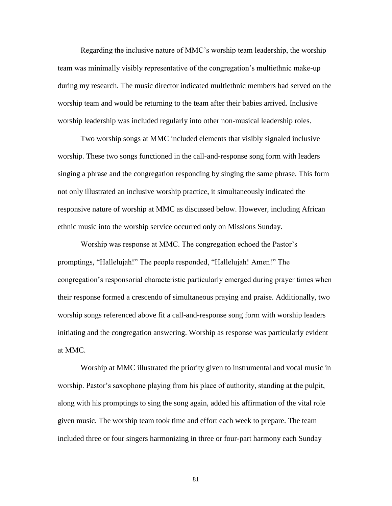Regarding the inclusive nature of MMC's worship team leadership, the worship team was minimally visibly representative of the congregation's multiethnic make-up during my research. The music director indicated multiethnic members had served on the worship team and would be returning to the team after their babies arrived. Inclusive worship leadership was included regularly into other non-musical leadership roles.

Two worship songs at MMC included elements that visibly signaled inclusive worship. These two songs functioned in the call-and-response song form with leaders singing a phrase and the congregation responding by singing the same phrase. This form not only illustrated an inclusive worship practice, it simultaneously indicated the responsive nature of worship at MMC as discussed below. However, including African ethnic music into the worship service occurred only on Missions Sunday.

Worship was response at MMC. The congregation echoed the Pastor's promptings, "Hallelujah!" The people responded, "Hallelujah! Amen!" The congregation's responsorial characteristic particularly emerged during prayer times when their response formed a crescendo of simultaneous praying and praise. Additionally, two worship songs referenced above fit a call-and-response song form with worship leaders initiating and the congregation answering. Worship as response was particularly evident at MMC.

Worship at MMC illustrated the priority given to instrumental and vocal music in worship. Pastor's saxophone playing from his place of authority, standing at the pulpit, along with his promptings to sing the song again, added his affirmation of the vital role given music. The worship team took time and effort each week to prepare. The team included three or four singers harmonizing in three or four-part harmony each Sunday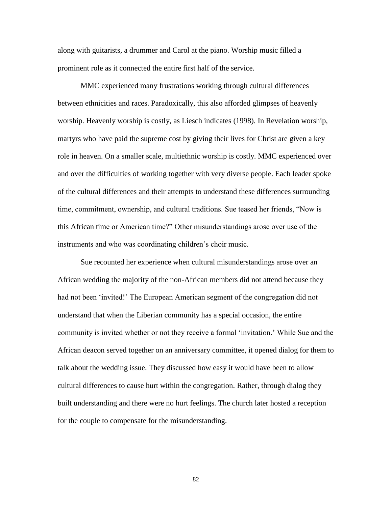along with guitarists, a drummer and Carol at the piano. Worship music filled a prominent role as it connected the entire first half of the service.

MMC experienced many frustrations working through cultural differences between ethnicities and races. Paradoxically, this also afforded glimpses of heavenly worship. Heavenly worship is costly, as Liesch indicates (1998). In Revelation worship, martyrs who have paid the supreme cost by giving their lives for Christ are given a key role in heaven. On a smaller scale, multiethnic worship is costly. MMC experienced over and over the difficulties of working together with very diverse people. Each leader spoke of the cultural differences and their attempts to understand these differences surrounding time, commitment, ownership, and cultural traditions. Sue teased her friends, "Now is this African time or American time?" Other misunderstandings arose over use of the instruments and who was coordinating children's choir music.

Sue recounted her experience when cultural misunderstandings arose over an African wedding the majority of the non-African members did not attend because they had not been 'invited!' The European American segment of the congregation did not understand that when the Liberian community has a special occasion, the entire community is invited whether or not they receive a formal ‗invitation.' While Sue and the African deacon served together on an anniversary committee, it opened dialog for them to talk about the wedding issue. They discussed how easy it would have been to allow cultural differences to cause hurt within the congregation. Rather, through dialog they built understanding and there were no hurt feelings. The church later hosted a reception for the couple to compensate for the misunderstanding.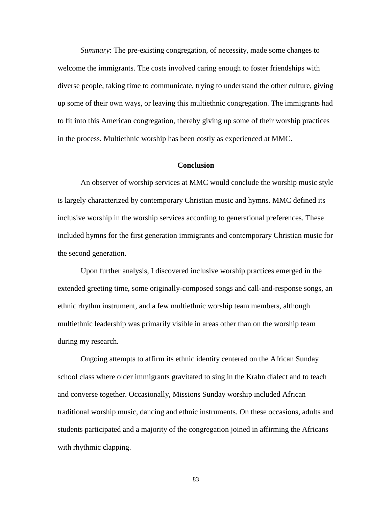*Summary*: The pre-existing congregation, of necessity, made some changes to welcome the immigrants. The costs involved caring enough to foster friendships with diverse people, taking time to communicate, trying to understand the other culture, giving up some of their own ways, or leaving this multiethnic congregation. The immigrants had to fit into this American congregation, thereby giving up some of their worship practices in the process. Multiethnic worship has been costly as experienced at MMC.

# **Conclusion**

An observer of worship services at MMC would conclude the worship music style is largely characterized by contemporary Christian music and hymns. MMC defined its inclusive worship in the worship services according to generational preferences. These included hymns for the first generation immigrants and contemporary Christian music for the second generation.

Upon further analysis, I discovered inclusive worship practices emerged in the extended greeting time, some originally-composed songs and call-and-response songs, an ethnic rhythm instrument, and a few multiethnic worship team members, although multiethnic leadership was primarily visible in areas other than on the worship team during my research.

Ongoing attempts to affirm its ethnic identity centered on the African Sunday school class where older immigrants gravitated to sing in the Krahn dialect and to teach and converse together. Occasionally, Missions Sunday worship included African traditional worship music, dancing and ethnic instruments. On these occasions, adults and students participated and a majority of the congregation joined in affirming the Africans with rhythmic clapping.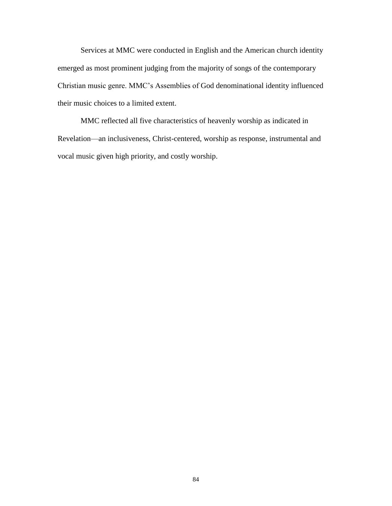Services at MMC were conducted in English and the American church identity emerged as most prominent judging from the majority of songs of the contemporary Christian music genre. MMC's Assemblies of God denominational identity influenced their music choices to a limited extent.

MMC reflected all five characteristics of heavenly worship as indicated in Revelation—an inclusiveness, Christ-centered, worship as response, instrumental and vocal music given high priority, and costly worship.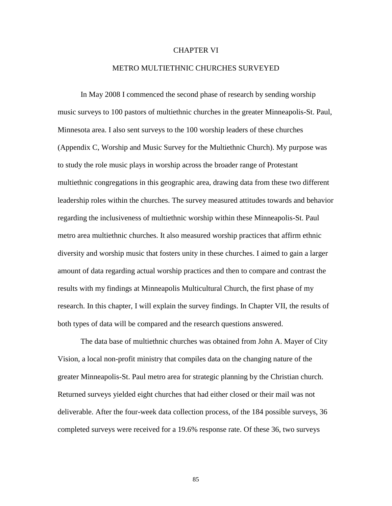## CHAPTER VI

## METRO MULTIETHNIC CHURCHES SURVEYED

In May 2008 I commenced the second phase of research by sending worship music surveys to 100 pastors of multiethnic churches in the greater Minneapolis-St. Paul, Minnesota area. I also sent surveys to the 100 worship leaders of these churches (Appendix C, Worship and Music Survey for the Multiethnic Church). My purpose was to study the role music plays in worship across the broader range of Protestant multiethnic congregations in this geographic area, drawing data from these two different leadership roles within the churches. The survey measured attitudes towards and behavior regarding the inclusiveness of multiethnic worship within these Minneapolis-St. Paul metro area multiethnic churches. It also measured worship practices that affirm ethnic diversity and worship music that fosters unity in these churches. I aimed to gain a larger amount of data regarding actual worship practices and then to compare and contrast the results with my findings at Minneapolis Multicultural Church, the first phase of my research. In this chapter, I will explain the survey findings. In Chapter VII, the results of both types of data will be compared and the research questions answered.

The data base of multiethnic churches was obtained from John A. Mayer of City Vision, a local non-profit ministry that compiles data on the changing nature of the greater Minneapolis-St. Paul metro area for strategic planning by the Christian church. Returned surveys yielded eight churches that had either closed or their mail was not deliverable. After the four-week data collection process, of the 184 possible surveys, 36 completed surveys were received for a 19.6% response rate. Of these 36, two surveys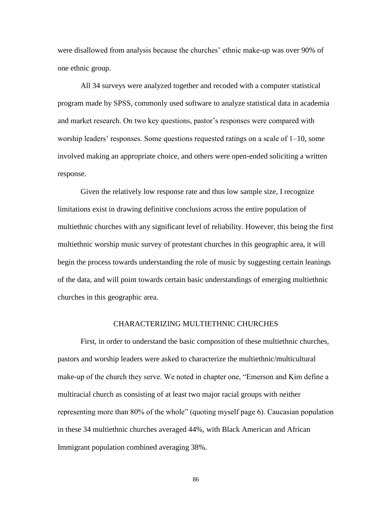were disallowed from analysis because the churches' ethnic make-up was over 90% of one ethnic group.

All 34 surveys were analyzed together and recoded with a computer statistical program made by SPSS, commonly used software to analyze statistical data in academia and market research. On two key questions, pastor's responses were compared with worship leaders' responses. Some questions requested ratings on a scale of 1–10, some involved making an appropriate choice, and others were open-ended soliciting a written response.

Given the relatively low response rate and thus low sample size, I recognize limitations exist in drawing definitive conclusions across the entire population of multiethnic churches with any significant level of reliability. However, this being the first multiethnic worship music survey of protestant churches in this geographic area, it will begin the process towards understanding the role of music by suggesting certain leanings of the data, and will point towards certain basic understandings of emerging multiethnic churches in this geographic area.

#### CHARACTERIZING MULTIETHNIC CHURCHES

First, in order to understand the basic composition of these multiethnic churches, pastors and worship leaders were asked to characterize the multiethnic/multicultural make-up of the church they serve. We noted in chapter one, "Emerson and Kim define a multiracial church as consisting of at least two major racial groups with neither representing more than 80% of the whole" (quoting myself page 6). Caucasian population in these 34 multiethnic churches averaged 44%, with Black American and African Immigrant population combined averaging 38%.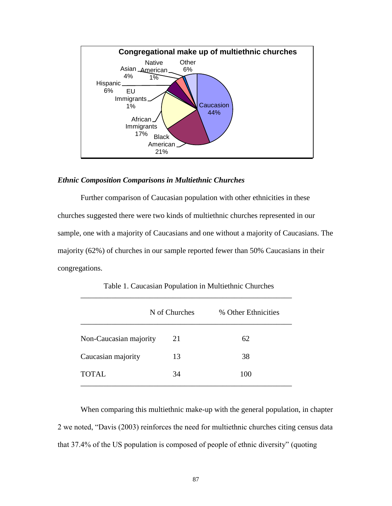

### *Ethnic Composition Comparisons in Multiethnic Churches*

Further comparison of Caucasian population with other ethnicities in these churches suggested there were two kinds of multiethnic churches represented in our sample, one with a majority of Caucasians and one without a majority of Caucasians. The majority (62%) of churches in our sample reported fewer than 50% Caucasians in their congregations.

|                        | N of Churches | % Other Ethnicities |
|------------------------|---------------|---------------------|
| Non-Caucasian majority | 21            | 62                  |
| Caucasian majority     | 13            | 38                  |
| TOTAL                  | 34            | 100                 |

Table 1. Caucasian Population in Multiethnic Churches

When comparing this multiethnic make-up with the general population, in chapter 2 we noted, "Davis (2003) reinforces the need for multiethnic churches citing census data that 37.4% of the US population is composed of people of ethnic diversity" (quoting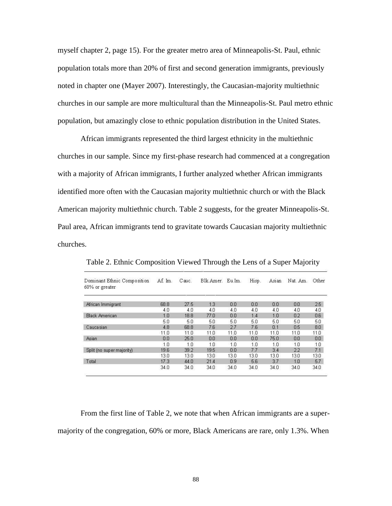myself chapter 2, page 15). For the greater metro area of Minneapolis-St. Paul, ethnic population totals more than 20% of first and second generation immigrants, previously noted in chapter one (Mayer 2007). Interestingly, the Caucasian-majority multiethnic churches in our sample are more multicultural than the Minneapolis-St. Paul metro ethnic population, but amazingly close to ethnic population distribution in the United States.

African immigrants represented the third largest ethnicity in the multiethnic churches in our sample. Since my first-phase research had commenced at a congregation with a majority of African immigrants, I further analyzed whether African immigrants identified more often with the Caucasian majority multiethnic church or with the Black American majority multiethnic church. Table 2 suggests, for the greater Minneapolis-St. Paul area, African immigrants tend to gravitate towards Caucasian majority multiethnic churches.

| Dominant Ethnic Composition<br>$60\%$ or greater | Af. Im. | Cauc. | Blk.Amer. | Eu.Im. | Hisp. | Asian | Nat. Am. | Other |
|--------------------------------------------------|---------|-------|-----------|--------|-------|-------|----------|-------|
|                                                  |         |       |           |        |       |       |          |       |
| African Immigrant                                | 68.8    | 27.5  | 1.3       | 0.0    | 0.0   | 0.0   | 0.0      | 2.5   |
|                                                  | 4.0     | 4.0   | 4.0       | 4.0    | 4.0   | 4.0   | 4.0      | 4.0   |
| <b>Black American</b>                            | 1.0     | 18.8  | 77.0      | 0.0    | 1.4   | 1.0   | 0.2      | 0.6   |
|                                                  | 5.0     | 5.0   | 5.0       | 5.0    | 5.0   | 5.0   | 5.0      | 5.0   |
| Caucasian                                        | 4.8     | 68.8  | 7.6       | 2.7    | 7.6   | 0.1   | 0.5      | 8.0   |
|                                                  | 11.0    | 11.0  | 11.0      | 11.0   | 11.0  | 11.0  | 11.0     | 11.0  |
| Asian                                            | 0.0     | 25.0  | 0.0       | 0.0    | 0.0   | 75.0  | 0.0      | 0.0   |
|                                                  | 1.0     | 1.0   | 1.0       | 1.0    | 1.0   | 1.0   | 1.0      | 1.0   |
| Split (no super majority)                        | 19.6    | 39.2  | 19.5      | 0.0    | 7.7   | 3.4   | 2.2      | 7.1   |
|                                                  | 13.0    | 13.0  | 13.0      | 13.0   | 13.0  | 13.0  | 13.0     | 13.0  |
| Total                                            | 17.3    | 44.0  | 21.4      | 0.9    | 5.6   | 3.7   | 1.0      | 5.7   |
|                                                  | 34.0    | 34.0  | 34.0      | 34.0   | 34.0  | 34.0  | 34.0     | 34.0  |

Table 2. Ethnic Composition Viewed Through the Lens of a Super Majority

From the first line of Table 2, we note that when African immigrants are a supermajority of the congregation, 60% or more, Black Americans are rare, only 1.3%. When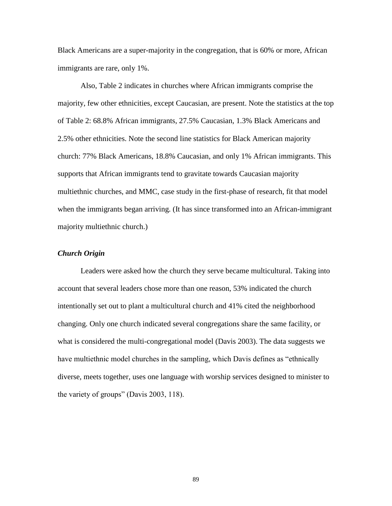Black Americans are a super-majority in the congregation, that is 60% or more, African immigrants are rare, only 1%.

Also, Table 2 indicates in churches where African immigrants comprise the majority, few other ethnicities, except Caucasian, are present. Note the statistics at the top of Table 2: 68.8% African immigrants, 27.5% Caucasian, 1.3% Black Americans and 2.5% other ethnicities. Note the second line statistics for Black American majority church: 77% Black Americans, 18.8% Caucasian, and only 1% African immigrants. This supports that African immigrants tend to gravitate towards Caucasian majority multiethnic churches, and MMC, case study in the first-phase of research, fit that model when the immigrants began arriving. (It has since transformed into an African-immigrant majority multiethnic church.)

# *Church Origin*

Leaders were asked how the church they serve became multicultural. Taking into account that several leaders chose more than one reason, 53% indicated the church intentionally set out to plant a multicultural church and 41% cited the neighborhood changing. Only one church indicated several congregations share the same facility, or what is considered the multi-congregational model (Davis 2003). The data suggests we have multiethnic model churches in the sampling, which Davis defines as "ethnically" diverse, meets together, uses one language with worship services designed to minister to the variety of groups" (Davis  $2003$ , 118).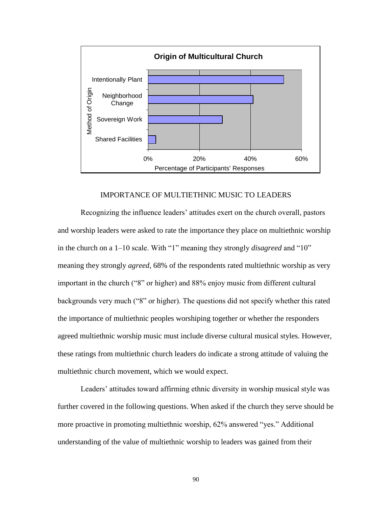

## IMPORTANCE OF MULTIETHNIC MUSIC TO LEADERS

Recognizing the influence leaders' attitudes exert on the church overall, pastors and worship leaders were asked to rate the importance they place on multiethnic worship in the church on a 1–10 scale. With "1" meaning they strongly *disagreed* and "10" meaning they strongly *agreed*, 68% of the respondents rated multiethnic worship as very important in the church ("8" or higher) and 88% enjoy music from different cultural backgrounds very much ("8" or higher). The questions did not specify whether this rated the importance of multiethnic peoples worshiping together or whether the responders agreed multiethnic worship music must include diverse cultural musical styles. However, these ratings from multiethnic church leaders do indicate a strong attitude of valuing the multiethnic church movement, which we would expect.

Leaders' attitudes toward affirming ethnic diversity in worship musical style was further covered in the following questions. When asked if the church they serve should be more proactive in promoting multiethnic worship, 62% answered "yes." Additional understanding of the value of multiethnic worship to leaders was gained from their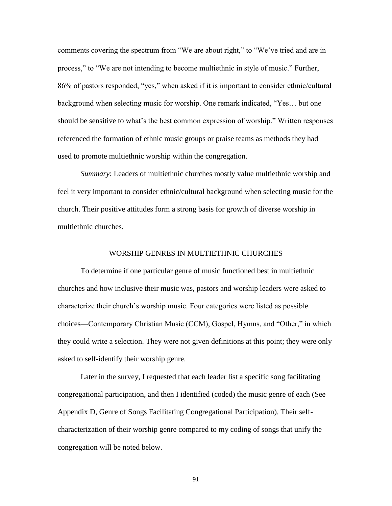comments covering the spectrum from "We are about right," to "We've tried and are in process," to "We are not intending to become multiethnic in style of music." Further, 86% of pastors responded, "yes," when asked if it is important to consider ethnic/cultural background when selecting music for worship. One remark indicated, "Yes... but one should be sensitive to what's the best common expression of worship." Written responses referenced the formation of ethnic music groups or praise teams as methods they had used to promote multiethnic worship within the congregation.

*Summary*: Leaders of multiethnic churches mostly value multiethnic worship and feel it very important to consider ethnic/cultural background when selecting music for the church. Their positive attitudes form a strong basis for growth of diverse worship in multiethnic churches.

# WORSHIP GENRES IN MULTIETHNIC CHURCHES

To determine if one particular genre of music functioned best in multiethnic churches and how inclusive their music was, pastors and worship leaders were asked to characterize their church's worship music. Four categories were listed as possible choices—Contemporary Christian Music (CCM), Gospel, Hymns, and "Other," in which they could write a selection. They were not given definitions at this point; they were only asked to self-identify their worship genre.

Later in the survey, I requested that each leader list a specific song facilitating congregational participation, and then I identified (coded) the music genre of each (See Appendix D, Genre of Songs Facilitating Congregational Participation). Their selfcharacterization of their worship genre compared to my coding of songs that unify the congregation will be noted below.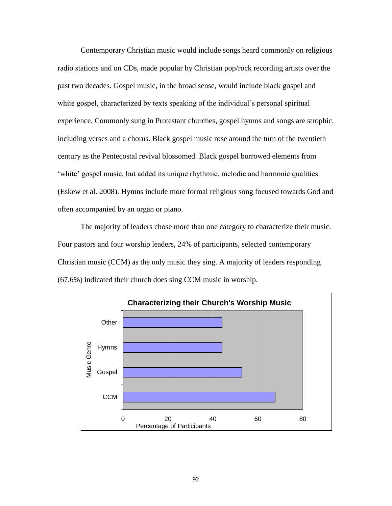Contemporary Christian music would include songs heard commonly on religious radio stations and on CDs, made popular by Christian pop/rock recording artists over the past two decades. Gospel music, in the broad sense, would include black gospel and white gospel, characterized by texts speaking of the individual's personal spiritual experience. Commonly sung in Protestant churches, gospel hymns and songs are strophic, including verses and a chorus. Black gospel music rose around the turn of the twentieth century as the Pentecostal revival blossomed. Black gospel borrowed elements from ‗white' gospel music, but added its unique rhythmic, melodic and harmonic qualities (Eskew et al. 2008). Hymns include more formal religious song focused towards God and often accompanied by an organ or piano.

The majority of leaders chose more than one category to characterize their music. Four pastors and four worship leaders, 24% of participants, selected contemporary Christian music (CCM) as the only music they sing. A majority of leaders responding (67.6%) indicated their church does sing CCM music in worship.

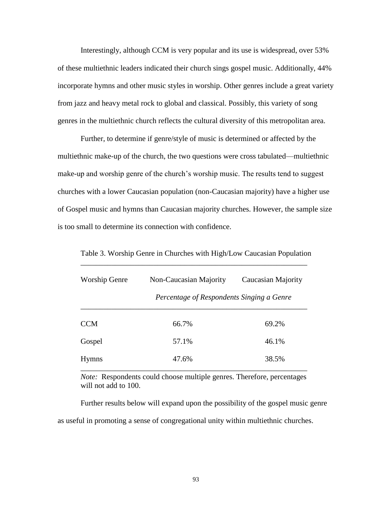Interestingly, although CCM is very popular and its use is widespread, over 53% of these multiethnic leaders indicated their church sings gospel music. Additionally, 44% incorporate hymns and other music styles in worship. Other genres include a great variety from jazz and heavy metal rock to global and classical. Possibly, this variety of song genres in the multiethnic church reflects the cultural diversity of this metropolitan area.

Further, to determine if genre/style of music is determined or affected by the multiethnic make-up of the church, the two questions were cross tabulated—multiethnic make-up and worship genre of the church's worship music. The results tend to suggest churches with a lower Caucasian population (non-Caucasian majority) have a higher use of Gospel music and hymns than Caucasian majority churches. However, the sample size is too small to determine its connection with confidence.

Table 3. Worship Genre in Churches with High/Low Caucasian Population \_\_\_\_\_\_\_\_\_\_\_\_\_\_\_\_\_\_\_\_\_\_\_\_\_\_\_\_\_\_\_\_\_\_\_\_\_\_\_\_\_\_\_\_\_\_\_\_\_\_\_\_\_\_\_\_\_\_\_

| <b>Worship Genre</b> | Non-Caucasian Majority                    | Caucasian Majority |  |
|----------------------|-------------------------------------------|--------------------|--|
|                      | Percentage of Respondents Singing a Genre |                    |  |
| <b>CCM</b>           | 66.7%                                     | 69.2%              |  |
| Gospel               | 57.1%                                     | 46.1%              |  |
| <b>Hymns</b>         | 47.6%                                     | 38.5%              |  |

*Note:* Respondents could choose multiple genres. Therefore, percentages will not add to 100.

Further results below will expand upon the possibility of the gospel music genre as useful in promoting a sense of congregational unity within multiethnic churches.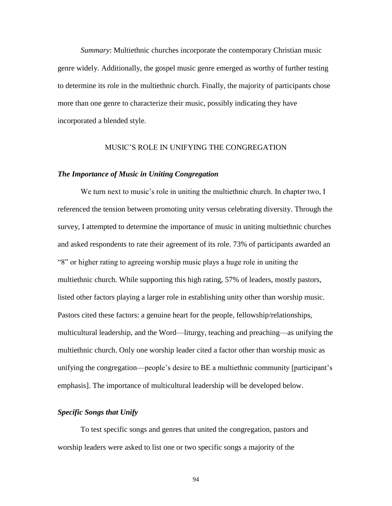*Summary*: Multiethnic churches incorporate the contemporary Christian music genre widely. Additionally, the gospel music genre emerged as worthy of further testing to determine its role in the multiethnic church. Finally, the majority of participants chose more than one genre to characterize their music, possibly indicating they have incorporated a blended style.

# MUSIC'S ROLE IN UNIFYING THE CONGREGATION

#### *The Importance of Music in Uniting Congregation*

We turn next to music's role in uniting the multiethnic church. In chapter two, I referenced the tension between promoting unity versus celebrating diversity. Through the survey, I attempted to determine the importance of music in uniting multiethnic churches and asked respondents to rate their agreement of its role. 73% of participants awarded an ―8‖ or higher rating to agreeing worship music plays a huge role in uniting the multiethnic church. While supporting this high rating, 57% of leaders, mostly pastors, listed other factors playing a larger role in establishing unity other than worship music. Pastors cited these factors: a genuine heart for the people, fellowship/relationships, multicultural leadership, and the Word—liturgy, teaching and preaching—as unifying the multiethnic church. Only one worship leader cited a factor other than worship music as unifying the congregation—people's desire to BE a multiethnic community [participant's emphasis]. The importance of multicultural leadership will be developed below.

## *Specific Songs that Unify*

To test specific songs and genres that united the congregation, pastors and worship leaders were asked to list one or two specific songs a majority of the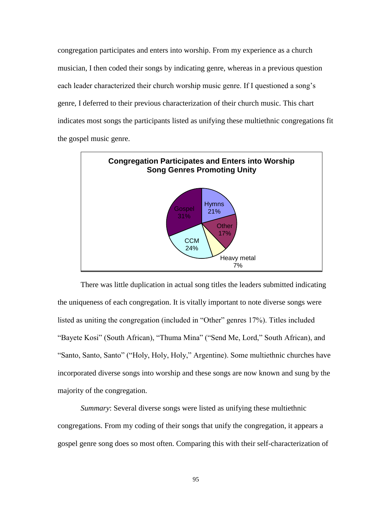congregation participates and enters into worship. From my experience as a church musician, I then coded their songs by indicating genre, whereas in a previous question each leader characterized their church worship music genre. If I questioned a song's genre, I deferred to their previous characterization of their church music. This chart indicates most songs the participants listed as unifying these multiethnic congregations fit the gospel music genre.



There was little duplication in actual song titles the leaders submitted indicating the uniqueness of each congregation. It is vitally important to note diverse songs were listed as uniting the congregation (included in "Other" genres 17%). Titles included "Bayete Kosi" (South African), "Thuma Mina" ("Send Me, Lord," South African), and "Santo, Santo, Santo" ("Holy, Holy, Holy," Argentine). Some multiethnic churches have incorporated diverse songs into worship and these songs are now known and sung by the majority of the congregation.

*Summary*: Several diverse songs were listed as unifying these multiethnic congregations. From my coding of their songs that unify the congregation, it appears a gospel genre song does so most often. Comparing this with their self-characterization of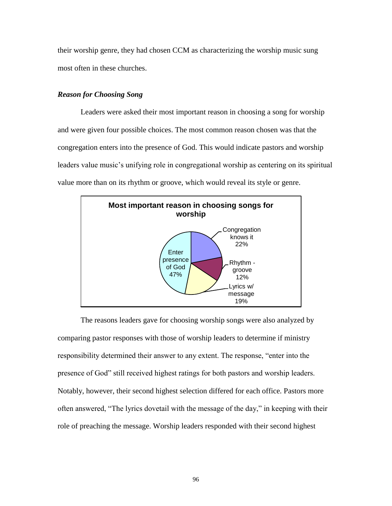their worship genre, they had chosen CCM as characterizing the worship music sung most often in these churches.

# *Reason for Choosing Song*

Leaders were asked their most important reason in choosing a song for worship and were given four possible choices. The most common reason chosen was that the congregation enters into the presence of God. This would indicate pastors and worship leaders value music's unifying role in congregational worship as centering on its spiritual value more than on its rhythm or groove, which would reveal its style or genre.



The reasons leaders gave for choosing worship songs were also analyzed by comparing pastor responses with those of worship leaders to determine if ministry responsibility determined their answer to any extent. The response, "enter into the presence of God" still received highest ratings for both pastors and worship leaders. Notably, however, their second highest selection differed for each office. Pastors more often answered, "The lyrics dovetail with the message of the day," in keeping with their role of preaching the message. Worship leaders responded with their second highest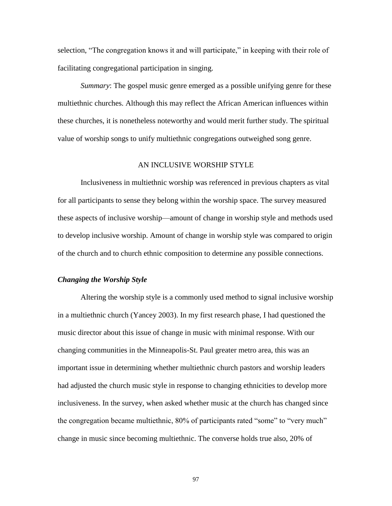selection, "The congregation knows it and will participate," in keeping with their role of facilitating congregational participation in singing.

*Summary*: The gospel music genre emerged as a possible unifying genre for these multiethnic churches. Although this may reflect the African American influences within these churches, it is nonetheless noteworthy and would merit further study. The spiritual value of worship songs to unify multiethnic congregations outweighed song genre.

# AN INCLUSIVE WORSHIP STYLE

Inclusiveness in multiethnic worship was referenced in previous chapters as vital for all participants to sense they belong within the worship space. The survey measured these aspects of inclusive worship—amount of change in worship style and methods used to develop inclusive worship. Amount of change in worship style was compared to origin of the church and to church ethnic composition to determine any possible connections.

#### *Changing the Worship Style*

Altering the worship style is a commonly used method to signal inclusive worship in a multiethnic church (Yancey 2003). In my first research phase, I had questioned the music director about this issue of change in music with minimal response. With our changing communities in the Minneapolis-St. Paul greater metro area, this was an important issue in determining whether multiethnic church pastors and worship leaders had adjusted the church music style in response to changing ethnicities to develop more inclusiveness. In the survey, when asked whether music at the church has changed since the congregation became multiethnic, 80% of participants rated "some" to "very much" change in music since becoming multiethnic. The converse holds true also, 20% of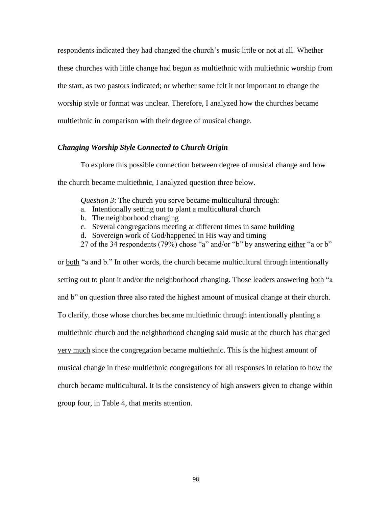respondents indicated they had changed the church's music little or not at all. Whether these churches with little change had begun as multiethnic with multiethnic worship from the start, as two pastors indicated; or whether some felt it not important to change the worship style or format was unclear. Therefore, I analyzed how the churches became multiethnic in comparison with their degree of musical change.

## *Changing Worship Style Connected to Church Origin*

To explore this possible connection between degree of musical change and how the church became multiethnic, I analyzed question three below.

*Question 3*: The church you serve became multicultural through:

- a. Intentionally setting out to plant a multicultural church
- b. The neighborhood changing
- c. Several congregations meeting at different times in same building
- d. Sovereign work of God/happened in His way and timing
- 27 of the 34 respondents (79%) chose "a" and/or "b" by answering either "a or b"

or both "a and b." In other words, the church became multicultural through intentionally setting out to plant it and/or the neighborhood changing. Those leaders answering both "a and b<sup>"</sup> on question three also rated the highest amount of musical change at their church. To clarify, those whose churches became multiethnic through intentionally planting a multiethnic church and the neighborhood changing said music at the church has changed very much since the congregation became multiethnic. This is the highest amount of musical change in these multiethnic congregations for all responses in relation to how the church became multicultural. It is the consistency of high answers given to change within group four, in Table 4, that merits attention.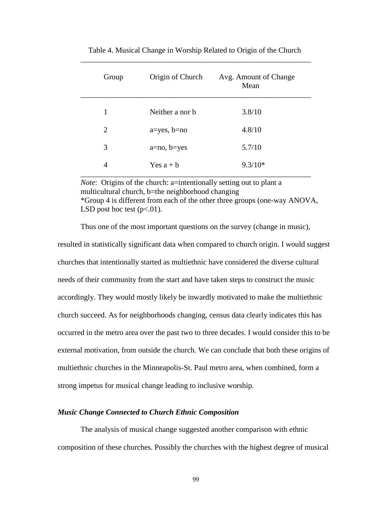| Group | Origin of Church  | Avg. Amount of Change<br>Mean |
|-------|-------------------|-------------------------------|
| 1     | Neither a nor b   | 3.8/10                        |
| 2     | $a = yes, b = no$ | 4.8/10                        |
| 3     | $a = no, b = yes$ | 5.7/10                        |
| 4     | Yes $a + b$       | $9.3/10*$                     |

 Table 4. Musical Change in Worship Related to Origin of the Church \_\_\_\_\_\_\_\_\_\_\_\_\_\_\_\_\_\_\_\_\_\_\_\_\_\_\_\_\_\_\_\_\_\_\_\_\_\_\_\_\_\_\_\_\_\_\_\_\_\_\_\_\_\_\_\_\_\_\_\_

*Note*: Origins of the church: a=intentionally setting out to plant a multicultural church, b=the neighborhood changing \*Group 4 is different from each of the other three groups (one-way ANOVA, LSD post hoc test  $(p<.01)$ .

Thus one of the most important questions on the survey (change in music),

resulted in statistically significant data when compared to church origin. I would suggest churches that intentionally started as multiethnic have considered the diverse cultural needs of their community from the start and have taken steps to construct the music accordingly. They would mostly likely be inwardly motivated to make the multiethnic church succeed. As for neighborhoods changing, census data clearly indicates this has occurred in the metro area over the past two to three decades. I would consider this to be external motivation, from outside the church. We can conclude that both these origins of multiethnic churches in the Minneapolis-St. Paul metro area, when combined, form a strong impetus for musical change leading to inclusive worship.

## *Music Change Connected to Church Ethnic Composition*

The analysis of musical change suggested another comparison with ethnic composition of these churches. Possibly the churches with the highest degree of musical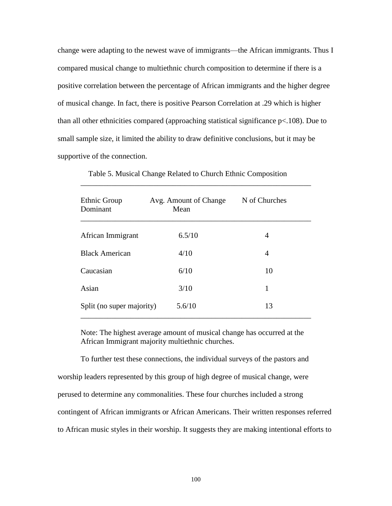change were adapting to the newest wave of immigrants—the African immigrants. Thus I compared musical change to multiethnic church composition to determine if there is a positive correlation between the percentage of African immigrants and the higher degree of musical change. In fact, there is positive Pearson Correlation at .29 which is higher than all other ethnicities compared (approaching statistical significance p<.108). Due to small sample size, it limited the ability to draw definitive conclusions, but it may be supportive of the connection.

| Ethnic Group<br>Dominant  | Avg. Amount of Change<br>Mean | N of Churches |
|---------------------------|-------------------------------|---------------|
| African Immigrant         | 6.5/10                        | 4             |
| <b>Black American</b>     | 4/10                          | 4             |
| Caucasian                 | 6/10                          | 10            |
| Asian                     | 3/10                          | 1             |
| Split (no super majority) | 5.6/10                        | 13            |

Table 5. Musical Change Related to Church Ethnic Composition

\_\_\_\_\_\_\_\_\_\_\_\_\_\_\_\_\_\_\_\_\_\_\_\_\_\_\_\_\_\_\_\_\_\_\_\_\_\_\_\_\_\_\_\_\_\_\_\_\_\_\_\_\_\_\_\_\_\_\_\_

Note: The highest average amount of musical change has occurred at the African Immigrant majority multiethnic churches.

To further test these connections, the individual surveys of the pastors and worship leaders represented by this group of high degree of musical change, were perused to determine any commonalities. These four churches included a strong contingent of African immigrants or African Americans. Their written responses referred to African music styles in their worship. It suggests they are making intentional efforts to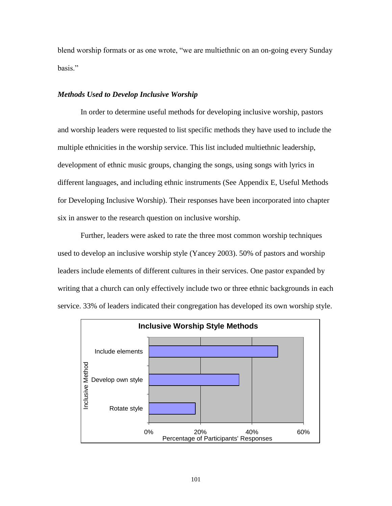blend worship formats or as one wrote, "we are multiethnic on an on-going every Sunday hasis"

# *Methods Used to Develop Inclusive Worship*

In order to determine useful methods for developing inclusive worship, pastors and worship leaders were requested to list specific methods they have used to include the multiple ethnicities in the worship service. This list included multiethnic leadership, development of ethnic music groups, changing the songs, using songs with lyrics in different languages, and including ethnic instruments (See Appendix E, Useful Methods for Developing Inclusive Worship). Their responses have been incorporated into chapter six in answer to the research question on inclusive worship.

Further, leaders were asked to rate the three most common worship techniques used to develop an inclusive worship style (Yancey 2003). 50% of pastors and worship leaders include elements of different cultures in their services. One pastor expanded by writing that a church can only effectively include two or three ethnic backgrounds in each service. 33% of leaders indicated their congregation has developed its own worship style.

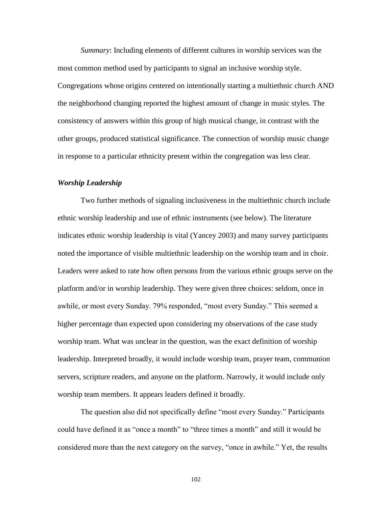*Summary*: Including elements of different cultures in worship services was the most common method used by participants to signal an inclusive worship style. Congregations whose origins centered on intentionally starting a multiethnic church AND the neighborhood changing reported the highest amount of change in music styles. The consistency of answers within this group of high musical change, in contrast with the other groups, produced statistical significance. The connection of worship music change in response to a particular ethnicity present within the congregation was less clear.

# *Worship Leadership*

Two further methods of signaling inclusiveness in the multiethnic church include ethnic worship leadership and use of ethnic instruments (see below). The literature indicates ethnic worship leadership is vital (Yancey 2003) and many survey participants noted the importance of visible multiethnic leadership on the worship team and in choir. Leaders were asked to rate how often persons from the various ethnic groups serve on the platform and/or in worship leadership. They were given three choices: seldom, once in awhile, or most every Sunday. 79% responded, "most every Sunday." This seemed a higher percentage than expected upon considering my observations of the case study worship team. What was unclear in the question, was the exact definition of worship leadership. Interpreted broadly, it would include worship team, prayer team, communion servers, scripture readers, and anyone on the platform. Narrowly, it would include only worship team members. It appears leaders defined it broadly.

The question also did not specifically define "most every Sunday." Participants could have defined it as "once a month" to "three times a month" and still it would be considered more than the next category on the survey, "once in awhile." Yet, the results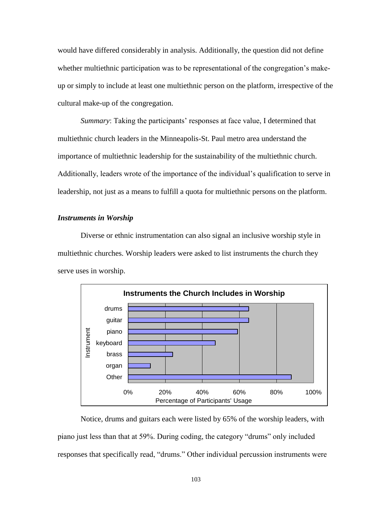would have differed considerably in analysis. Additionally, the question did not define whether multiethnic participation was to be representational of the congregation's makeup or simply to include at least one multiethnic person on the platform, irrespective of the cultural make-up of the congregation.

*Summary*: Taking the participants' responses at face value, I determined that multiethnic church leaders in the Minneapolis-St. Paul metro area understand the importance of multiethnic leadership for the sustainability of the multiethnic church. Additionally, leaders wrote of the importance of the individual's qualification to serve in leadership, not just as a means to fulfill a quota for multiethnic persons on the platform.

## *Instruments in Worship*

Diverse or ethnic instrumentation can also signal an inclusive worship style in multiethnic churches. Worship leaders were asked to list instruments the church they serve uses in worship.



Notice, drums and guitars each were listed by 65% of the worship leaders, with piano just less than that at 59%. During coding, the category "drums" only included responses that specifically read, "drums." Other individual percussion instruments were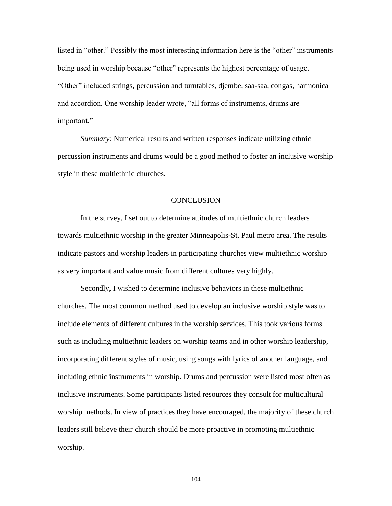listed in "other." Possibly the most interesting information here is the "other" instruments being used in worship because "other" represents the highest percentage of usage. ―Other‖ included strings, percussion and turntables, djembe, saa-saa, congas, harmonica and accordion. One worship leader wrote, "all forms of instruments, drums are important."

*Summary*: Numerical results and written responses indicate utilizing ethnic percussion instruments and drums would be a good method to foster an inclusive worship style in these multiethnic churches.

# **CONCLUSION**

In the survey, I set out to determine attitudes of multiethnic church leaders towards multiethnic worship in the greater Minneapolis-St. Paul metro area. The results indicate pastors and worship leaders in participating churches view multiethnic worship as very important and value music from different cultures very highly.

Secondly, I wished to determine inclusive behaviors in these multiethnic churches. The most common method used to develop an inclusive worship style was to include elements of different cultures in the worship services. This took various forms such as including multiethnic leaders on worship teams and in other worship leadership, incorporating different styles of music, using songs with lyrics of another language, and including ethnic instruments in worship. Drums and percussion were listed most often as inclusive instruments. Some participants listed resources they consult for multicultural worship methods. In view of practices they have encouraged, the majority of these church leaders still believe their church should be more proactive in promoting multiethnic worship.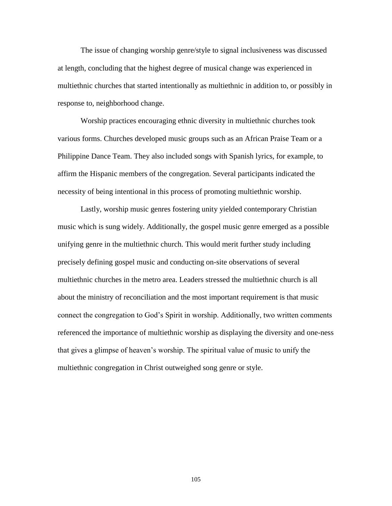The issue of changing worship genre/style to signal inclusiveness was discussed at length, concluding that the highest degree of musical change was experienced in multiethnic churches that started intentionally as multiethnic in addition to, or possibly in response to, neighborhood change.

Worship practices encouraging ethnic diversity in multiethnic churches took various forms. Churches developed music groups such as an African Praise Team or a Philippine Dance Team. They also included songs with Spanish lyrics, for example, to affirm the Hispanic members of the congregation. Several participants indicated the necessity of being intentional in this process of promoting multiethnic worship.

Lastly, worship music genres fostering unity yielded contemporary Christian music which is sung widely. Additionally, the gospel music genre emerged as a possible unifying genre in the multiethnic church. This would merit further study including precisely defining gospel music and conducting on-site observations of several multiethnic churches in the metro area. Leaders stressed the multiethnic church is all about the ministry of reconciliation and the most important requirement is that music connect the congregation to God's Spirit in worship. Additionally, two written comments referenced the importance of multiethnic worship as displaying the diversity and one-ness that gives a glimpse of heaven's worship. The spiritual value of music to unify the multiethnic congregation in Christ outweighed song genre or style.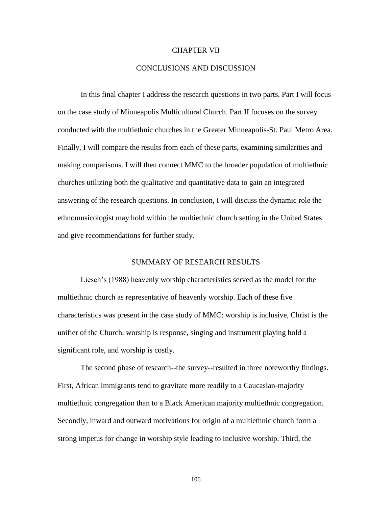## CHAPTER VII

## CONCLUSIONS AND DISCUSSION

In this final chapter I address the research questions in two parts. Part I will focus on the case study of Minneapolis Multicultural Church. Part II focuses on the survey conducted with the multiethnic churches in the Greater Minneapolis-St. Paul Metro Area. Finally, I will compare the results from each of these parts, examining similarities and making comparisons. I will then connect MMC to the broader population of multiethnic churches utilizing both the qualitative and quantitative data to gain an integrated answering of the research questions. In conclusion, I will discuss the dynamic role the ethnomusicologist may hold within the multiethnic church setting in the United States and give recommendations for further study.

### SUMMARY OF RESEARCH RESULTS

Liesch's (1988) heavenly worship characteristics served as the model for the multiethnic church as representative of heavenly worship. Each of these five characteristics was present in the case study of MMC: worship is inclusive, Christ is the unifier of the Church, worship is response, singing and instrument playing hold a significant role, and worship is costly.

The second phase of research--the survey--resulted in three noteworthy findings. First, African immigrants tend to gravitate more readily to a Caucasian-majority multiethnic congregation than to a Black American majority multiethnic congregation. Secondly, inward and outward motivations for origin of a multiethnic church form a strong impetus for change in worship style leading to inclusive worship. Third, the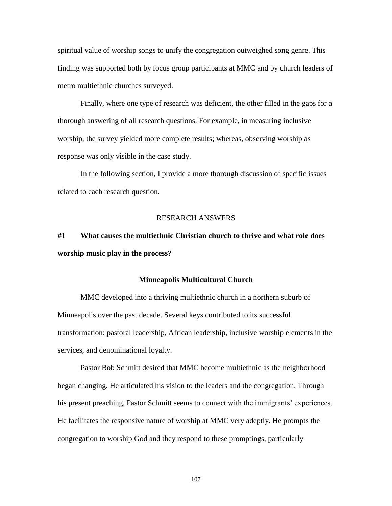spiritual value of worship songs to unify the congregation outweighed song genre. This finding was supported both by focus group participants at MMC and by church leaders of metro multiethnic churches surveyed.

Finally, where one type of research was deficient, the other filled in the gaps for a thorough answering of all research questions. For example, in measuring inclusive worship, the survey yielded more complete results; whereas, observing worship as response was only visible in the case study.

In the following section, I provide a more thorough discussion of specific issues related to each research question.

## RESEARCH ANSWERS

# **#1 What causes the multiethnic Christian church to thrive and what role does worship music play in the process?**

#### **Minneapolis Multicultural Church**

MMC developed into a thriving multiethnic church in a northern suburb of Minneapolis over the past decade. Several keys contributed to its successful transformation: pastoral leadership, African leadership, inclusive worship elements in the services, and denominational loyalty.

Pastor Bob Schmitt desired that MMC become multiethnic as the neighborhood began changing. He articulated his vision to the leaders and the congregation. Through his present preaching, Pastor Schmitt seems to connect with the immigrants' experiences. He facilitates the responsive nature of worship at MMC very adeptly. He prompts the congregation to worship God and they respond to these promptings, particularly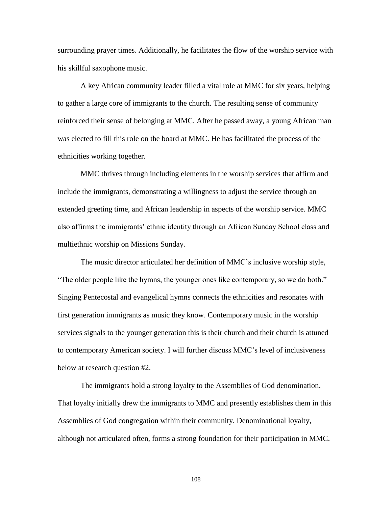surrounding prayer times. Additionally, he facilitates the flow of the worship service with his skillful saxophone music.

A key African community leader filled a vital role at MMC for six years, helping to gather a large core of immigrants to the church. The resulting sense of community reinforced their sense of belonging at MMC. After he passed away, a young African man was elected to fill this role on the board at MMC. He has facilitated the process of the ethnicities working together.

MMC thrives through including elements in the worship services that affirm and include the immigrants, demonstrating a willingness to adjust the service through an extended greeting time, and African leadership in aspects of the worship service. MMC also affirms the immigrants' ethnic identity through an African Sunday School class and multiethnic worship on Missions Sunday.

The music director articulated her definition of MMC's inclusive worship style, "The older people like the hymns, the younger ones like contemporary, so we do both." Singing Pentecostal and evangelical hymns connects the ethnicities and resonates with first generation immigrants as music they know. Contemporary music in the worship services signals to the younger generation this is their church and their church is attuned to contemporary American society. I will further discuss MMC's level of inclusiveness below at research question #2.

The immigrants hold a strong loyalty to the Assemblies of God denomination. That loyalty initially drew the immigrants to MMC and presently establishes them in this Assemblies of God congregation within their community. Denominational loyalty, although not articulated often, forms a strong foundation for their participation in MMC.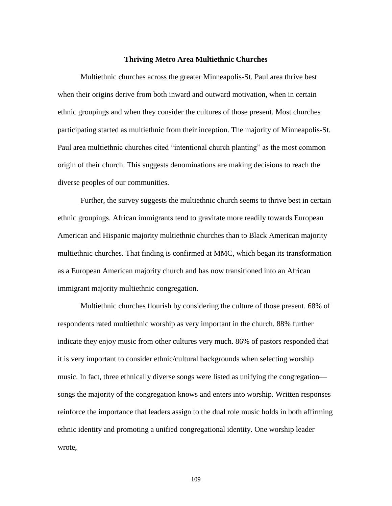#### **Thriving Metro Area Multiethnic Churches**

Multiethnic churches across the greater Minneapolis-St. Paul area thrive best when their origins derive from both inward and outward motivation, when in certain ethnic groupings and when they consider the cultures of those present. Most churches participating started as multiethnic from their inception. The majority of Minneapolis-St. Paul area multiethnic churches cited "intentional church planting" as the most common origin of their church. This suggests denominations are making decisions to reach the diverse peoples of our communities.

Further, the survey suggests the multiethnic church seems to thrive best in certain ethnic groupings. African immigrants tend to gravitate more readily towards European American and Hispanic majority multiethnic churches than to Black American majority multiethnic churches. That finding is confirmed at MMC, which began its transformation as a European American majority church and has now transitioned into an African immigrant majority multiethnic congregation.

Multiethnic churches flourish by considering the culture of those present. 68% of respondents rated multiethnic worship as very important in the church. 88% further indicate they enjoy music from other cultures very much. 86% of pastors responded that it is very important to consider ethnic/cultural backgrounds when selecting worship music. In fact, three ethnically diverse songs were listed as unifying the congregation songs the majority of the congregation knows and enters into worship. Written responses reinforce the importance that leaders assign to the dual role music holds in both affirming ethnic identity and promoting a unified congregational identity. One worship leader wrote,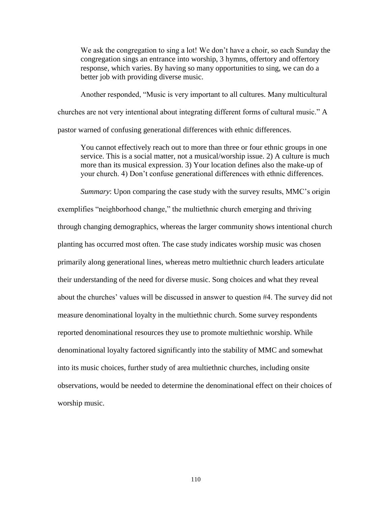We ask the congregation to sing a lot! We don't have a choir, so each Sunday the congregation sings an entrance into worship, 3 hymns, offertory and offertory response, which varies. By having so many opportunities to sing, we can do a better job with providing diverse music.

Another responded, "Music is very important to all cultures. Many multicultural churches are not very intentional about integrating different forms of cultural music." A pastor warned of confusing generational differences with ethnic differences.

You cannot effectively reach out to more than three or four ethnic groups in one service. This is a social matter, not a musical/worship issue. 2) A culture is much more than its musical expression. 3) Your location defines also the make-up of your church. 4) Don't confuse generational differences with ethnic differences.

*Summary*: Upon comparing the case study with the survey results, MMC's origin exemplifies "neighborhood change," the multiethnic church emerging and thriving through changing demographics, whereas the larger community shows intentional church planting has occurred most often. The case study indicates worship music was chosen primarily along generational lines, whereas metro multiethnic church leaders articulate their understanding of the need for diverse music. Song choices and what they reveal about the churches' values will be discussed in answer to question #4. The survey did not measure denominational loyalty in the multiethnic church. Some survey respondents reported denominational resources they use to promote multiethnic worship. While denominational loyalty factored significantly into the stability of MMC and somewhat into its music choices, further study of area multiethnic churches, including onsite observations, would be needed to determine the denominational effect on their choices of worship music.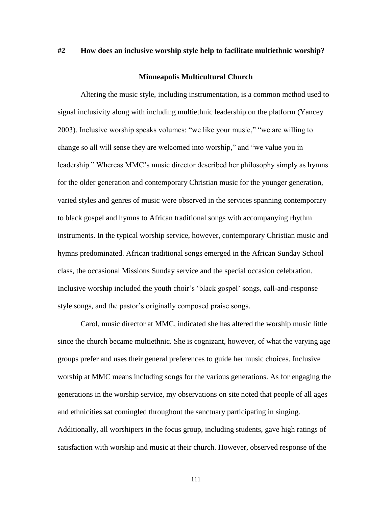# **#2 How does an inclusive worship style help to facilitate multiethnic worship?**

# **Minneapolis Multicultural Church**

Altering the music style, including instrumentation, is a common method used to signal inclusivity along with including multiethnic leadership on the platform (Yancey 2003). Inclusive worship speaks volumes: "we like your music," "we are willing to change so all will sense they are welcomed into worship," and "we value you in leadership." Whereas MMC's music director described her philosophy simply as hymns for the older generation and contemporary Christian music for the younger generation, varied styles and genres of music were observed in the services spanning contemporary to black gospel and hymns to African traditional songs with accompanying rhythm instruments. In the typical worship service, however, contemporary Christian music and hymns predominated. African traditional songs emerged in the African Sunday School class, the occasional Missions Sunday service and the special occasion celebration. Inclusive worship included the youth choir's ‗black gospel' songs, call-and-response style songs, and the pastor's originally composed praise songs.

Carol, music director at MMC, indicated she has altered the worship music little since the church became multiethnic. She is cognizant, however, of what the varying age groups prefer and uses their general preferences to guide her music choices. Inclusive worship at MMC means including songs for the various generations. As for engaging the generations in the worship service, my observations on site noted that people of all ages and ethnicities sat comingled throughout the sanctuary participating in singing. Additionally, all worshipers in the focus group, including students, gave high ratings of satisfaction with worship and music at their church. However, observed response of the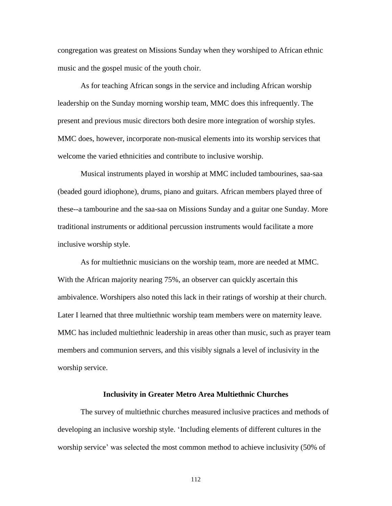congregation was greatest on Missions Sunday when they worshiped to African ethnic music and the gospel music of the youth choir.

As for teaching African songs in the service and including African worship leadership on the Sunday morning worship team, MMC does this infrequently. The present and previous music directors both desire more integration of worship styles. MMC does, however, incorporate non-musical elements into its worship services that welcome the varied ethnicities and contribute to inclusive worship.

Musical instruments played in worship at MMC included tambourines, saa-saa (beaded gourd idiophone), drums, piano and guitars. African members played three of these--a tambourine and the saa-saa on Missions Sunday and a guitar one Sunday. More traditional instruments or additional percussion instruments would facilitate a more inclusive worship style.

As for multiethnic musicians on the worship team, more are needed at MMC. With the African majority nearing 75%, an observer can quickly ascertain this ambivalence. Worshipers also noted this lack in their ratings of worship at their church. Later I learned that three multiethnic worship team members were on maternity leave. MMC has included multiethnic leadership in areas other than music, such as prayer team members and communion servers, and this visibly signals a level of inclusivity in the worship service.

#### **Inclusivity in Greater Metro Area Multiethnic Churches**

The survey of multiethnic churches measured inclusive practices and methods of developing an inclusive worship style. 'Including elements of different cultures in the worship service' was selected the most common method to achieve inclusivity (50% of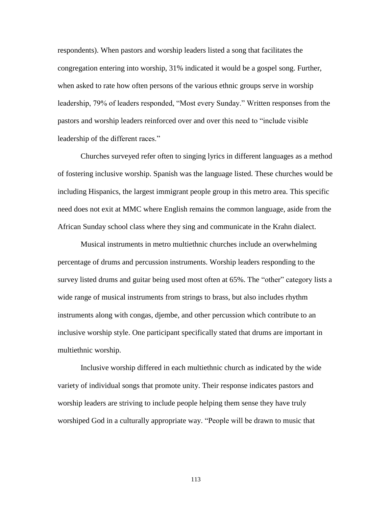respondents). When pastors and worship leaders listed a song that facilitates the congregation entering into worship, 31% indicated it would be a gospel song. Further, when asked to rate how often persons of the various ethnic groups serve in worship leadership, 79% of leaders responded, "Most every Sunday." Written responses from the pastors and worship leaders reinforced over and over this need to "include visible" leadership of the different races."

Churches surveyed refer often to singing lyrics in different languages as a method of fostering inclusive worship. Spanish was the language listed. These churches would be including Hispanics, the largest immigrant people group in this metro area. This specific need does not exit at MMC where English remains the common language, aside from the African Sunday school class where they sing and communicate in the Krahn dialect.

Musical instruments in metro multiethnic churches include an overwhelming percentage of drums and percussion instruments. Worship leaders responding to the survey listed drums and guitar being used most often at 65%. The "other" category lists a wide range of musical instruments from strings to brass, but also includes rhythm instruments along with congas, djembe, and other percussion which contribute to an inclusive worship style. One participant specifically stated that drums are important in multiethnic worship.

Inclusive worship differed in each multiethnic church as indicated by the wide variety of individual songs that promote unity. Their response indicates pastors and worship leaders are striving to include people helping them sense they have truly worshiped God in a culturally appropriate way. "People will be drawn to music that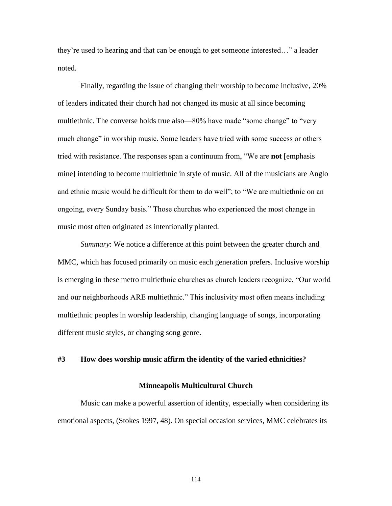they're used to hearing and that can be enough to get someone interested..." a leader noted.

Finally, regarding the issue of changing their worship to become inclusive, 20% of leaders indicated their church had not changed its music at all since becoming multiethnic. The converse holds true also—80% have made "some change" to "very much change" in worship music. Some leaders have tried with some success or others tried with resistance. The responses span a continuum from, "We are **not** [emphasis mine] intending to become multiethnic in style of music. All of the musicians are Anglo and ethnic music would be difficult for them to do well"; to "We are multiethnic on an ongoing, every Sunday basis." Those churches who experienced the most change in music most often originated as intentionally planted.

*Summary*: We notice a difference at this point between the greater church and MMC, which has focused primarily on music each generation prefers. Inclusive worship is emerging in these metro multiethnic churches as church leaders recognize, "Our world" and our neighborhoods ARE multiethnic." This inclusivity most often means including multiethnic peoples in worship leadership, changing language of songs, incorporating different music styles, or changing song genre.

# **#3 How does worship music affirm the identity of the varied ethnicities?**

#### **Minneapolis Multicultural Church**

Music can make a powerful assertion of identity, especially when considering its emotional aspects, (Stokes 1997, 48). On special occasion services, MMC celebrates its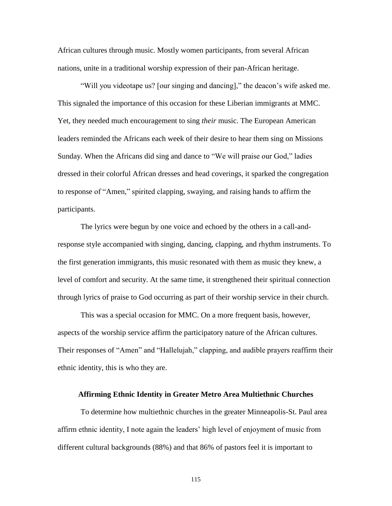African cultures through music. Mostly women participants, from several African nations, unite in a traditional worship expression of their pan-African heritage.

"Will you videotape us? [our singing and dancing]," the deacon's wife asked me. This signaled the importance of this occasion for these Liberian immigrants at MMC. Yet, they needed much encouragement to sing *their* music. The European American leaders reminded the Africans each week of their desire to hear them sing on Missions Sunday. When the Africans did sing and dance to "We will praise our God," ladies dressed in their colorful African dresses and head coverings, it sparked the congregation to response of "Amen," spirited clapping, swaying, and raising hands to affirm the participants.

The lyrics were begun by one voice and echoed by the others in a call-andresponse style accompanied with singing, dancing, clapping, and rhythm instruments. To the first generation immigrants, this music resonated with them as music they knew, a level of comfort and security. At the same time, it strengthened their spiritual connection through lyrics of praise to God occurring as part of their worship service in their church.

This was a special occasion for MMC. On a more frequent basis, however, aspects of the worship service affirm the participatory nature of the African cultures. Their responses of "Amen" and "Hallelujah," clapping, and audible prayers reaffirm their ethnic identity, this is who they are.

## **Affirming Ethnic Identity in Greater Metro Area Multiethnic Churches**

To determine how multiethnic churches in the greater Minneapolis-St. Paul area affirm ethnic identity, I note again the leaders' high level of enjoyment of music from different cultural backgrounds (88%) and that 86% of pastors feel it is important to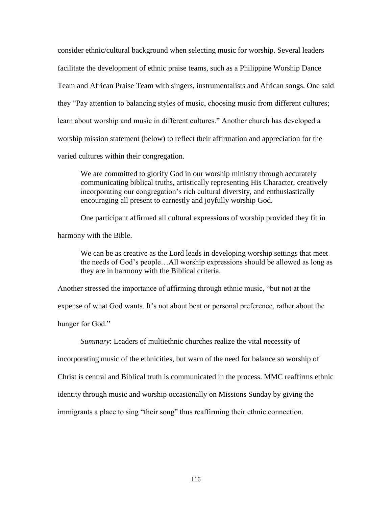consider ethnic/cultural background when selecting music for worship. Several leaders facilitate the development of ethnic praise teams, such as a Philippine Worship Dance Team and African Praise Team with singers, instrumentalists and African songs. One said they "Pay attention to balancing styles of music, choosing music from different cultures; learn about worship and music in different cultures." Another church has developed a worship mission statement (below) to reflect their affirmation and appreciation for the varied cultures within their congregation.

We are committed to glorify God in our worship ministry through accurately communicating biblical truths, artistically representing His Character, creatively incorporating our congregation's rich cultural diversity, and enthusiastically encouraging all present to earnestly and joyfully worship God.

One participant affirmed all cultural expressions of worship provided they fit in

harmony with the Bible.

We can be as creative as the Lord leads in developing worship settings that meet the needs of God's people…All worship expressions should be allowed as long as they are in harmony with the Biblical criteria.

Another stressed the importance of affirming through ethnic music, "but not at the expense of what God wants. It's not about beat or personal preference, rather about the hunger for God."

*Summary*: Leaders of multiethnic churches realize the vital necessity of

incorporating music of the ethnicities, but warn of the need for balance so worship of

Christ is central and Biblical truth is communicated in the process. MMC reaffirms ethnic

identity through music and worship occasionally on Missions Sunday by giving the

immigrants a place to sing "their song" thus reaffirming their ethnic connection.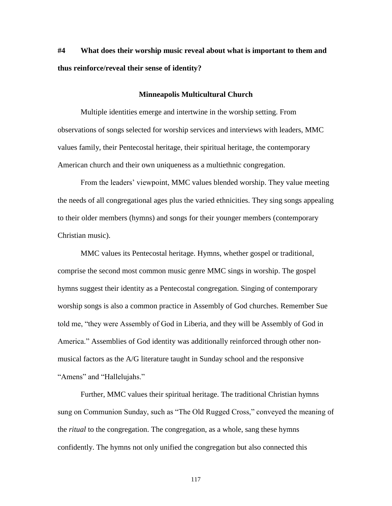# **#4 What does their worship music reveal about what is important to them and thus reinforce/reveal their sense of identity?**

#### **Minneapolis Multicultural Church**

Multiple identities emerge and intertwine in the worship setting. From observations of songs selected for worship services and interviews with leaders, MMC values family, their Pentecostal heritage, their spiritual heritage, the contemporary American church and their own uniqueness as a multiethnic congregation.

From the leaders' viewpoint, MMC values blended worship. They value meeting the needs of all congregational ages plus the varied ethnicities. They sing songs appealing to their older members (hymns) and songs for their younger members (contemporary Christian music).

MMC values its Pentecostal heritage. Hymns, whether gospel or traditional, comprise the second most common music genre MMC sings in worship. The gospel hymns suggest their identity as a Pentecostal congregation. Singing of contemporary worship songs is also a common practice in Assembly of God churches. Remember Sue told me, "they were Assembly of God in Liberia, and they will be Assembly of God in America." Assemblies of God identity was additionally reinforced through other nonmusical factors as the A/G literature taught in Sunday school and the responsive "Amens" and "Hallelujahs."

Further, MMC values their spiritual heritage. The traditional Christian hymns sung on Communion Sunday, such as "The Old Rugged Cross," conveyed the meaning of the *ritual* to the congregation. The congregation, as a whole, sang these hymns confidently. The hymns not only unified the congregation but also connected this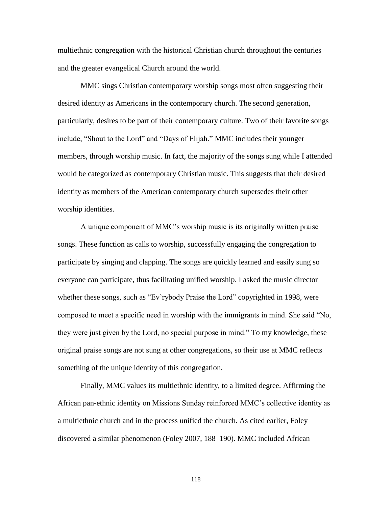multiethnic congregation with the historical Christian church throughout the centuries and the greater evangelical Church around the world.

MMC sings Christian contemporary worship songs most often suggesting their desired identity as Americans in the contemporary church. The second generation, particularly, desires to be part of their contemporary culture. Two of their favorite songs include, "Shout to the Lord" and "Days of Elijah." MMC includes their younger members, through worship music. In fact, the majority of the songs sung while I attended would be categorized as contemporary Christian music. This suggests that their desired identity as members of the American contemporary church supersedes their other worship identities.

A unique component of MMC's worship music is its originally written praise songs. These function as calls to worship, successfully engaging the congregation to participate by singing and clapping. The songs are quickly learned and easily sung so everyone can participate, thus facilitating unified worship. I asked the music director whether these songs, such as "Ev'rybody Praise the Lord" copyrighted in 1998, were composed to meet a specific need in worship with the immigrants in mind. She said "No, they were just given by the Lord, no special purpose in mind." To my knowledge, these original praise songs are not sung at other congregations, so their use at MMC reflects something of the unique identity of this congregation.

Finally, MMC values its multiethnic identity, to a limited degree. Affirming the African pan-ethnic identity on Missions Sunday reinforced MMC's collective identity as a multiethnic church and in the process unified the church. As cited earlier, Foley discovered a similar phenomenon (Foley 2007, 188–190). MMC included African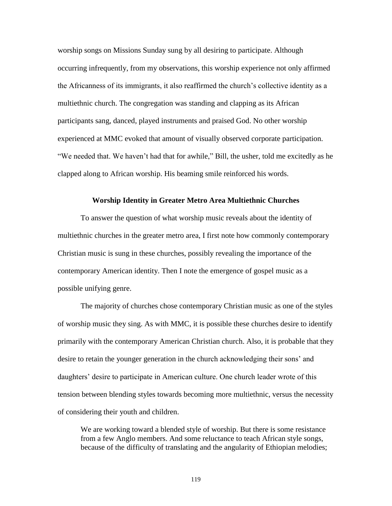worship songs on Missions Sunday sung by all desiring to participate. Although occurring infrequently, from my observations, this worship experience not only affirmed the Africanness of its immigrants, it also reaffirmed the church's collective identity as a multiethnic church. The congregation was standing and clapping as its African participants sang, danced, played instruments and praised God. No other worship experienced at MMC evoked that amount of visually observed corporate participation. "We needed that. We haven't had that for awhile," Bill, the usher, told me excitedly as he clapped along to African worship. His beaming smile reinforced his words.

## **Worship Identity in Greater Metro Area Multiethnic Churches**

To answer the question of what worship music reveals about the identity of multiethnic churches in the greater metro area, I first note how commonly contemporary Christian music is sung in these churches, possibly revealing the importance of the contemporary American identity. Then I note the emergence of gospel music as a possible unifying genre.

The majority of churches chose contemporary Christian music as one of the styles of worship music they sing. As with MMC, it is possible these churches desire to identify primarily with the contemporary American Christian church. Also, it is probable that they desire to retain the younger generation in the church acknowledging their sons' and daughters' desire to participate in American culture. One church leader wrote of this tension between blending styles towards becoming more multiethnic, versus the necessity of considering their youth and children.

We are working toward a blended style of worship. But there is some resistance from a few Anglo members. And some reluctance to teach African style songs, because of the difficulty of translating and the angularity of Ethiopian melodies;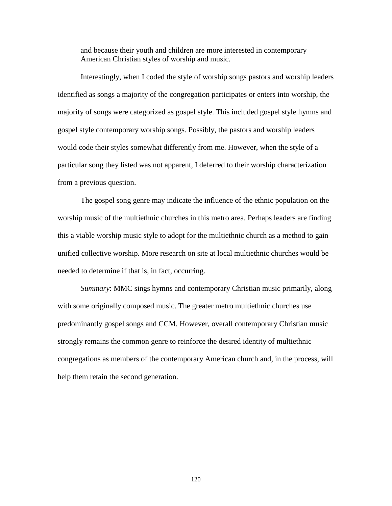and because their youth and children are more interested in contemporary American Christian styles of worship and music.

Interestingly, when I coded the style of worship songs pastors and worship leaders identified as songs a majority of the congregation participates or enters into worship, the majority of songs were categorized as gospel style. This included gospel style hymns and gospel style contemporary worship songs. Possibly, the pastors and worship leaders would code their styles somewhat differently from me. However, when the style of a particular song they listed was not apparent, I deferred to their worship characterization from a previous question.

The gospel song genre may indicate the influence of the ethnic population on the worship music of the multiethnic churches in this metro area. Perhaps leaders are finding this a viable worship music style to adopt for the multiethnic church as a method to gain unified collective worship. More research on site at local multiethnic churches would be needed to determine if that is, in fact, occurring.

*Summary*: MMC sings hymns and contemporary Christian music primarily, along with some originally composed music. The greater metro multiethnic churches use predominantly gospel songs and CCM. However, overall contemporary Christian music strongly remains the common genre to reinforce the desired identity of multiethnic congregations as members of the contemporary American church and, in the process, will help them retain the second generation.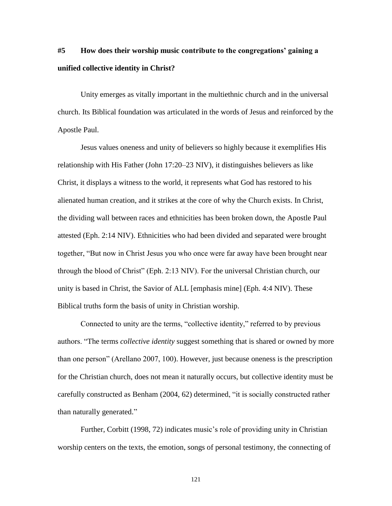# **#5 How does their worship music contribute to the congregations' gaining a unified collective identity in Christ?**

Unity emerges as vitally important in the multiethnic church and in the universal church. Its Biblical foundation was articulated in the words of Jesus and reinforced by the Apostle Paul.

Jesus values oneness and unity of believers so highly because it exemplifies His relationship with His Father (John 17:20–23 NIV), it distinguishes believers as like Christ, it displays a witness to the world, it represents what God has restored to his alienated human creation, and it strikes at the core of why the Church exists. In Christ, the dividing wall between races and ethnicities has been broken down, the Apostle Paul attested (Eph. 2:14 NIV). Ethnicities who had been divided and separated were brought together, "But now in Christ Jesus you who once were far away have been brought near through the blood of Christ" (Eph. 2:13 NIV). For the universal Christian church, our unity is based in Christ, the Savior of ALL [emphasis mine] (Eph. 4:4 NIV). These Biblical truths form the basis of unity in Christian worship.

Connected to unity are the terms, "collective identity," referred to by previous authors. "The terms *collective identity* suggest something that is shared or owned by more than one person" (Arellano 2007, 100). However, just because oneness is the prescription for the Christian church, does not mean it naturally occurs, but collective identity must be carefully constructed as Benham (2004, 62) determined, "it is socially constructed rather than naturally generated."

Further, Corbitt (1998, 72) indicates music's role of providing unity in Christian worship centers on the texts, the emotion, songs of personal testimony, the connecting of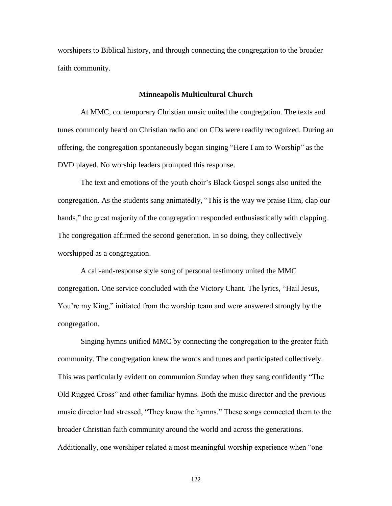worshipers to Biblical history, and through connecting the congregation to the broader faith community.

#### **Minneapolis Multicultural Church**

At MMC, contemporary Christian music united the congregation. The texts and tunes commonly heard on Christian radio and on CDs were readily recognized. During an offering, the congregation spontaneously began singing "Here I am to Worship" as the DVD played. No worship leaders prompted this response.

The text and emotions of the youth choir's Black Gospel songs also united the congregation. As the students sang animatedly, "This is the way we praise Him, clap our hands," the great majority of the congregation responded enthusiastically with clapping. The congregation affirmed the second generation. In so doing, they collectively worshipped as a congregation.

A call-and-response style song of personal testimony united the MMC congregation. One service concluded with the Victory Chant. The lyrics, "Hail Jesus, You're my King," initiated from the worship team and were answered strongly by the congregation.

Singing hymns unified MMC by connecting the congregation to the greater faith community. The congregation knew the words and tunes and participated collectively. This was particularly evident on communion Sunday when they sang confidently "The Old Rugged Cross" and other familiar hymns. Both the music director and the previous music director had stressed, "They know the hymns." These songs connected them to the broader Christian faith community around the world and across the generations. Additionally, one worshiper related a most meaningful worship experience when "one"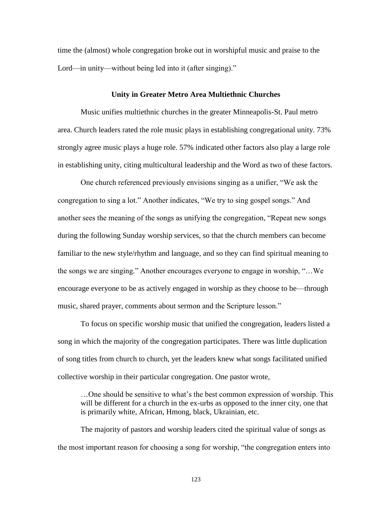time the (almost) whole congregation broke out in worshipful music and praise to the Lord—in unity—without being led into it (after singing)."

## **Unity in Greater Metro Area Multiethnic Churches**

Music unifies multiethnic churches in the greater Minneapolis-St. Paul metro area. Church leaders rated the role music plays in establishing congregational unity. 73% strongly agree music plays a huge role. 57% indicated other factors also play a large role in establishing unity, citing multicultural leadership and the Word as two of these factors.

One church referenced previously envisions singing as a unifier, "We ask the congregation to sing a lot." Another indicates, "We try to sing gospel songs." And another sees the meaning of the songs as unifying the congregation, "Repeat new songs during the following Sunday worship services, so that the church members can become familiar to the new style/rhythm and language, and so they can find spiritual meaning to the songs we are singing." Another encourages everyone to engage in worship, "...We encourage everyone to be as actively engaged in worship as they choose to be—through music, shared prayer, comments about sermon and the Scripture lesson."

To focus on specific worship music that unified the congregation, leaders listed a song in which the majority of the congregation participates. There was little duplication of song titles from church to church, yet the leaders knew what songs facilitated unified collective worship in their particular congregation. One pastor wrote,

…One should be sensitive to what's the best common expression of worship. This will be different for a church in the ex-urbs as opposed to the inner city, one that is primarily white, African, Hmong, black, Ukrainian, etc.

The majority of pastors and worship leaders cited the spiritual value of songs as the most important reason for choosing a song for worship, "the congregation enters into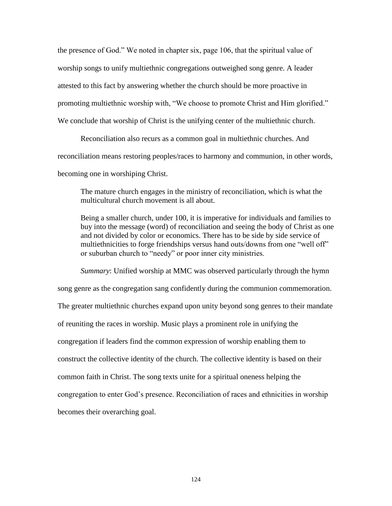the presence of God." We noted in chapter six, page 106, that the spiritual value of worship songs to unify multiethnic congregations outweighed song genre. A leader attested to this fact by answering whether the church should be more proactive in promoting multiethnic worship with, "We choose to promote Christ and Him glorified." We conclude that worship of Christ is the unifying center of the multiethnic church.

Reconciliation also recurs as a common goal in multiethnic churches. And reconciliation means restoring peoples/races to harmony and communion, in other words, becoming one in worshiping Christ.

The mature church engages in the ministry of reconciliation, which is what the multicultural church movement is all about.

Being a smaller church, under 100, it is imperative for individuals and families to buy into the message (word) of reconciliation and seeing the body of Christ as one and not divided by color or economics. There has to be side by side service of multiethnicities to forge friendships versus hand outs/downs from one "well off" or suburban church to "needy" or poor inner city ministries.

*Summary*: Unified worship at MMC was observed particularly through the hymn song genre as the congregation sang confidently during the communion commemoration. The greater multiethnic churches expand upon unity beyond song genres to their mandate of reuniting the races in worship. Music plays a prominent role in unifying the congregation if leaders find the common expression of worship enabling them to construct the collective identity of the church. The collective identity is based on their common faith in Christ. The song texts unite for a spiritual oneness helping the congregation to enter God's presence. Reconciliation of races and ethnicities in worship becomes their overarching goal.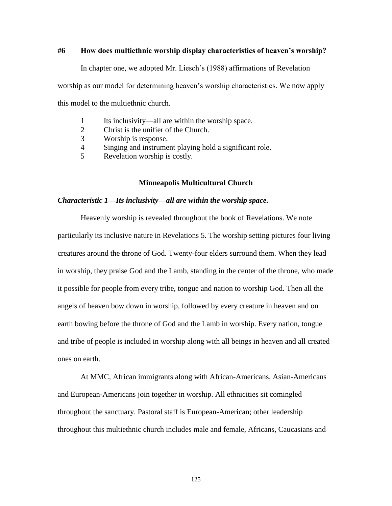# **#6 How does multiethnic worship display characteristics of heaven's worship?**

In chapter one, we adopted Mr. Liesch's (1988) affirmations of Revelation

worship as our model for determining heaven's worship characteristics. We now apply

this model to the multiethnic church.

- 1 Its inclusivity—all are within the worship space.
- 2 Christ is the unifier of the Church.
- 3 Worship is response.
- 4 Singing and instrument playing hold a significant role.
- 5 Revelation worship is costly.

## **Minneapolis Multicultural Church**

## *Characteristic 1—Its inclusivity—all are within the worship space.*

Heavenly worship is revealed throughout the book of Revelations. We note particularly its inclusive nature in Revelations 5. The worship setting pictures four living creatures around the throne of God. Twenty-four elders surround them. When they lead in worship, they praise God and the Lamb, standing in the center of the throne, who made it possible for people from every tribe, tongue and nation to worship God. Then all the angels of heaven bow down in worship, followed by every creature in heaven and on earth bowing before the throne of God and the Lamb in worship. Every nation, tongue and tribe of people is included in worship along with all beings in heaven and all created ones on earth.

At MMC, African immigrants along with African-Americans, Asian-Americans and European-Americans join together in worship. All ethnicities sit comingled throughout the sanctuary. Pastoral staff is European-American; other leadership throughout this multiethnic church includes male and female, Africans, Caucasians and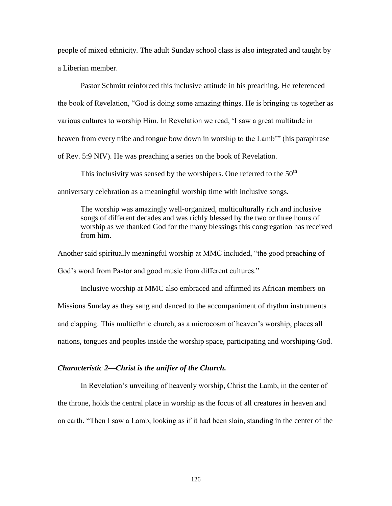people of mixed ethnicity. The adult Sunday school class is also integrated and taught by a Liberian member.

Pastor Schmitt reinforced this inclusive attitude in his preaching. He referenced the book of Revelation, "God is doing some amazing things. He is bringing us together as various cultures to worship Him. In Revelation we read, ‗I saw a great multitude in heaven from every tribe and tongue bow down in worship to the Lamb<sup>"</sup> (his paraphrase of Rev. 5:9 NIV). He was preaching a series on the book of Revelation.

This inclusivity was sensed by the worshipers. One referred to the  $50<sup>th</sup>$ anniversary celebration as a meaningful worship time with inclusive songs.

The worship was amazingly well-organized, multiculturally rich and inclusive songs of different decades and was richly blessed by the two or three hours of worship as we thanked God for the many blessings this congregation has received from him.

Another said spiritually meaningful worship at MMC included, "the good preaching of God's word from Pastor and good music from different cultures."

Inclusive worship at MMC also embraced and affirmed its African members on Missions Sunday as they sang and danced to the accompaniment of rhythm instruments and clapping. This multiethnic church, as a microcosm of heaven's worship, places all nations, tongues and peoples inside the worship space, participating and worshiping God.

## *Characteristic 2—Christ is the unifier of the Church.*

In Revelation's unveiling of heavenly worship, Christ the Lamb, in the center of the throne, holds the central place in worship as the focus of all creatures in heaven and on earth. "Then I saw a Lamb, looking as if it had been slain, standing in the center of the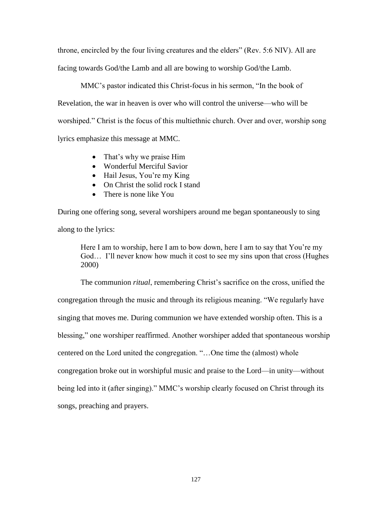throne, encircled by the four living creatures and the elders" (Rev. 5:6 NIV). All are facing towards God/the Lamb and all are bowing to worship God/the Lamb.

MMC's pastor indicated this Christ-focus in his sermon, "In the book of Revelation, the war in heaven is over who will control the universe—who will be worshiped." Christ is the focus of this multiethnic church. Over and over, worship song lyrics emphasize this message at MMC.

- That's why we praise Him
- Wonderful Merciful Savior
- Hail Jesus, You're my King
- On Christ the solid rock I stand
- There is none like You

During one offering song, several worshipers around me began spontaneously to sing along to the lyrics:

Here I am to worship, here I am to bow down, here I am to say that You're my God… I'll never know how much it cost to see my sins upon that cross (Hughes 2000)

The communion *ritual*, remembering Christ's sacrifice on the cross, unified the congregation through the music and through its religious meaning. "We regularly have singing that moves me. During communion we have extended worship often. This is a blessing," one worshiper reaffirmed. Another worshiper added that spontaneous worship centered on the Lord united the congregation. "...One time the (almost) whole congregation broke out in worshipful music and praise to the Lord—in unity—without being led into it (after singing)." MMC's worship clearly focused on Christ through its songs, preaching and prayers.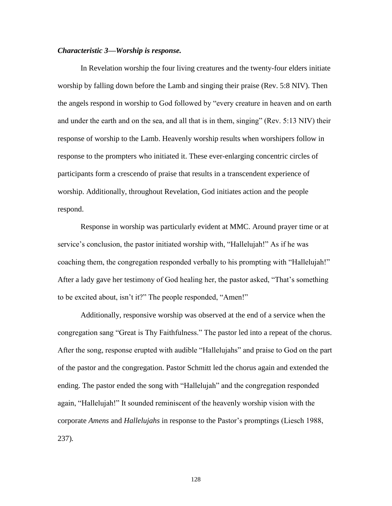## *Characteristic 3—Worship is response.*

In Revelation worship the four living creatures and the twenty-four elders initiate worship by falling down before the Lamb and singing their praise (Rev. 5:8 NIV). Then the angels respond in worship to God followed by "every creature in heaven and on earth and under the earth and on the sea, and all that is in them, singing" (Rev.  $5:13$  NIV) their response of worship to the Lamb. Heavenly worship results when worshipers follow in response to the prompters who initiated it. These ever-enlarging concentric circles of participants form a crescendo of praise that results in a transcendent experience of worship. Additionally, throughout Revelation, God initiates action and the people respond.

Response in worship was particularly evident at MMC. Around prayer time or at service's conclusion, the pastor initiated worship with, "Hallelujah!" As if he was coaching them, the congregation responded verbally to his prompting with "Hallelujah!" After a lady gave her testimony of God healing her, the pastor asked, "That's something to be excited about, isn't it?" The people responded, "Amen!"

Additionally, responsive worship was observed at the end of a service when the congregation sang "Great is Thy Faithfulness." The pastor led into a repeat of the chorus. After the song, response erupted with audible "Hallelujahs" and praise to God on the part of the pastor and the congregation. Pastor Schmitt led the chorus again and extended the ending. The pastor ended the song with "Hallelujah" and the congregation responded again, "Hallelujah!" It sounded reminiscent of the heavenly worship vision with the corporate *Amens* and *Hallelujahs* in response to the Pastor's promptings (Liesch 1988, 237)*.*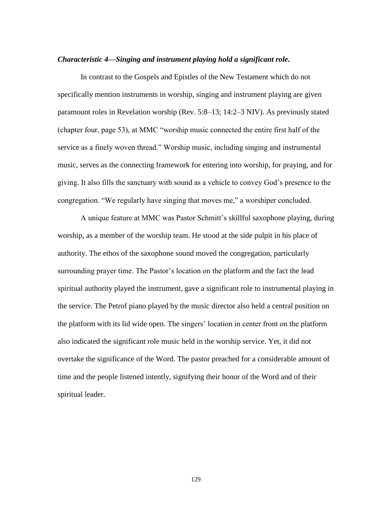## *Characteristic 4—Singing and instrument playing hold a significant role.*

In contrast to the Gospels and Epistles of the New Testament which do not specifically mention instruments in worship, singing and instrument playing are given paramount roles in Revelation worship (Rev. 5:8–13; 14:2–3 NIV). As previously stated (chapter four, page 53), at MMC "worship music connected the entire first half of the service as a finely woven thread." Worship music, including singing and instrumental music, serves as the connecting framework for entering into worship, for praying, and for giving. It also fills the sanctuary with sound as a vehicle to convey God's presence to the congregation. "We regularly have singing that moves me," a worshiper concluded.

A unique feature at MMC was Pastor Schmitt's skillful saxophone playing, during worship, as a member of the worship team. He stood at the side pulpit in his place of authority. The ethos of the saxophone sound moved the congregation, particularly surrounding prayer time. The Pastor's location on the platform and the fact the lead spiritual authority played the instrument, gave a significant role to instrumental playing in the service. The Petrof piano played by the music director also held a central position on the platform with its lid wide open. The singers' location in center front on the platform also indicated the significant role music held in the worship service. Yet, it did not overtake the significance of the Word. The pastor preached for a considerable amount of time and the people listened intently, signifying their honor of the Word and of their spiritual leader.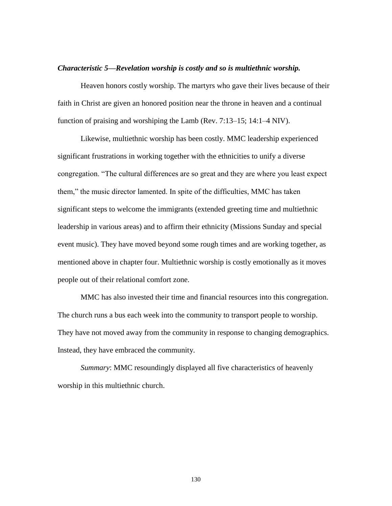#### *Characteristic 5—Revelation worship is costly and so is multiethnic worship.*

Heaven honors costly worship. The martyrs who gave their lives because of their faith in Christ are given an honored position near the throne in heaven and a continual function of praising and worshiping the Lamb (Rev. 7:13–15; 14:1–4 NIV).

Likewise, multiethnic worship has been costly. MMC leadership experienced significant frustrations in working together with the ethnicities to unify a diverse congregation. "The cultural differences are so great and they are where you least expect them," the music director lamented. In spite of the difficulties, MMC has taken significant steps to welcome the immigrants (extended greeting time and multiethnic leadership in various areas) and to affirm their ethnicity (Missions Sunday and special event music). They have moved beyond some rough times and are working together, as mentioned above in chapter four. Multiethnic worship is costly emotionally as it moves people out of their relational comfort zone.

MMC has also invested their time and financial resources into this congregation. The church runs a bus each week into the community to transport people to worship. They have not moved away from the community in response to changing demographics. Instead, they have embraced the community.

*Summary*: MMC resoundingly displayed all five characteristics of heavenly worship in this multiethnic church.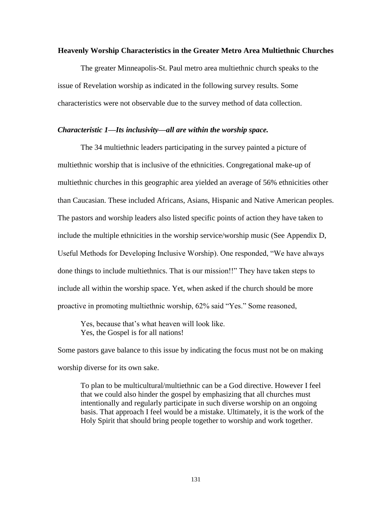## **Heavenly Worship Characteristics in the Greater Metro Area Multiethnic Churches**

The greater Minneapolis-St. Paul metro area multiethnic church speaks to the issue of Revelation worship as indicated in the following survey results. Some characteristics were not observable due to the survey method of data collection.

# *Characteristic 1—Its inclusivity—all are within the worship space.*

The 34 multiethnic leaders participating in the survey painted a picture of multiethnic worship that is inclusive of the ethnicities. Congregational make-up of multiethnic churches in this geographic area yielded an average of 56% ethnicities other than Caucasian. These included Africans, Asians, Hispanic and Native American peoples. The pastors and worship leaders also listed specific points of action they have taken to include the multiple ethnicities in the worship service/worship music (See Appendix D, Useful Methods for Developing Inclusive Worship). One responded, "We have always done things to include multiethnics. That is our mission!!" They have taken steps to include all within the worship space. Yet, when asked if the church should be more proactive in promoting multiethnic worship, 62% said "Yes." Some reasoned,

Yes, because that's what heaven will look like. Yes, the Gospel is for all nations!

Some pastors gave balance to this issue by indicating the focus must not be on making worship diverse for its own sake.

To plan to be multicultural/multiethnic can be a God directive. However I feel that we could also hinder the gospel by emphasizing that all churches must intentionally and regularly participate in such diverse worship on an ongoing basis. That approach I feel would be a mistake. Ultimately, it is the work of the Holy Spirit that should bring people together to worship and work together.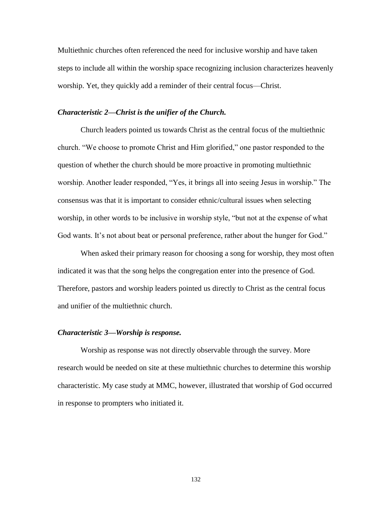Multiethnic churches often referenced the need for inclusive worship and have taken steps to include all within the worship space recognizing inclusion characterizes heavenly worship. Yet, they quickly add a reminder of their central focus—Christ.

# *Characteristic 2—Christ is the unifier of the Church.*

Church leaders pointed us towards Christ as the central focus of the multiethnic church. "We choose to promote Christ and Him glorified," one pastor responded to the question of whether the church should be more proactive in promoting multiethnic worship. Another leader responded, "Yes, it brings all into seeing Jesus in worship." The consensus was that it is important to consider ethnic/cultural issues when selecting worship, in other words to be inclusive in worship style, "but not at the expense of what God wants. It's not about beat or personal preference, rather about the hunger for God."

When asked their primary reason for choosing a song for worship, they most often indicated it was that the song helps the congregation enter into the presence of God. Therefore, pastors and worship leaders pointed us directly to Christ as the central focus and unifier of the multiethnic church.

## *Characteristic 3—Worship is response.*

Worship as response was not directly observable through the survey. More research would be needed on site at these multiethnic churches to determine this worship characteristic. My case study at MMC, however, illustrated that worship of God occurred in response to prompters who initiated it.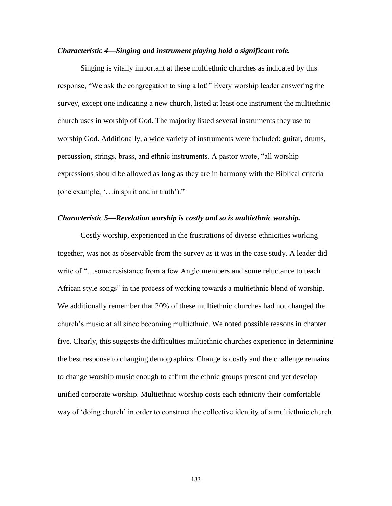## *Characteristic 4—Singing and instrument playing hold a significant role.*

Singing is vitally important at these multiethnic churches as indicated by this response, "We ask the congregation to sing a lot!" Every worship leader answering the survey, except one indicating a new church, listed at least one instrument the multiethnic church uses in worship of God. The majority listed several instruments they use to worship God. Additionally, a wide variety of instruments were included: guitar, drums, percussion, strings, brass, and ethnic instruments. A pastor wrote, "all worship expressions should be allowed as long as they are in harmony with the Biblical criteria (one example,  $\langle \cdot \rangle$  in spirit and in truth)."

## *Characteristic 5—Revelation worship is costly and so is multiethnic worship.*

Costly worship, experienced in the frustrations of diverse ethnicities working together, was not as observable from the survey as it was in the case study. A leader did write of "...some resistance from a few Anglo members and some reluctance to teach African style songs" in the process of working towards a multiethnic blend of worship. We additionally remember that 20% of these multiethnic churches had not changed the church's music at all since becoming multiethnic. We noted possible reasons in chapter five. Clearly, this suggests the difficulties multiethnic churches experience in determining the best response to changing demographics. Change is costly and the challenge remains to change worship music enough to affirm the ethnic groups present and yet develop unified corporate worship. Multiethnic worship costs each ethnicity their comfortable way of ‗doing church' in order to construct the collective identity of a multiethnic church.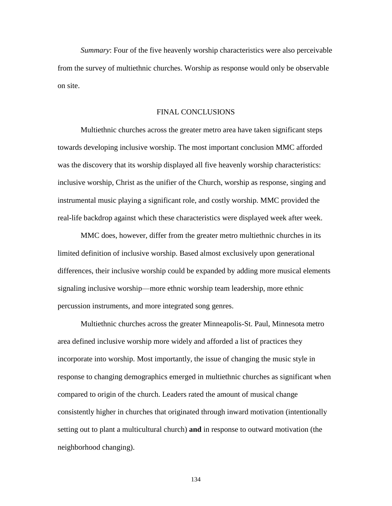*Summary*: Four of the five heavenly worship characteristics were also perceivable from the survey of multiethnic churches. Worship as response would only be observable on site.

## FINAL CONCLUSIONS

Multiethnic churches across the greater metro area have taken significant steps towards developing inclusive worship. The most important conclusion MMC afforded was the discovery that its worship displayed all five heavenly worship characteristics: inclusive worship, Christ as the unifier of the Church, worship as response, singing and instrumental music playing a significant role, and costly worship. MMC provided the real-life backdrop against which these characteristics were displayed week after week.

MMC does, however, differ from the greater metro multiethnic churches in its limited definition of inclusive worship. Based almost exclusively upon generational differences, their inclusive worship could be expanded by adding more musical elements signaling inclusive worship—more ethnic worship team leadership, more ethnic percussion instruments, and more integrated song genres.

Multiethnic churches across the greater Minneapolis-St. Paul, Minnesota metro area defined inclusive worship more widely and afforded a list of practices they incorporate into worship. Most importantly, the issue of changing the music style in response to changing demographics emerged in multiethnic churches as significant when compared to origin of the church. Leaders rated the amount of musical change consistently higher in churches that originated through inward motivation (intentionally setting out to plant a multicultural church) **and** in response to outward motivation (the neighborhood changing).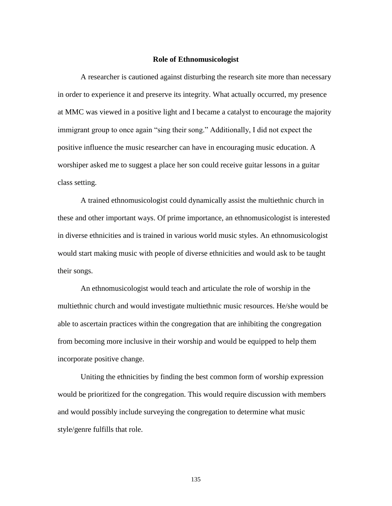#### **Role of Ethnomusicologist**

A researcher is cautioned against disturbing the research site more than necessary in order to experience it and preserve its integrity. What actually occurred, my presence at MMC was viewed in a positive light and I became a catalyst to encourage the majority immigrant group to once again "sing their song." Additionally, I did not expect the positive influence the music researcher can have in encouraging music education. A worshiper asked me to suggest a place her son could receive guitar lessons in a guitar class setting.

A trained ethnomusicologist could dynamically assist the multiethnic church in these and other important ways. Of prime importance, an ethnomusicologist is interested in diverse ethnicities and is trained in various world music styles. An ethnomusicologist would start making music with people of diverse ethnicities and would ask to be taught their songs.

An ethnomusicologist would teach and articulate the role of worship in the multiethnic church and would investigate multiethnic music resources. He/she would be able to ascertain practices within the congregation that are inhibiting the congregation from becoming more inclusive in their worship and would be equipped to help them incorporate positive change.

Uniting the ethnicities by finding the best common form of worship expression would be prioritized for the congregation. This would require discussion with members and would possibly include surveying the congregation to determine what music style/genre fulfills that role.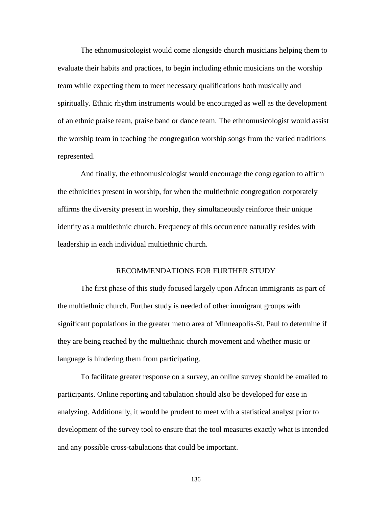The ethnomusicologist would come alongside church musicians helping them to evaluate their habits and practices, to begin including ethnic musicians on the worship team while expecting them to meet necessary qualifications both musically and spiritually. Ethnic rhythm instruments would be encouraged as well as the development of an ethnic praise team, praise band or dance team. The ethnomusicologist would assist the worship team in teaching the congregation worship songs from the varied traditions represented.

And finally, the ethnomusicologist would encourage the congregation to affirm the ethnicities present in worship, for when the multiethnic congregation corporately affirms the diversity present in worship, they simultaneously reinforce their unique identity as a multiethnic church. Frequency of this occurrence naturally resides with leadership in each individual multiethnic church.

# RECOMMENDATIONS FOR FURTHER STUDY

The first phase of this study focused largely upon African immigrants as part of the multiethnic church. Further study is needed of other immigrant groups with significant populations in the greater metro area of Minneapolis-St. Paul to determine if they are being reached by the multiethnic church movement and whether music or language is hindering them from participating.

To facilitate greater response on a survey, an online survey should be emailed to participants. Online reporting and tabulation should also be developed for ease in analyzing. Additionally, it would be prudent to meet with a statistical analyst prior to development of the survey tool to ensure that the tool measures exactly what is intended and any possible cross-tabulations that could be important.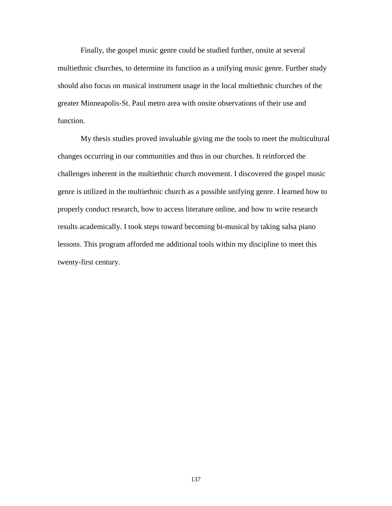Finally, the gospel music genre could be studied further, onsite at several multiethnic churches, to determine its function as a unifying music genre. Further study should also focus on musical instrument usage in the local multiethnic churches of the greater Minneapolis-St. Paul metro area with onsite observations of their use and function.

My thesis studies proved invaluable giving me the tools to meet the multicultural changes occurring in our communities and thus in our churches. It reinforced the challenges inherent in the multiethnic church movement. I discovered the gospel music genre is utilized in the multiethnic church as a possible unifying genre. I learned how to properly conduct research, how to access literature online, and how to write research results academically. I took steps toward becoming bi-musical by taking salsa piano lessons. This program afforded me additional tools within my discipline to meet this twenty-first century.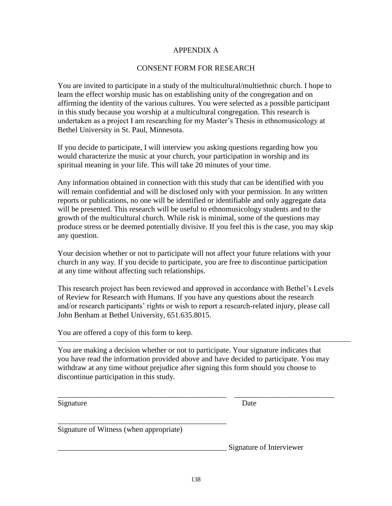#### APPENDIX A

#### CONSENT FORM FOR RESEARCH

You are invited to participate in a study of the multicultural/multiethnic church. I hope to learn the effect worship music has on establishing unity of the congregation and on affirming the identity of the various cultures. You were selected as a possible participant in this study because you worship at a multicultural congregation. This research is undertaken as a project I am researching for my Master's Thesis in ethnomusicology at Bethel University in St. Paul, Minnesota.

If you decide to participate, I will interview you asking questions regarding how you would characterize the music at your church, your participation in worship and its spiritual meaning in your life. This will take 20 minutes of your time.

Any information obtained in connection with this study that can be identified with you will remain confidential and will be disclosed only with your permission. In any written reports or publications, no one will be identified or identifiable and only aggregate data will be presented. This research will be useful to ethnomusicology students and to the growth of the multicultural church. While risk is minimal, some of the questions may produce stress or be deemed potentially divisive. If you feel this is the case, you may skip any question.

Your decision whether or not to participate will not affect your future relations with your church in any way. If you decide to participate, you are free to discontinue participation at any time without affecting such relationships.

This research project has been reviewed and approved in accordance with Bethel's Levels of Review for Research with Humans. If you have any questions about the research and/or research participants' rights or wish to report a research-related injury, please call John Benham at Bethel University, 651.635.8015.

You are offered a copy of this form to keep.

You are making a decision whether or not to participate. Your signature indicates that you have read the information provided above and have decided to participate. You may withdraw at any time without prejudice after signing this form should you choose to discontinue participation in this study.

\_\_\_\_\_\_\_\_\_\_\_\_\_\_\_\_\_\_\_\_\_\_\_\_\_\_\_\_\_\_\_\_\_\_\_\_\_\_\_\_\_\_\_\_ \_\_\_\_\_\_\_\_\_\_\_\_\_\_\_\_\_\_\_\_\_\_\_\_\_\_

Signature Date

Signature of Witness (when appropriate)

\_\_\_\_\_\_\_\_\_\_\_\_\_\_\_\_\_\_\_\_\_\_\_\_\_\_\_\_\_\_\_\_\_\_\_\_\_\_\_\_\_\_\_\_

Signature of Interviewer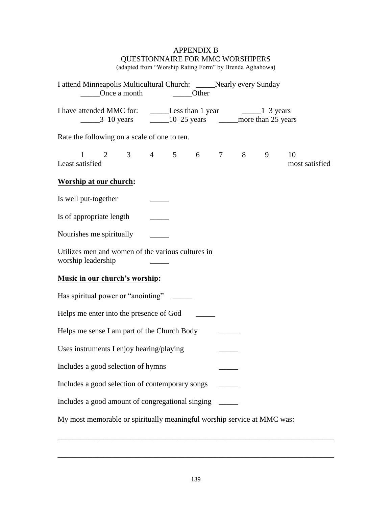# APPENDIX B QUESTIONNAIRE FOR MMC WORSHIPERS

(adapted from "Worship Rating Form" by Brenda Aghahowa)

| I attend Minneapolis Multicultural Church: _____Nearly every Sunday          | Once a month                                            |  |  |  | <b>Other</b> |  |  |   |                      |
|------------------------------------------------------------------------------|---------------------------------------------------------|--|--|--|--------------|--|--|---|----------------------|
| I have attended MMC for: _________Less than 1 year ________________1-3 years |                                                         |  |  |  |              |  |  |   |                      |
| Rate the following on a scale of one to ten.                                 |                                                         |  |  |  |              |  |  |   |                      |
| Least satisfied                                                              | $1 \t2 \t3 \t4 \t5 \t6 \t7 \t8$                         |  |  |  |              |  |  | 9 | 10<br>most satisfied |
|                                                                              | <b>Worship at our church:</b>                           |  |  |  |              |  |  |   |                      |
| Is well put-together                                                         |                                                         |  |  |  |              |  |  |   |                      |
| Is of appropriate length                                                     |                                                         |  |  |  |              |  |  |   |                      |
| Nourishes me spiritually                                                     |                                                         |  |  |  |              |  |  |   |                      |
| Utilizes men and women of the various cultures in<br>worship leadership      |                                                         |  |  |  |              |  |  |   |                      |
| Music in our church's worship:                                               |                                                         |  |  |  |              |  |  |   |                      |
| Has spiritual power or "anointing"                                           |                                                         |  |  |  |              |  |  |   |                      |
| Helps me enter into the presence of God                                      |                                                         |  |  |  |              |  |  |   |                      |
|                                                                              | Helps me sense I am part of the Church Body             |  |  |  |              |  |  |   |                      |
| Uses instruments I enjoy hearing/playing                                     |                                                         |  |  |  |              |  |  |   |                      |
| Includes a good selection of hymns                                           |                                                         |  |  |  |              |  |  |   |                      |
|                                                                              | Includes a good selection of contemporary songs         |  |  |  |              |  |  |   |                      |
|                                                                              | Includes a good amount of congregational singing ______ |  |  |  |              |  |  |   |                      |
| My most memorable or spiritually meaningful worship service at MMC was:      |                                                         |  |  |  |              |  |  |   |                      |

\_\_\_\_\_\_\_\_\_\_\_\_\_\_\_\_\_\_\_\_\_\_\_\_\_\_\_\_\_\_\_\_\_\_\_\_\_\_\_\_\_\_\_\_\_\_\_\_\_\_\_\_\_\_\_\_\_\_\_\_\_\_\_\_\_\_\_\_\_\_\_\_

\_\_\_\_\_\_\_\_\_\_\_\_\_\_\_\_\_\_\_\_\_\_\_\_\_\_\_\_\_\_\_\_\_\_\_\_\_\_\_\_\_\_\_\_\_\_\_\_\_\_\_\_\_\_\_\_\_\_\_\_\_\_\_\_\_\_\_\_\_\_\_\_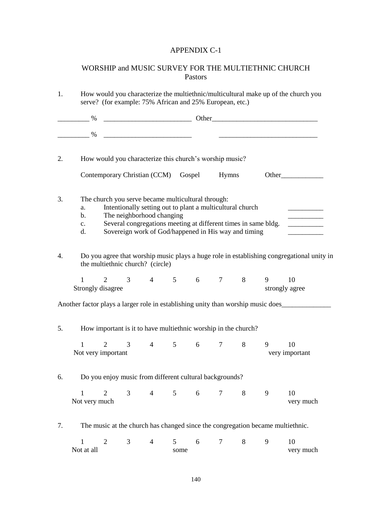## APPENDIX C-1

## WORSHIP and MUSIC SURVEY FOR THE MULTIETHNIC CHURCH Pastors

| 1. |                                                         | How would you characterize the multiethnic/multicultural make up of the church you<br>serve? (for example: 75% African and 25% European, etc.) |                                                                                                                                                                                                                                                                        |                         |             |                 |   |   |                                                                                           |
|----|---------------------------------------------------------|------------------------------------------------------------------------------------------------------------------------------------------------|------------------------------------------------------------------------------------------------------------------------------------------------------------------------------------------------------------------------------------------------------------------------|-------------------------|-------------|-----------------|---|---|-------------------------------------------------------------------------------------------|
|    | $\frac{9}{6}$                                           |                                                                                                                                                |                                                                                                                                                                                                                                                                        |                         |             |                 |   |   |                                                                                           |
|    |                                                         |                                                                                                                                                |                                                                                                                                                                                                                                                                        |                         |             |                 |   |   |                                                                                           |
| 2. |                                                         |                                                                                                                                                | How would you characterize this church's worship music?                                                                                                                                                                                                                |                         |             |                 |   |   |                                                                                           |
|    |                                                         |                                                                                                                                                | Contemporary Christian (CCM) Gospel Hymns                                                                                                                                                                                                                              |                         |             |                 |   |   |                                                                                           |
| 3. | a.<br>b.<br>$\mathbf{c}$ .<br>d.                        |                                                                                                                                                | The church you serve became multicultural through:<br>Intentionally setting out to plant a multicultural church<br>The neighborhood changing<br>Several congregations meeting at different times in same bldg.<br>Sovereign work of God/happened in His way and timing |                         |             |                 |   |   |                                                                                           |
| 4. |                                                         |                                                                                                                                                | the multiethnic church? (circle)                                                                                                                                                                                                                                       |                         |             |                 |   |   | Do you agree that worship music plays a huge role in establishing congregational unity in |
|    | $1 \quad \cdots$<br>Strongly disagree                   |                                                                                                                                                | 2 3 4 5 6 7 8 9 10                                                                                                                                                                                                                                                     |                         |             |                 |   |   | strongly agree                                                                            |
|    |                                                         |                                                                                                                                                |                                                                                                                                                                                                                                                                        |                         |             |                 |   |   | Another factor plays a larger role in establishing unity than worship music does          |
| 5. |                                                         |                                                                                                                                                | How important is it to have multiethnic worship in the church?                                                                                                                                                                                                         |                         |             |                 |   |   |                                                                                           |
|    | $\mathbf{1}$<br>2<br>Not very important                 |                                                                                                                                                | 3 4 5 6 7 8                                                                                                                                                                                                                                                            |                         |             |                 |   | 9 | 10<br>very important                                                                      |
| 6. | Do you enjoy music from different cultural backgrounds? |                                                                                                                                                |                                                                                                                                                                                                                                                                        |                         |             |                 |   |   |                                                                                           |
|    | $\mathbf{1}$<br>$\overline{2}$<br>Not very much         | 3 <sup>1</sup>                                                                                                                                 | $\overline{4}$                                                                                                                                                                                                                                                         |                         | $5\qquad 6$ | $7\phantom{.0}$ | 8 | 9 | 10<br>very much                                                                           |
| 7. |                                                         |                                                                                                                                                | The music at the church has changed since the congregation became multiethnic.                                                                                                                                                                                         |                         |             |                 |   |   |                                                                                           |
|    | $\mathbf{1}$<br>2<br>Not at all                         | 3                                                                                                                                              | $\overline{4}$                                                                                                                                                                                                                                                         | $5\overline{)}$<br>some | 6           | 7               | 8 | 9 | 10<br>very much                                                                           |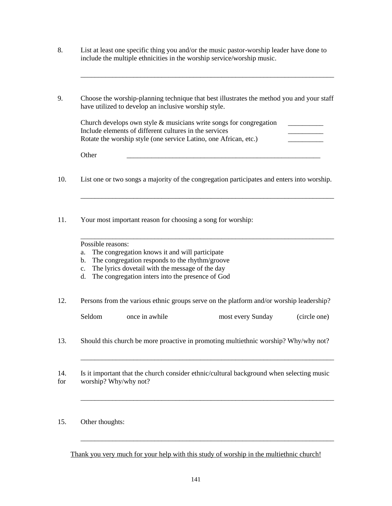- 8. List at least one specific thing you and/or the music pastor-worship leader have done to include the multiple ethnicities in the worship service/worship music.
- 9. Choose the worship-planning technique that best illustrates the method you and your staff have utilized to develop an inclusive worship style.

| Church develops own style $\&$ musicians write songs for congregation |  |
|-----------------------------------------------------------------------|--|
| Include elements of different cultures in the services                |  |
| Rotate the worship style (one service Latino, one African, etc.)      |  |

\_\_\_\_\_\_\_\_\_\_\_\_\_\_\_\_\_\_\_\_\_\_\_\_\_\_\_\_\_\_\_\_\_\_\_\_\_\_\_\_\_\_\_\_\_\_\_\_\_\_\_\_\_\_\_\_\_\_\_\_\_\_\_\_\_\_\_\_\_\_\_\_

Other \_\_\_\_\_\_\_\_\_\_\_\_\_\_\_\_\_\_\_\_\_\_\_\_\_\_\_\_\_\_\_\_\_\_\_\_\_\_\_\_\_\_\_\_\_\_\_\_\_\_\_\_\_\_\_

10. List one or two songs a majority of the congregation participates and enters into worship.

\_\_\_\_\_\_\_\_\_\_\_\_\_\_\_\_\_\_\_\_\_\_\_\_\_\_\_\_\_\_\_\_\_\_\_\_\_\_\_\_\_\_\_\_\_\_\_\_\_\_\_\_\_\_\_\_\_\_\_\_\_\_\_\_\_\_\_\_\_\_\_\_

\_\_\_\_\_\_\_\_\_\_\_\_\_\_\_\_\_\_\_\_\_\_\_\_\_\_\_\_\_\_\_\_\_\_\_\_\_\_\_\_\_\_\_\_\_\_\_\_\_\_\_\_\_\_\_\_\_\_\_\_\_\_\_\_\_\_\_\_\_\_\_\_

11. Your most important reason for choosing a song for worship:

Possible reasons:

- a. The congregation knows it and will participate
- b. The congregation responds to the rhythm/groove
- c. The lyrics dovetail with the message of the day
- d. The congregation inters into the presence of God
- 12. Persons from the various ethnic groups serve on the platform and/or worship leadership?

| Seldom | once in awhile | most every Sunday | (circle one) |
|--------|----------------|-------------------|--------------|
|--------|----------------|-------------------|--------------|

\_\_\_\_\_\_\_\_\_\_\_\_\_\_\_\_\_\_\_\_\_\_\_\_\_\_\_\_\_\_\_\_\_\_\_\_\_\_\_\_\_\_\_\_\_\_\_\_\_\_\_\_\_\_\_\_\_\_\_\_\_\_\_\_\_\_\_\_\_\_\_\_

\_\_\_\_\_\_\_\_\_\_\_\_\_\_\_\_\_\_\_\_\_\_\_\_\_\_\_\_\_\_\_\_\_\_\_\_\_\_\_\_\_\_\_\_\_\_\_\_\_\_\_\_\_\_\_\_\_\_\_\_\_\_\_\_\_\_\_\_\_\_\_\_

\_\_\_\_\_\_\_\_\_\_\_\_\_\_\_\_\_\_\_\_\_\_\_\_\_\_\_\_\_\_\_\_\_\_\_\_\_\_\_\_\_\_\_\_\_\_\_\_\_\_\_\_\_\_\_\_\_\_\_\_\_\_\_\_\_\_\_\_\_\_\_\_

- 13. Should this church be more proactive in promoting multiethnic worship? Why/why not?
- 14. Is it important that the church consider ethnic/cultural background when selecting music for worship? Why/why not?

15. Other thoughts:

Thank you very much for your help with this study of worship in the multiethnic church!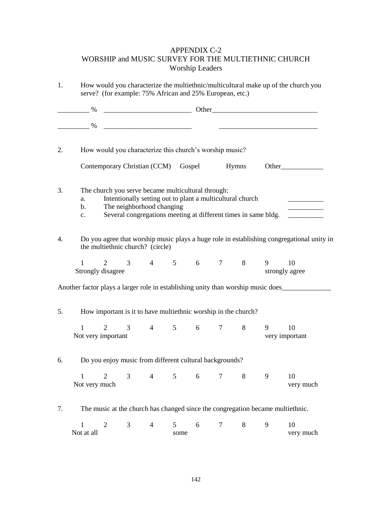## APPENDIX C-2 WORSHIP and MUSIC SURVEY FOR THE MULTIETHNIC CHURCH Worship Leaders

| 1. |                                                                                  | How would you characterize the multiethnic/multicultural make up of the church you<br>serve? (for example: 75% African and 25% European, etc.)           |                |           |        |   |   |                                                                                           |  |
|----|----------------------------------------------------------------------------------|----------------------------------------------------------------------------------------------------------------------------------------------------------|----------------|-----------|--------|---|---|-------------------------------------------------------------------------------------------|--|
|    | $\sim$ %                                                                         |                                                                                                                                                          |                |           |        |   |   |                                                                                           |  |
|    |                                                                                  |                                                                                                                                                          |                |           |        |   |   |                                                                                           |  |
| 2. | How would you characterize this church's worship music?                          |                                                                                                                                                          |                |           |        |   |   |                                                                                           |  |
|    | Contemporary Christian (CCM) Gospel Hymns                                        |                                                                                                                                                          |                |           |        |   |   | Other                                                                                     |  |
| 3. | The church you serve became multicultural through:<br>a.<br>b.<br>c.             | Intentionally setting out to plant a multicultural church<br>The neighborhood changing<br>Several congregations meeting at different times in same bldg. |                |           |        |   |   |                                                                                           |  |
| 4. | the multiethnic church? (circle)                                                 |                                                                                                                                                          |                |           |        |   |   | Do you agree that worship music plays a huge role in establishing congregational unity in |  |
|    | $\mathbf{1}$<br>Strongly disagree                                                | 2 3 4 5 6 7 8 9 10                                                                                                                                       |                |           |        |   |   | strongly agree                                                                            |  |
|    | Another factor plays a larger role in establishing unity than worship music does |                                                                                                                                                          |                |           |        |   |   |                                                                                           |  |
| 5. | How important is it to have multiethnic worship in the church?                   |                                                                                                                                                          |                |           |        |   |   |                                                                                           |  |
|    | $\mathbf{1}$<br>Not very important                                               | 2 3 4 5 6 7 8 9                                                                                                                                          |                |           |        |   |   | 10<br>very important                                                                      |  |
| 6. | Do you enjoy music from different cultural backgrounds?                          |                                                                                                                                                          |                |           |        |   |   |                                                                                           |  |
|    | $\mathbf{1}$<br>2<br>Not very much                                               | 3<br>$\overline{4}$                                                                                                                                      | 5 <sup>5</sup> | 6         | $\tau$ | 8 | 9 | 10<br>very much                                                                           |  |
| 7. | The music at the church has changed since the congregation became multiethnic.   |                                                                                                                                                          |                |           |        |   |   |                                                                                           |  |
|    | $\overline{2}$<br>$\mathbf{1}$<br>Not at all                                     | 3<br>$\overline{4}$                                                                                                                                      | 5              | 6<br>some | 7      | 8 | 9 | 10<br>very much                                                                           |  |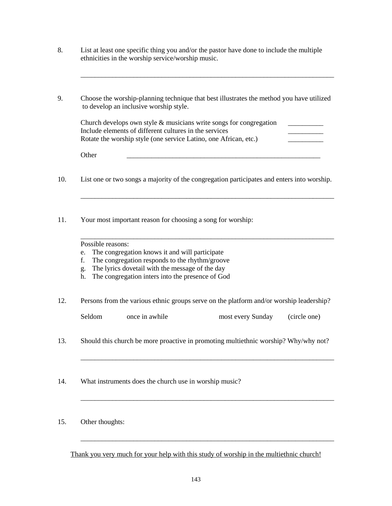- 8. List at least one specific thing you and/or the pastor have done to include the multiple ethnicities in the worship service/worship music.
- 9. Choose the worship-planning technique that best illustrates the method you have utilized to develop an inclusive worship style.

| Church develops own style $\&$ musicians write songs for congregation |  |
|-----------------------------------------------------------------------|--|
| Include elements of different cultures in the services                |  |
| Rotate the worship style (one service Latino, one African, etc.)      |  |

\_\_\_\_\_\_\_\_\_\_\_\_\_\_\_\_\_\_\_\_\_\_\_\_\_\_\_\_\_\_\_\_\_\_\_\_\_\_\_\_\_\_\_\_\_\_\_\_\_\_\_\_\_\_\_\_\_\_\_\_\_\_\_\_\_\_\_\_\_\_\_\_

Other \_\_\_\_\_\_\_\_\_\_\_\_\_\_\_\_\_\_\_\_\_\_\_\_\_\_\_\_\_\_\_\_\_\_\_\_\_\_\_\_\_\_\_\_\_\_\_\_\_\_\_\_\_\_\_

10. List one or two songs a majority of the congregation participates and enters into worship.

\_\_\_\_\_\_\_\_\_\_\_\_\_\_\_\_\_\_\_\_\_\_\_\_\_\_\_\_\_\_\_\_\_\_\_\_\_\_\_\_\_\_\_\_\_\_\_\_\_\_\_\_\_\_\_\_\_\_\_\_\_\_\_\_\_\_\_\_\_\_\_\_

\_\_\_\_\_\_\_\_\_\_\_\_\_\_\_\_\_\_\_\_\_\_\_\_\_\_\_\_\_\_\_\_\_\_\_\_\_\_\_\_\_\_\_\_\_\_\_\_\_\_\_\_\_\_\_\_\_\_\_\_\_\_\_\_\_\_\_\_\_\_\_\_

11. Your most important reason for choosing a song for worship:

- e. The congregation knows it and will participate
- f. The congregation responds to the rhythm/groove
- g. The lyrics dovetail with the message of the day
- h. The congregation inters into the presence of God
- 12. Persons from the various ethnic groups serve on the platform and/or worship leadership?

| Seldom | once in awhile | most every Sunday | (circle one) |
|--------|----------------|-------------------|--------------|
|--------|----------------|-------------------|--------------|

\_\_\_\_\_\_\_\_\_\_\_\_\_\_\_\_\_\_\_\_\_\_\_\_\_\_\_\_\_\_\_\_\_\_\_\_\_\_\_\_\_\_\_\_\_\_\_\_\_\_\_\_\_\_\_\_\_\_\_\_\_\_\_\_\_\_\_\_\_\_\_\_

\_\_\_\_\_\_\_\_\_\_\_\_\_\_\_\_\_\_\_\_\_\_\_\_\_\_\_\_\_\_\_\_\_\_\_\_\_\_\_\_\_\_\_\_\_\_\_\_\_\_\_\_\_\_\_\_\_\_\_\_\_\_\_\_\_\_\_\_\_\_\_\_

\_\_\_\_\_\_\_\_\_\_\_\_\_\_\_\_\_\_\_\_\_\_\_\_\_\_\_\_\_\_\_\_\_\_\_\_\_\_\_\_\_\_\_\_\_\_\_\_\_\_\_\_\_\_\_\_\_\_\_\_\_\_\_\_\_\_\_\_\_\_\_\_

- 13. Should this church be more proactive in promoting multiethnic worship? Why/why not?
- 14. What instruments does the church use in worship music?
- 15. Other thoughts:

Thank you very much for your help with this study of worship in the multiethnic church!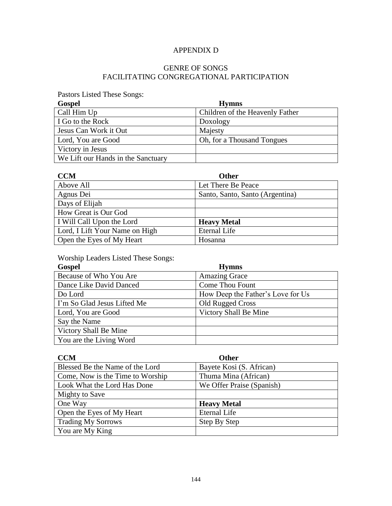## APPENDIX D

## GENRE OF SONGS FACILITATING CONGREGATIONAL PARTICIPATION

Pastors Listed These Songs:

| <b>Gospel</b>                      | <b>Hymns</b>                    |
|------------------------------------|---------------------------------|
| Call Him Up                        | Children of the Heavenly Father |
| I Go to the Rock                   | Doxology                        |
| Jesus Can Work it Out              | Majesty                         |
| Lord, You are Good                 | Oh, for a Thousand Tongues      |
| Victory in Jesus                   |                                 |
| We Lift our Hands in the Sanctuary |                                 |

| <b>CCM</b>                     | <b>Other</b>                    |
|--------------------------------|---------------------------------|
| Above All                      | Let There Be Peace              |
| Agnus Dei                      | Santo, Santo, Santo (Argentina) |
| Days of Elijah                 |                                 |
| How Great is Our God           |                                 |
| I Will Call Upon the Lord      | <b>Heavy Metal</b>              |
| Lord, I Lift Your Name on High | <b>Eternal Life</b>             |
| Open the Eyes of My Heart      | Hosanna                         |

Worship Leaders Listed These Songs:

| <b>Gospel</b>               | <b>Hymns</b>                      |
|-----------------------------|-----------------------------------|
| Because of Who You Are      | <b>Amazing Grace</b>              |
| Dance Like David Danced     | <b>Come Thou Fount</b>            |
| Do Lord                     | How Deep the Father's Love for Us |
| I'm So Glad Jesus Lifted Me | Old Rugged Cross                  |
| Lord, You are Good          | Victory Shall Be Mine             |
| Say the Name                |                                   |
| Victory Shall Be Mine       |                                   |
| You are the Living Word     |                                   |

| <b>CCM</b>                       | <b>Other</b>              |
|----------------------------------|---------------------------|
| Blessed Be the Name of the Lord  | Bayete Kosi (S. African)  |
| Come, Now is the Time to Worship | Thuma Mina (African)      |
| Look What the Lord Has Done      | We Offer Praise (Spanish) |
| Mighty to Save                   |                           |
| One Way                          | <b>Heavy Metal</b>        |
| Open the Eyes of My Heart        | <b>Eternal Life</b>       |
| <b>Trading My Sorrows</b>        | Step By Step              |
| You are My King                  |                           |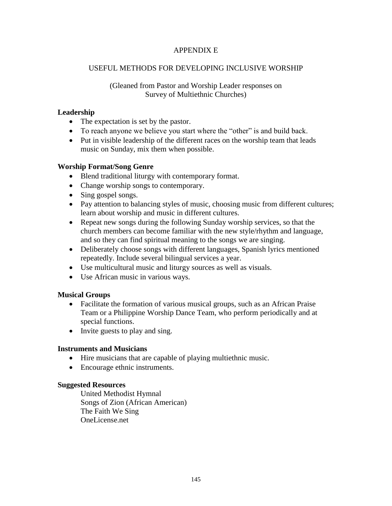### APPENDIX E

### USEFUL METHODS FOR DEVELOPING INCLUSIVE WORSHIP

#### (Gleaned from Pastor and Worship Leader responses on Survey of Multiethnic Churches)

#### **Leadership**

- The expectation is set by the pastor.
- To reach anyone we believe you start where the "other" is and build back.
- Put in visible leadership of the different races on the worship team that leads music on Sunday, mix them when possible.

### **Worship Format/Song Genre**

- Blend traditional liturgy with contemporary format.
- Change worship songs to contemporary.
- Sing gospel songs.
- Pay attention to balancing styles of music, choosing music from different cultures; learn about worship and music in different cultures.
- Repeat new songs during the following Sunday worship services, so that the church members can become familiar with the new style/rhythm and language, and so they can find spiritual meaning to the songs we are singing.
- Deliberately choose songs with different languages, Spanish lyrics mentioned repeatedly. Include several bilingual services a year.
- Use multicultural music and liturgy sources as well as visuals.
- Use African music in various ways.

### **Musical Groups**

- Facilitate the formation of various musical groups, such as an African Praise Team or a Philippine Worship Dance Team, who perform periodically and at special functions.
- Invite guests to play and sing.

#### **Instruments and Musicians**

- Hire musicians that are capable of playing multiethnic music.
- Encourage ethnic instruments.

#### **Suggested Resources**

United Methodist Hymnal Songs of Zion (African American) The Faith We Sing OneLicense.net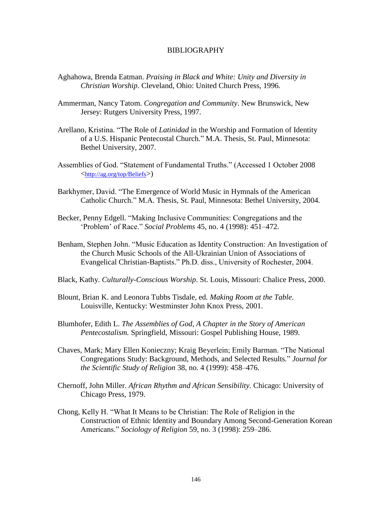#### BIBLIOGRAPHY

- Aghahowa, Brenda Eatman. *Praising in Black and White: Unity and Diversity in Christian Worship*. Cleveland, Ohio: United Church Press, 1996.
- Ammerman, Nancy Tatom. *Congregation and Community*. New Brunswick, New Jersey: Rutgers University Press, 1997.
- Arellano, Kristina. "The Role of *Latinidad* in the Worship and Formation of Identity of a U.S. Hispanic Pentecostal Church*.*‖ M.A. Thesis, St. Paul, Minnesota: Bethel University, 2007.
- Assemblies of God. "Statement of Fundamental Truths." (Accessed 1 October 2008) <<http://ag.org/top/Beliefs>>)
- Barkhymer, David. "The Emergence of World Music in Hymnals of the American Catholic Church." M.A. Thesis, St. Paul, Minnesota: Bethel University, 2004.
- Becker, Penny Edgell. "Making Inclusive Communities: Congregations and the ‗Problem' of Race.‖ *Social Problems* 45, no. 4 (1998): 451–472.
- Benham, Stephen John. "Music Education as Identity Construction: An Investigation of the Church Music Schools of the All-Ukrainian Union of Associations of Evangelical Christian-Baptists." Ph.D. diss., University of Rochester, 2004.
- Black, Kathy. *Culturally-Conscious Worship*. St. Louis, Missouri: Chalice Press, 2000.
- Blount, Brian K. and Leonora Tubbs Tisdale, ed. *Making Room at the Table*. Louisville, Kentucky: Westminster John Knox Press, 2001.
- Blumhofer, Edith L. *The Assemblies of God, A Chapter in the Story of American Pentecostalism.* Springfield, Missouri: Gospel Publishing House, 1989.
- Chaves, Mark; Mary Ellen Konieczny; Kraig Beyerlein; Emily Barman. "The National Congregations Study: Background, Methods, and Selected Results*.*‖ *Journal for the Scientific Study of Religion* 38, no. 4 (1999): 458–476.
- Chernoff, John Miller. *African Rhythm and African Sensibility.* Chicago: University of Chicago Press, 1979.
- Chong, Kelly H. ―What It Means to be Christian: The Role of Religion in the Construction of Ethnic Identity and Boundary Among Second-Generation Korean Americans.‖ *Sociology of Religion* 59, no. 3 (1998): 259–286.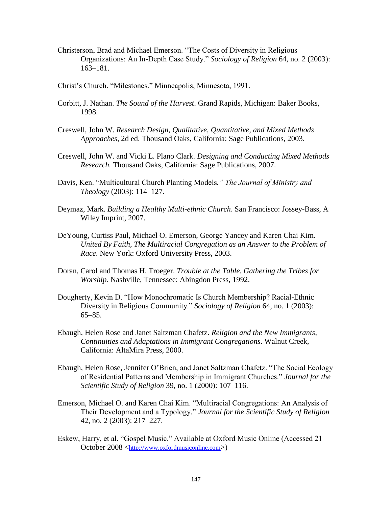- Christerson, Brad and Michael Emerson. "The Costs of Diversity in Religious Organizations: An In-Depth Case Study.‖ *Sociology of Religion* 64, no. 2 (2003): 163–181.
- Christ's Church. "Milestones." Minneapolis, Minnesota, 1991.
- Corbitt, J. Nathan. *The Sound of the Harvest*. Grand Rapids, Michigan: Baker Books, 1998.
- Creswell, John W. *Research Design, Qualitative, Quantitative, and Mixed Methods Approaches,* 2d ed. Thousand Oaks, California: Sage Publications, 2003.
- Creswell, John W. and Vicki L. Plano Clark. *Designing and Conducting Mixed Methods Research.* Thousand Oaks, California: Sage Publications, 2007.
- Davis, Ken. "Multicultural Church Planting Models." The Journal of Ministry and *Theology* (2003): 114–127.
- Deymaz, Mark. *Building a Healthy Multi-ethnic Church*. San Francisco: Jossey-Bass, A Wiley Imprint, 2007.
- DeYoung, Curtiss Paul, Michael O. Emerson, George Yancey and Karen Chai Kim. *United By Faith, The Multiracial Congregation as an Answer to the Problem of Race*. New York: Oxford University Press, 2003.
- Doran, Carol and Thomas H. Troeger. *Trouble at the Table, Gathering the Tribes for Worship.* Nashville, Tennessee: Abingdon Press, 1992.
- Dougherty, Kevin D. "How Monochromatic Is Church Membership? Racial-Ethnic Diversity in Religious Community.‖ *Sociology of Religion* 64, no. 1 (2003): 65–85.
- Ebaugh, Helen Rose and Janet Saltzman Chafetz. *Religion and the New Immigrants*, *Continuities and Adaptations in Immigrant Congregations*. Walnut Creek, California: AltaMira Press, 2000.
- Ebaugh, Helen Rose, Jennifer O'Brien, and Janet Saltzman Chafetz. "The Social Ecology of Residential Patterns and Membership in Immigrant Churches.‖ *Journal for the Scientific Study of Religion* 39, no. 1 (2000): 107–116.
- Emerson, Michael O. and Karen Chai Kim. "Multiracial Congregations: An Analysis of Their Development and a Typology.‖ *Journal for the Scientific Study of Religion* 42, no. 2 (2003): 217–227.
- Eskew, Harry, et al. "Gospel Music." Available at Oxford Music Online (Accessed 21 October 2008 <[http://www.oxfordmusiconline.com](http://www.oxfordmusiconline.com/)>)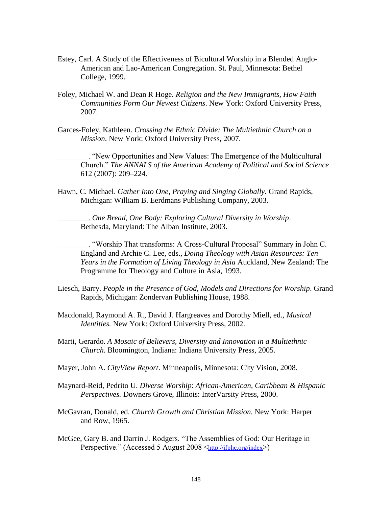- Estey, Carl. A Study of the Effectiveness of Bicultural Worship in a Blended Anglo-American and Lao-American Congregation. St. Paul, Minnesota: Bethel College, 1999.
- Foley, Michael W. and Dean R Hoge. *Religion and the New Immigrants, How Faith Communities Form Our Newest Citizens*. New York: Oxford University Press, 2007.
- Garces-Foley, Kathleen. *Crossing the Ethnic Divide: The Multiethnic Church on a Mission*. New York: Oxford University Press, 2007.

\_\_\_\_\_\_\_\_. ―New Opportunities and New Values: The Emergence of the Multicultural Church.‖ *The ANNALS of the American Academy of Political and Social Science* 612 (2007): 209–224.

Hawn, C. Michael. *Gather Into One, Praying and Singing Globally.* Grand Rapids, Michigan: William B. Eerdmans Publishing Company, 2003.

\_\_\_\_\_\_\_\_. *One Bread, One Body: Exploring Cultural Diversity in Worship*. Bethesda, Maryland: The Alban Institute, 2003.

\_\_\_\_\_\_\_\_. ―Worship That transforms: A Cross-Cultural Proposal‖ Summary in John C. England and Archie C. Lee, eds., *Doing Theology with Asian Resources: Ten Years in the Formation of Living Theology in Asia* Auckland, New Zealand: The Programme for Theology and Culture in Asia, 1993.

- Liesch, Barry. *People in the Presence of God, Models and Directions for Worship*. Grand Rapids, Michigan: Zondervan Publishing House, 1988.
- Macdonald, Raymond A. R., David J. Hargreaves and Dorothy Miell, ed., *Musical Identities.* New York: Oxford University Press, 2002.
- Marti, Gerardo. *A Mosaic of Believers, Diversity and Innovation in a Multiethnic Church*. Bloomington, Indiana: Indiana University Press, 2005.
- Mayer, John A. *CityView Report*. Minneapolis, Minnesota: City Vision, 2008.
- Maynard-Reid, Pedrito U. *Diverse Worship*: *African-American, Caribbean & Hispanic Perspectives.* Downers Grove, Illinois: InterVarsity Press, 2000.
- McGavran, Donald, ed. *Church Growth and Christian Mission.* New York: Harper and Row, 1965.
- McGee, Gary B. and Darrin J. Rodgers. "The Assemblies of God: Our Heritage in Perspective." (Accessed 5 August 2008 <<http://ifphc.org/index>>)